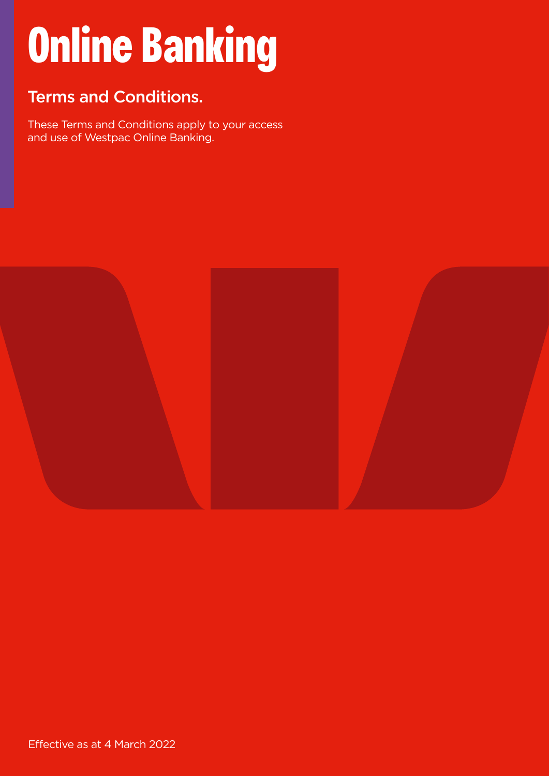# **Online Banking**

## Terms and Conditions.

These Terms and Conditions apply to your access and use of Westpac Online Banking.

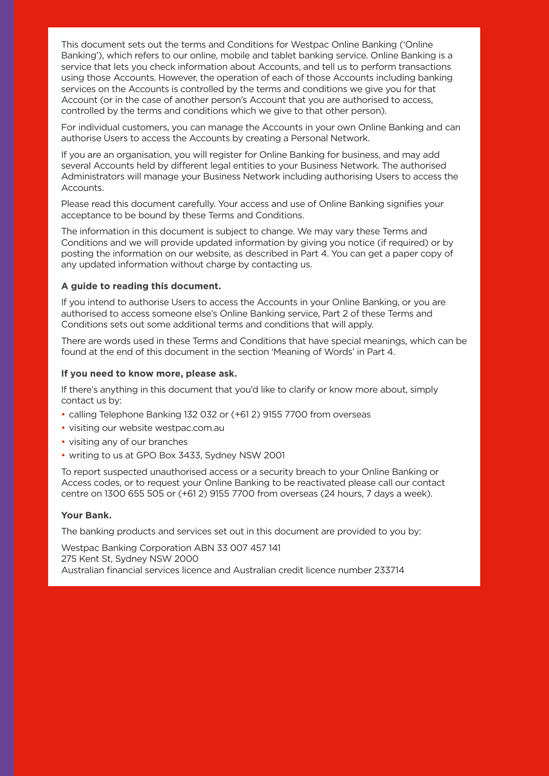This document sets out the terms and Conditions for Westpac Online Banking ('Online Banking'), which refers to our online, mobile and tablet banking service. Online Banking is a service that lets you check information about Accounts, and tell us to perform transactions using those Accounts. However, the operation of each of those Accounts including banking services on the Accounts is controlled by the terms and conditions we give you for that Account (or in the case of another person's Account that you are authorised to access, controlled by the terms and conditions which we give to that other person).

For individual customers, you can manage the Accounts in your own Online Banking and can authorise Users to access the Accounts by creating a Personal Network.

If you are an organisation, you will register for Online Banking for business, and may add several Accounts held by different legal entities to your Business Network. The authorised Administrators will manage your Business Network including authorising Users to access the Accounts.

Please read this document carefully. Your access and use of Online Banking signifies your acceptance to be bound by these Terms and Conditions.

The information in this document is subject to change. We may vary these Terms and Conditions and we will provide updated information by giving you notice (if required) or by posting the information on our website, as described in Part 4. You can get a paper copy of any updated information without charge by contacting us.

#### **A guide to reading this document.**

If you intend to authorise Users to access the Accounts in your Online Banking, or you are authorised to access someone else's Online Banking service, Part 2 of these Terms and Conditions sets out some additional terms and conditions that will apply.

There are words used in these Terms and Conditions that have special meanings, which can be found at the end of this document in the section 'Meaning of Words' in Part 4.

#### **If you need to know more, please ask.**

If there's anything in this document that you'd like to clarify or know more about, simply contact us by:

- calling Telephone Banking 132 032 or (+61 2) 9155 7700 from overseas
- visiting our website [westpac.com.au](https://www.westpac.com.au/)
- visiting any of our branches
- writing to us at GPO Box 3433, Sydney NSW 2001

To report suspected unauthorised access or a security breach to your Online Banking or Access codes, or to request your Online Banking to be reactivated please call our contact centre on 1300 655 505 or (+61 2) 9155 7700 from overseas (24 hours, 7 days a week).

#### **Your Bank.**

The banking products and services set out in this document are provided to you by:

Westpac Banking Corporation ABN 33 007 457 141 275 Kent St, Sydney NSW 2000 Australian financial services licence and Australian credit licence number 233714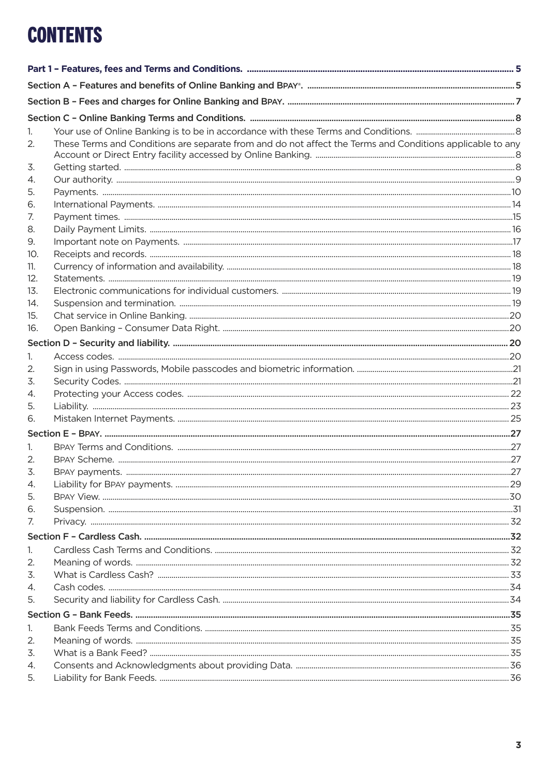# **CONTENTS**

| 1.  |                                                                                                           |  |
|-----|-----------------------------------------------------------------------------------------------------------|--|
| 2.  | These Terms and Conditions are separate from and do not affect the Terms and Conditions applicable to any |  |
|     |                                                                                                           |  |
| 3.  |                                                                                                           |  |
| 4.  |                                                                                                           |  |
| 5.  |                                                                                                           |  |
| 6.  |                                                                                                           |  |
| 7.  |                                                                                                           |  |
| 8.  |                                                                                                           |  |
| 9.  |                                                                                                           |  |
| 10. |                                                                                                           |  |
| 11. |                                                                                                           |  |
| 12. |                                                                                                           |  |
| 13. |                                                                                                           |  |
| 14. |                                                                                                           |  |
| 15. |                                                                                                           |  |
| 16. |                                                                                                           |  |
|     |                                                                                                           |  |
| 1.  |                                                                                                           |  |
| 2.  |                                                                                                           |  |
| 3.  |                                                                                                           |  |
| 4.  |                                                                                                           |  |
| 5.  |                                                                                                           |  |
| 6.  |                                                                                                           |  |
|     |                                                                                                           |  |
| 1.  |                                                                                                           |  |
| 2.  |                                                                                                           |  |
| 3.  |                                                                                                           |  |
| 4.  |                                                                                                           |  |
| 5.  |                                                                                                           |  |
| 6.  |                                                                                                           |  |
| 7.  |                                                                                                           |  |
|     |                                                                                                           |  |
| 1.  |                                                                                                           |  |
| 2.  |                                                                                                           |  |
| 3.  |                                                                                                           |  |
| 4.  |                                                                                                           |  |
| 5.  |                                                                                                           |  |
|     |                                                                                                           |  |
| 1.  |                                                                                                           |  |
| 2.  |                                                                                                           |  |
| 3.  |                                                                                                           |  |
| 4.  |                                                                                                           |  |
| 5.  |                                                                                                           |  |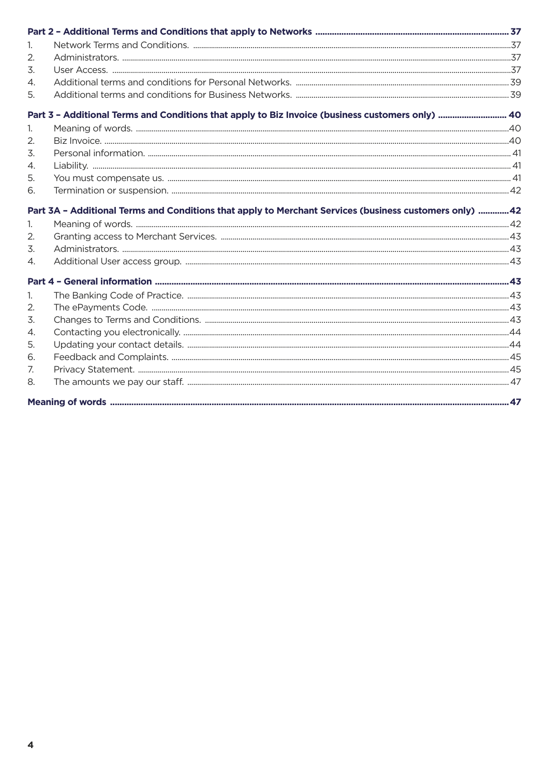| $\mathbf{1}$   |                                                                                                        |  |
|----------------|--------------------------------------------------------------------------------------------------------|--|
| 2.             |                                                                                                        |  |
| 3.             |                                                                                                        |  |
| 4.             |                                                                                                        |  |
| 5.             |                                                                                                        |  |
|                | Part 3 - Additional Terms and Conditions that apply to Biz Invoice (business customers only)  40       |  |
| 1.             |                                                                                                        |  |
| 2.             |                                                                                                        |  |
| 3.             |                                                                                                        |  |
| 4.             |                                                                                                        |  |
| 5.             |                                                                                                        |  |
| 6.             |                                                                                                        |  |
|                | Part 3A - Additional Terms and Conditions that apply to Merchant Services (business customers only) 42 |  |
| 1.             |                                                                                                        |  |
| 2.             |                                                                                                        |  |
| 3.             |                                                                                                        |  |
| 4.             |                                                                                                        |  |
|                |                                                                                                        |  |
| $\mathbf{1}$ . |                                                                                                        |  |
| 2.             |                                                                                                        |  |
| 3.             |                                                                                                        |  |
| 4.             |                                                                                                        |  |
| 5.             |                                                                                                        |  |
| 6.             |                                                                                                        |  |
| 7.             |                                                                                                        |  |
| 8.             |                                                                                                        |  |
|                |                                                                                                        |  |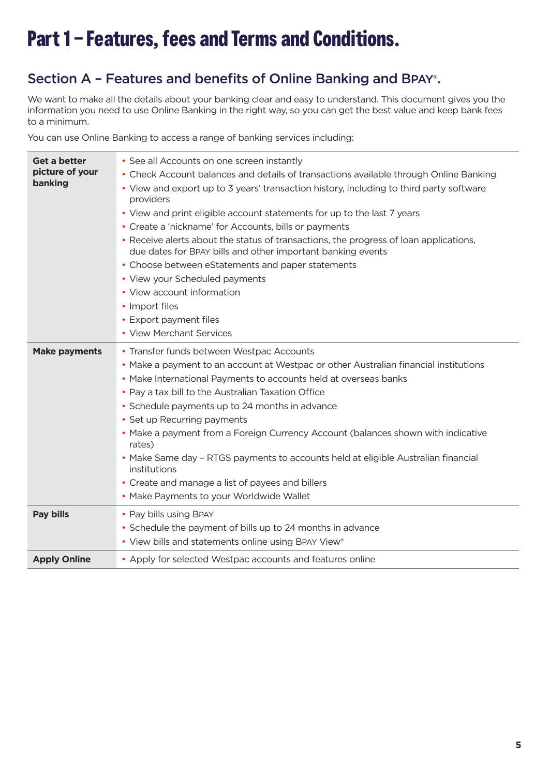# <span id="page-4-0"></span>**Part 1 – Features, fees and Terms and Conditions.**

### Section A – Features and benefits of Online Banking and BPAY®.

We want to make all the details about your banking clear and easy to understand. This document gives you the information you need to use Online Banking in the right way, so you can get the best value and keep bank fees to a minimum.

You can use Online Banking to access a range of banking services including:

| Get a better<br>picture of your<br>banking | • See all Accounts on one screen instantly<br>• Check Account balances and details of transactions available through Online Banking<br>• View and export up to 3 years' transaction history, including to third party software<br>providers<br>• View and print eligible account statements for up to the last 7 years<br>• Create a 'nickname' for Accounts, bills or payments<br>• Receive alerts about the status of transactions, the progress of loan applications,<br>due dates for BPAY bills and other important banking events<br>• Choose between eStatements and paper statements<br>• View your Scheduled payments<br>• View account information<br>• Import files<br>• Export payment files<br>• View Merchant Services |
|--------------------------------------------|--------------------------------------------------------------------------------------------------------------------------------------------------------------------------------------------------------------------------------------------------------------------------------------------------------------------------------------------------------------------------------------------------------------------------------------------------------------------------------------------------------------------------------------------------------------------------------------------------------------------------------------------------------------------------------------------------------------------------------------|
| <b>Make payments</b>                       | • Transfer funds between Westpac Accounts<br>• Make a payment to an account at Westpac or other Australian financial institutions<br>• Make International Payments to accounts held at overseas banks<br>• Pay a tax bill to the Australian Taxation Office<br>• Schedule payments up to 24 months in advance<br>• Set up Recurring payments<br>• Make a payment from a Foreign Currency Account (balances shown with indicative<br>rates)<br>• Make Same day - RTGS payments to accounts held at eligible Australian financial<br>institutions<br>• Create and manage a list of payees and billers<br>• Make Payments to your Worldwide Wallet                                                                                      |
| <b>Pay bills</b>                           | • Pay bills using BPAY<br>• Schedule the payment of bills up to 24 months in advance<br>• View bills and statements online using BPAY View®                                                                                                                                                                                                                                                                                                                                                                                                                                                                                                                                                                                          |
| <b>Apply Online</b>                        | • Apply for selected Westpac accounts and features online                                                                                                                                                                                                                                                                                                                                                                                                                                                                                                                                                                                                                                                                            |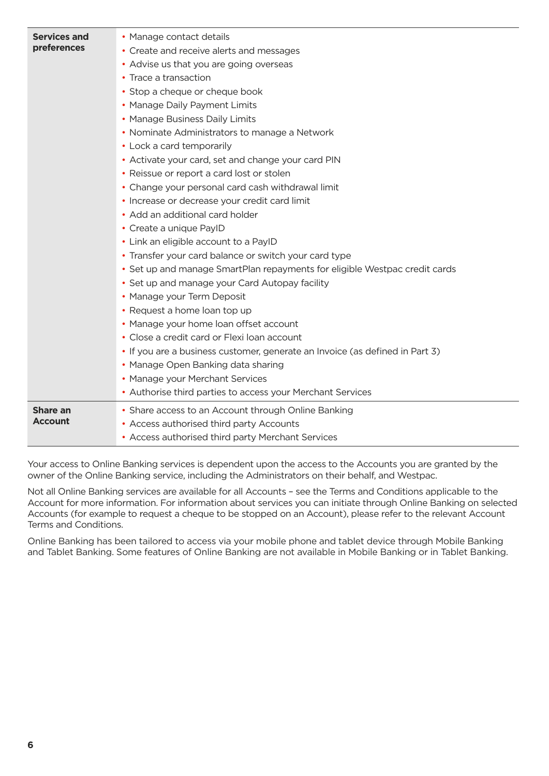| • Share access to an Account through Online Banking<br><b>Share an</b><br><b>Account</b><br>• Access authorised third party Accounts<br>• Access authorised third party Merchant Services | <b>Services and</b><br>preferences | • Manage contact details<br>• Create and receive alerts and messages<br>• Advise us that you are going overseas<br>• Trace a transaction<br>• Stop a cheque or cheque book<br>• Manage Daily Payment Limits<br>• Manage Business Daily Limits<br>• Nominate Administrators to manage a Network<br>• Lock a card temporarily<br>• Activate your card, set and change your card PIN<br>• Reissue or report a card lost or stolen<br>• Change your personal card cash withdrawal limit<br>• Increase or decrease your credit card limit<br>• Add an additional card holder<br>• Create a unique PayID<br>• Link an eligible account to a PayID<br>• Transfer your card balance or switch your card type<br>• Set up and manage SmartPlan repayments for eligible Westpac credit cards<br>• Set up and manage your Card Autopay facility<br>• Manage your Term Deposit<br>• Request a home loan top up<br>• Manage your home loan offset account<br>• Close a credit card or Flexi loan account<br>• If you are a business customer, generate an Invoice (as defined in Part 3)<br>• Manage Open Banking data sharing<br>• Manage your Merchant Services<br>• Authorise third parties to access your Merchant Services |
|-------------------------------------------------------------------------------------------------------------------------------------------------------------------------------------------|------------------------------------|--------------------------------------------------------------------------------------------------------------------------------------------------------------------------------------------------------------------------------------------------------------------------------------------------------------------------------------------------------------------------------------------------------------------------------------------------------------------------------------------------------------------------------------------------------------------------------------------------------------------------------------------------------------------------------------------------------------------------------------------------------------------------------------------------------------------------------------------------------------------------------------------------------------------------------------------------------------------------------------------------------------------------------------------------------------------------------------------------------------------------------------------------------------------------------------------------------------------|
|                                                                                                                                                                                           |                                    |                                                                                                                                                                                                                                                                                                                                                                                                                                                                                                                                                                                                                                                                                                                                                                                                                                                                                                                                                                                                                                                                                                                                                                                                                    |

Your access to Online Banking services is dependent upon the access to the Accounts you are granted by the owner of the Online Banking service, including the Administrators on their behalf, and Westpac.

Not all Online Banking services are available for all Accounts – see the Terms and Conditions applicable to the Account for more information. For information about services you can initiate through Online Banking on selected Accounts (for example to request a cheque to be stopped on an Account), please refer to the relevant Account Terms and Conditions.

Online Banking has been tailored to access via your mobile phone and tablet device through Mobile Banking and Tablet Banking. Some features of Online Banking are not available in Mobile Banking or in Tablet Banking.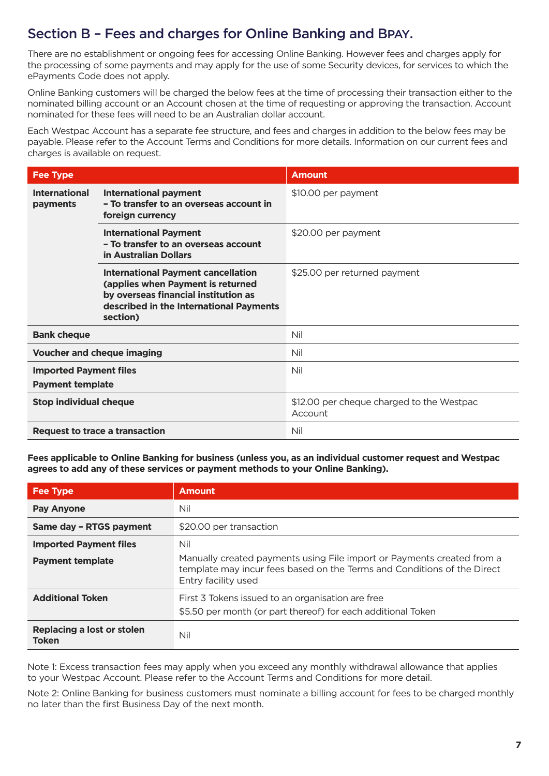### <span id="page-6-0"></span>Section B – Fees and charges for Online Banking and BPAY.

There are no establishment or ongoing fees for accessing Online Banking. However fees and charges apply for the processing of some payments and may apply for the use of some Security devices, for services to which the ePayments Code does not apply.

Online Banking customers will be charged the below fees at the time of processing their transaction either to the nominated billing account or an Account chosen at the time of requesting or approving the transaction. Account nominated for these fees will need to be an Australian dollar account.

Each Westpac Account has a separate fee structure, and fees and charges in addition to the below fees may be payable. Please refer to the Account Terms and Conditions for more details. Information on our current fees and charges is available on request.

| <b>Fee Type</b>                                          |                                                                                                                                                                               | <b>Amount</b>                                        |  |
|----------------------------------------------------------|-------------------------------------------------------------------------------------------------------------------------------------------------------------------------------|------------------------------------------------------|--|
| <b>International</b><br>payments                         | <b>International payment</b><br>- To transfer to an overseas account in<br>foreign currency                                                                                   | \$10.00 per payment                                  |  |
|                                                          | <b>International Payment</b><br>- To transfer to an overseas account<br>in Australian Dollars                                                                                 | \$20.00 per payment                                  |  |
|                                                          | <b>International Payment cancellation</b><br>(applies when Payment is returned<br>by overseas financial institution as<br>described in the International Payments<br>section) | \$25.00 per returned payment                         |  |
| <b>Bank cheque</b>                                       |                                                                                                                                                                               | Nil                                                  |  |
| <b>Voucher and cheque imaging</b>                        |                                                                                                                                                                               | Nil                                                  |  |
| <b>Imported Payment files</b><br><b>Payment template</b> |                                                                                                                                                                               | Nil                                                  |  |
| <b>Stop individual cheque</b>                            |                                                                                                                                                                               | \$12.00 per cheque charged to the Westpac<br>Account |  |
| Request to trace a transaction                           |                                                                                                                                                                               | Nil                                                  |  |

**Fees applicable to Online Banking for business (unless you, as an individual customer request and Westpac agrees to add any of these services or payment methods to your Online Banking).**

| <b>Fee Type</b>                                          | <b>Amount</b>                                                                                                                                                                   |  |
|----------------------------------------------------------|---------------------------------------------------------------------------------------------------------------------------------------------------------------------------------|--|
| <b>Pay Anyone</b>                                        | Nil                                                                                                                                                                             |  |
| Same day - RTGS payment                                  | \$20.00 per transaction                                                                                                                                                         |  |
| <b>Imported Payment files</b><br><b>Payment template</b> | Nil<br>Manually created payments using File import or Payments created from a<br>template may incur fees based on the Terms and Conditions of the Direct<br>Entry facility used |  |
| <b>Additional Token</b>                                  | First 3 Tokens issued to an organisation are free<br>\$5.50 per month (or part thereof) for each additional Token                                                               |  |
| Replacing a lost or stolen<br><b>Token</b>               | Nil                                                                                                                                                                             |  |

Note 1: Excess transaction fees may apply when you exceed any monthly withdrawal allowance that applies to your Westpac Account. Please refer to the Account Terms and Conditions for more detail.

Note 2: Online Banking for business customers must nominate a billing account for fees to be charged monthly no later than the first Business Day of the next month.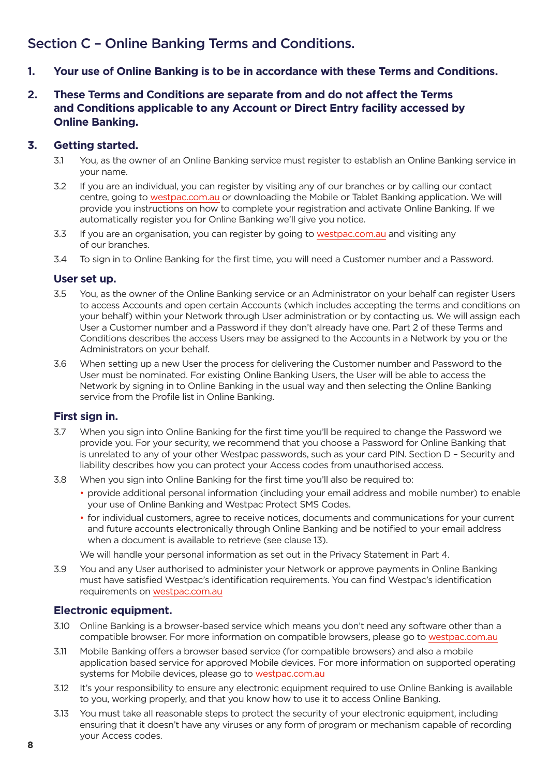### <span id="page-7-0"></span>Section C – Online Banking Terms and Conditions.

- **1. Your use of Online Banking is to be in accordance with these Terms and Conditions.**
- **2. These Terms and Conditions are separate from and do not affect the Terms and Conditions applicable to any Account or Direct Entry facility accessed by Online Banking.**

### **3. Getting started.**

- 3.1 You, as the owner of an Online Banking service must register to establish an Online Banking service in your name.
- 3.2 If you are an individual, you can register by visiting any of our branches or by calling our contact centre, going to [westpac.com.au](https://www.westpac.com.au/) or downloading the Mobile or Tablet Banking application. We will provide you instructions on how to complete your registration and activate Online Banking. If we automatically register you for Online Banking we'll give you notice.
- 3.3 If you are an organisation, you can register by going to [westpac.com.au](https://www.westpac.com.au/) and visiting any of our branches.
- 3.4 To sign in to Online Banking for the first time, you will need a Customer number and a Password.

### **User set up.**

- 3.5 You, as the owner of the Online Banking service or an Administrator on your behalf can register Users to access Accounts and open certain Accounts (which includes accepting the terms and conditions on your behalf) within your Network through User administration or by contacting us. We will assign each User a Customer number and a Password if they don't already have one. Part 2 of these Terms and Conditions describes the access Users may be assigned to the Accounts in a Network by you or the Administrators on your behalf.
- 3.6 When setting up a new User the process for delivering the Customer number and Password to the User must be nominated. For existing Online Banking Users, the User will be able to access the Network by signing in to Online Banking in the usual way and then selecting the Online Banking service from the Profile list in Online Banking.

### **First sign in.**

- 3.7 When you sign into Online Banking for the first time you'll be required to change the Password we provide you. For your security, we recommend that you choose a Password for Online Banking that is unrelated to any of your other Westpac passwords, such as your card PIN. Section D – Security and liability describes how you can protect your Access codes from unauthorised access.
- 3.8 When you sign into Online Banking for the first time you'll also be required to:
	- provide additional personal information (including your email address and mobile number) to enable your use of Online Banking and Westpac Protect SMS Codes.
	- for individual customers, agree to receive notices, documents and communications for your current and future accounts electronically through Online Banking and be notified to your email address when a document is available to retrieve (see clause 13).

We will handle your personal information as set out in the Privacy Statement in Part 4.

3.9 You and any User authorised to administer your Network or approve payments in Online Banking must have satisfied Westpac's identification requirements. You can find Westpac's identification requirements on [westpac.com.au](https://www.westpac.com.au/)

### **Electronic equipment.**

- 3.10 Online Banking is a browser-based service which means you don't need any software other than a compatible browser. For more information on compatible browsers, please go to [westpac.com.au](https://www.westpac.com.au/)
- 3.11 Mobile Banking offers a browser based service (for compatible browsers) and also a mobile application based service for approved Mobile devices. For more information on supported operating systems for Mobile devices, please go to [westpac.com.au](https://www.westpac.com.au/)
- 3.12 It's your responsibility to ensure any electronic equipment required to use Online Banking is available to you, working properly, and that you know how to use it to access Online Banking.
- 3.13 You must take all reasonable steps to protect the security of your electronic equipment, including ensuring that it doesn't have any viruses or any form of program or mechanism capable of recording your Access codes.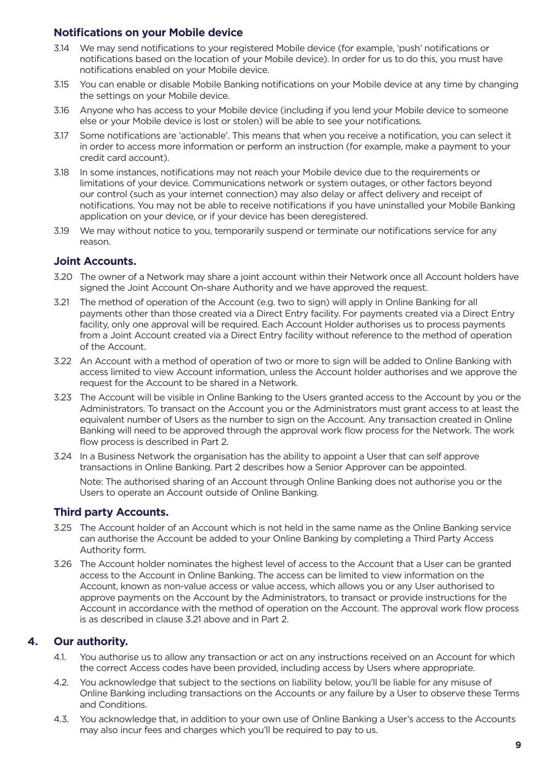### <span id="page-8-0"></span>**Notifications on your Mobile device**

- 3.14 We may send notifications to your registered Mobile device (for example, 'push' notifications or notifications based on the location of your Mobile device). In order for us to do this, you must have notifications enabled on your Mobile device.
- 3.15 You can enable or disable Mobile Banking notifications on your Mobile device at any time by changing the settings on your Mobile device.
- 3.16 Anyone who has access to your Mobile device (including if you lend your Mobile device to someone else or your Mobile device is lost or stolen) will be able to see your notifications.
- 3.17 Some notifications are 'actionable'. This means that when you receive a notification, you can select it in order to access more information or perform an instruction (for example, make a payment to your credit card account).
- 3.18 In some instances, notifications may not reach your Mobile device due to the requirements or limitations of your device. Communications network or system outages, or other factors beyond our control (such as your internet connection) may also delay or affect delivery and receipt of notifications. You may not be able to receive notifications if you have uninstalled your Mobile Banking application on your device, or if your device has been deregistered.
- 3.19 We may without notice to you, temporarily suspend or terminate our notifications service for any reason.

### **Joint Accounts.**

- 3.20 The owner of a Network may share a joint account within their Network once all Account holders have signed the Joint Account On-share Authority and we have approved the request.
- 3.21 The method of operation of the Account (e.g. two to sign) will apply in Online Banking for all payments other than those created via a Direct Entry facility. For payments created via a Direct Entry facility, only one approval will be required. Each Account Holder authorises us to process payments from a Joint Account created via a Direct Entry facility without reference to the method of operation of the Account.
- 3.22 An Account with a method of operation of two or more to sign will be added to Online Banking with access limited to view Account information, unless the Account holder authorises and we approve the request for the Account to be shared in a Network.
- 3.23 The Account will be visible in Online Banking to the Users granted access to the Account by you or the Administrators. To transact on the Account you or the Administrators must grant access to at least the equivalent number of Users as the number to sign on the Account. Any transaction created in Online Banking will need to be approved through the approval work flow process for the Network. The work flow process is described in Part 2.
- 3.24 In a Business Network the organisation has the ability to appoint a User that can self approve transactions in Online Banking. Part 2 describes how a Senior Approver can be appointed.

 Note: The authorised sharing of an Account through Online Banking does not authorise you or the Users to operate an Account outside of Online Banking.

### **Third party Accounts.**

- 3.25 The Account holder of an Account which is not held in the same name as the Online Banking service can authorise the Account be added to your Online Banking by completing a Third Party Access Authority form.
- 3.26 The Account holder nominates the highest level of access to the Account that a User can be granted access to the Account in Online Banking. The access can be limited to view information on the Account, known as non-value access or value access, which allows you or any User authorised to approve payments on the Account by the Administrators, to transact or provide instructions for the Account in accordance with the method of operation on the Account. The approval work flow process is as described in clause 3.21 above and in Part 2.

### **4. Our authority.**

- 4.1. You authorise us to allow any transaction or act on any instructions received on an Account for which the correct Access codes have been provided, including access by Users where appropriate.
- 4.2. You acknowledge that subject to the sections on liability below, you'll be liable for any misuse of Online Banking including transactions on the Accounts or any failure by a User to observe these Terms and Conditions.
- 4.3. You acknowledge that, in addition to your own use of Online Banking a User's access to the Accounts may also incur fees and charges which you'll be required to pay to us.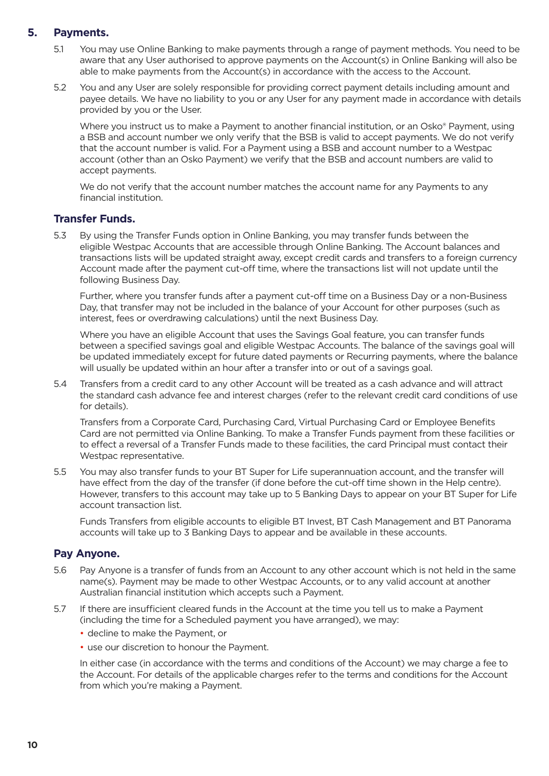### <span id="page-9-0"></span>**5. Payments.**

- 5.1 You may use Online Banking to make payments through a range of payment methods. You need to be aware that any User authorised to approve payments on the Account(s) in Online Banking will also be able to make payments from the Account(s) in accordance with the access to the Account.
- 5.2 You and any User are solely responsible for providing correct payment details including amount and payee details. We have no liability to you or any User for any payment made in accordance with details provided by you or the User.

Where you instruct us to make a Payment to another financial institution, or an Osko® Payment, using a BSB and account number we only verify that the BSB is valid to accept payments. We do not verify that the account number is valid. For a Payment using a BSB and account number to a Westpac account (other than an Osko Payment) we verify that the BSB and account numbers are valid to accept payments.

 We do not verify that the account number matches the account name for any Payments to any financial institution.

### **Transfer Funds.**

5.3 By using the Transfer Funds option in Online Banking, you may transfer funds between the eligible Westpac Accounts that are accessible through Online Banking. The Account balances and transactions lists will be updated straight away, except credit cards and transfers to a foreign currency Account made after the payment cut-off time, where the transactions list will not update until the following Business Day.

 Further, where you transfer funds after a payment cut-off time on a Business Day or a non-Business Day, that transfer may not be included in the balance of your Account for other purposes (such as interest, fees or overdrawing calculations) until the next Business Day.

 Where you have an eligible Account that uses the Savings Goal feature, you can transfer funds between a specified savings goal and eligible Westpac Accounts. The balance of the savings goal will be updated immediately except for future dated payments or Recurring payments, where the balance will usually be updated within an hour after a transfer into or out of a savings goal.

5.4 Transfers from a credit card to any other Account will be treated as a cash advance and will attract the standard cash advance fee and interest charges (refer to the relevant credit card conditions of use for details).

 Transfers from a Corporate Card, Purchasing Card, Virtual Purchasing Card or Employee Benefits Card are not permitted via Online Banking. To make a Transfer Funds payment from these facilities or to effect a reversal of a Transfer Funds made to these facilities, the card Principal must contact their Westpac representative.

5.5 You may also transfer funds to your BT Super for Life superannuation account, and the transfer will have effect from the day of the transfer (if done before the cut-off time shown in the Help centre). However, transfers to this account may take up to 5 Banking Days to appear on your BT Super for Life account transaction list.

 Funds Transfers from eligible accounts to eligible BT Invest, BT Cash Management and BT Panorama accounts will take up to 3 Banking Days to appear and be available in these accounts.

### **Pay Anyone.**

- 5.6 Pay Anyone is a transfer of funds from an Account to any other account which is not held in the same name(s). Payment may be made to other Westpac Accounts, or to any valid account at another Australian financial institution which accepts such a Payment.
- 5.7 If there are insufficient cleared funds in the Account at the time you tell us to make a Payment (including the time for a Scheduled payment you have arranged), we may:
	- decline to make the Payment, or
	- use our discretion to honour the Payment.

 In either case (in accordance with the terms and conditions of the Account) we may charge a fee to the Account. For details of the applicable charges refer to the terms and conditions for the Account from which you're making a Payment.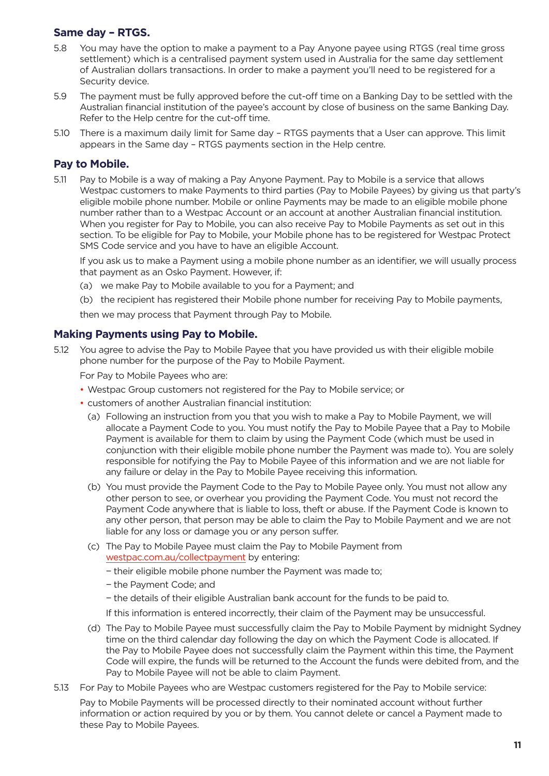### **Same day – RTGS.**

- 5.8 You may have the option to make a payment to a Pay Anyone payee using RTGS (real time gross settlement) which is a centralised payment system used in Australia for the same day settlement of Australian dollars transactions. In order to make a payment you'll need to be registered for a Security device.
- 5.9 The payment must be fully approved before the cut-off time on a Banking Day to be settled with the Australian financial institution of the payee's account by close of business on the same Banking Day. Refer to the Help centre for the cut-off time.
- 5.10 There is a maximum daily limit for Same day RTGS payments that a User can approve. This limit appears in the Same day – RTGS payments section in the Help centre.

### **Pay to Mobile.**

5.11 Pay to Mobile is a way of making a Pay Anyone Payment. Pay to Mobile is a service that allows Westpac customers to make Payments to third parties (Pay to Mobile Payees) by giving us that party's eligible mobile phone number. Mobile or online Payments may be made to an eligible mobile phone number rather than to a Westpac Account or an account at another Australian financial institution. When you register for Pay to Mobile, you can also receive Pay to Mobile Payments as set out in this section. To be eligible for Pay to Mobile, your Mobile phone has to be registered for Westpac Protect SMS Code service and you have to have an eligible Account.

 If you ask us to make a Payment using a mobile phone number as an identifier, we will usually process that payment as an Osko Payment. However, if:

- (a) we make Pay to Mobile available to you for a Payment; and
- (b) the recipient has registered their Mobile phone number for receiving Pay to Mobile payments,

then we may process that Payment through Pay to Mobile.

### **Making Payments using Pay to Mobile.**

5.12 You agree to advise the Pay to Mobile Payee that you have provided us with their eligible mobile phone number for the purpose of the Pay to Mobile Payment.

For Pay to Mobile Payees who are:

- Westpac Group customers not registered for the Pay to Mobile service; or
- customers of another Australian financial institution:
	- (a) Following an instruction from you that you wish to make a Pay to Mobile Payment, we will allocate a Payment Code to you. You must notify the Pay to Mobile Payee that a Pay to Mobile Payment is available for them to claim by using the Payment Code (which must be used in conjunction with their eligible mobile phone number the Payment was made to). You are solely responsible for notifying the Pay to Mobile Payee of this information and we are not liable for any failure or delay in the Pay to Mobile Payee receiving this information.
	- (b) You must provide the Payment Code to the Pay to Mobile Payee only. You must not allow any other person to see, or overhear you providing the Payment Code. You must not record the Payment Code anywhere that is liable to loss, theft or abuse. If the Payment Code is known to any other person, that person may be able to claim the Pay to Mobile Payment and we are not liable for any loss or damage you or any person suffer.
	- (c) The Pay to Mobile Payee must claim the Pay to Mobile Payment from [westpac.com.au/collectpayment](https://www.westpac.com.au/personal-banking/online-banking/ways-to-bank/mobile-banking/paytomobile/) by entering:
		- − their eligible mobile phone number the Payment was made to;
		- − the Payment Code; and
		- − the details of their eligible Australian bank account for the funds to be paid to.
		- If this information is entered incorrectly, their claim of the Payment may be unsuccessful.
	- (d) The Pay to Mobile Payee must successfully claim the Pay to Mobile Payment by midnight Sydney time on the third calendar day following the day on which the Payment Code is allocated. If the Pay to Mobile Payee does not successfully claim the Payment within this time, the Payment Code will expire, the funds will be returned to the Account the funds were debited from, and the Pay to Mobile Payee will not be able to claim Payment.
- 5.13 For Pay to Mobile Payees who are Westpac customers registered for the Pay to Mobile service: Pay to Mobile Payments will be processed directly to their nominated account without further information or action required by you or by them. You cannot delete or cancel a Payment made to these Pay to Mobile Payees.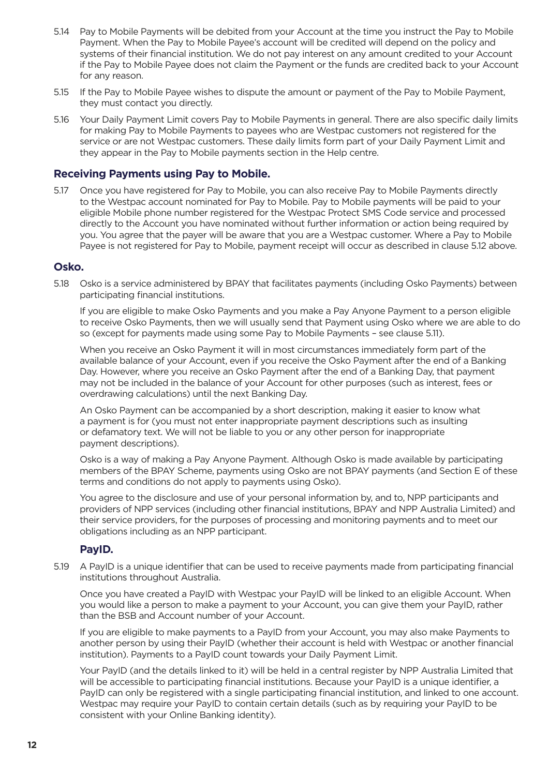- 5.14 Pay to Mobile Payments will be debited from your Account at the time you instruct the Pay to Mobile Payment. When the Pay to Mobile Payee's account will be credited will depend on the policy and systems of their financial institution. We do not pay interest on any amount credited to your Account if the Pay to Mobile Payee does not claim the Payment or the funds are credited back to your Account for any reason.
- 5.15 If the Pay to Mobile Payee wishes to dispute the amount or payment of the Pay to Mobile Payment, they must contact you directly.
- 5.16 Your Daily Payment Limit covers Pay to Mobile Payments in general. There are also specific daily limits for making Pay to Mobile Payments to payees who are Westpac customers not registered for the service or are not Westpac customers. These daily limits form part of your Daily Payment Limit and they appear in the Pay to Mobile payments section in the Help centre.

### **Receiving Payments using Pay to Mobile.**

5.17 Once you have registered for Pay to Mobile, you can also receive Pay to Mobile Payments directly to the Westpac account nominated for Pay to Mobile. Pay to Mobile payments will be paid to your eligible Mobile phone number registered for the Westpac Protect SMS Code service and processed directly to the Account you have nominated without further information or action being required by you. You agree that the payer will be aware that you are a Westpac customer. Where a Pay to Mobile Payee is not registered for Pay to Mobile, payment receipt will occur as described in clause 5.12 above.

### **Osko.**

5.18 Osko is a service administered by BPAY that facilitates payments (including Osko Payments) between participating financial institutions.

 If you are eligible to make Osko Payments and you make a Pay Anyone Payment to a person eligible to receive Osko Payments, then we will usually send that Payment using Osko where we are able to do so (except for payments made using some Pay to Mobile Payments – see clause 5.11).

 When you receive an Osko Payment it will in most circumstances immediately form part of the available balance of your Account, even if you receive the Osko Payment after the end of a Banking Day. However, where you receive an Osko Payment after the end of a Banking Day, that payment may not be included in the balance of your Account for other purposes (such as interest, fees or overdrawing calculations) until the next Banking Day.

 An Osko Payment can be accompanied by a short description, making it easier to know what a payment is for (you must not enter inappropriate payment descriptions such as insulting or defamatory text. We will not be liable to you or any other person for inappropriate payment descriptions).

 Osko is a way of making a Pay Anyone Payment. Although Osko is made available by participating members of the BPAY Scheme, payments using Osko are not BPAY payments (and Section E of these terms and conditions do not apply to payments using Osko).

 You agree to the disclosure and use of your personal information by, and to, NPP participants and providers of NPP services (including other financial institutions, BPAY and NPP Australia Limited) and their service providers, for the purposes of processing and monitoring payments and to meet our obligations including as an NPP participant.

### **PayID.**

5.19 A PayID is a unique identifier that can be used to receive payments made from participating financial institutions throughout Australia.

 Once you have created a PayID with Westpac your PayID will be linked to an eligible Account. When you would like a person to make a payment to your Account, you can give them your PayID, rather than the BSB and Account number of your Account.

 If you are eligible to make payments to a PayID from your Account, you may also make Payments to another person by using their PayID (whether their account is held with Westpac or another financial institution). Payments to a PayID count towards your Daily Payment Limit.

 Your PayID (and the details linked to it) will be held in a central register by NPP Australia Limited that will be accessible to participating financial institutions. Because your PayID is a unique identifier, a PayID can only be registered with a single participating financial institution, and linked to one account. Westpac may require your PayID to contain certain details (such as by requiring your PayID to be consistent with your Online Banking identity).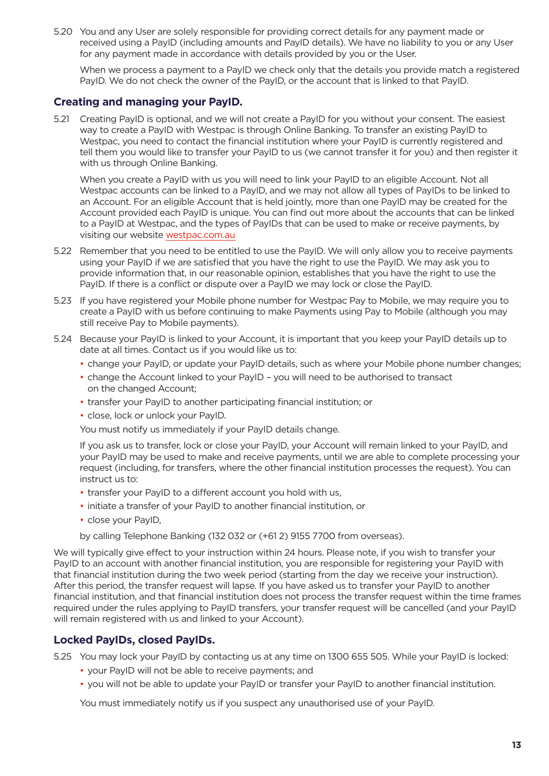5.20 You and any User are solely responsible for providing correct details for any payment made or received using a PayID (including amounts and PayID details). We have no liability to you or any User for any payment made in accordance with details provided by you or the User.

 When we process a payment to a PayID we check only that the details you provide match a registered PayID. We do not check the owner of the PayID, or the account that is linked to that PayID.

### **Creating and managing your PayID.**

5.21 Creating PayID is optional, and we will not create a PayID for you without your consent. The easiest way to create a PayID with Westpac is through Online Banking. To transfer an existing PayID to Westpac, you need to contact the financial institution where your PayID is currently registered and tell them you would like to transfer your PayID to us (we cannot transfer it for you) and then register it with us through Online Banking.

 When you create a PayID with us you will need to link your PayID to an eligible Account. Not all Westpac accounts can be linked to a PayID, and we may not allow all types of PayIDs to be linked to an Account. For an eligible Account that is held jointly, more than one PayID may be created for the Account provided each PayID is unique. You can find out more about the accounts that can be linked to a PayID at Westpac, and the types of PayIDs that can be used to make or receive payments, by visiting our website [westpac.com.au](https://www.westpac.com.au/)

- 5.22 Remember that you need to be entitled to use the PayID. We will only allow you to receive payments using your PayID if we are satisfied that you have the right to use the PayID. We may ask you to provide information that, in our reasonable opinion, establishes that you have the right to use the PayID. If there is a conflict or dispute over a PayID we may lock or close the PayID.
- 5.23 If you have registered your Mobile phone number for Westpac Pay to Mobile, we may require you to create a PayID with us before continuing to make Payments using Pay to Mobile (although you may still receive Pay to Mobile payments).
- 5.24 Because your PayID is linked to your Account, it is important that you keep your PayID details up to date at all times. Contact us if you would like us to:
	- change your PayID, or update your PayID details, such as where your Mobile phone number changes;
	- change the Account linked to your PayID you will need to be authorised to transact on the changed Account;
	- transfer your PayID to another participating financial institution; or
	- close, lock or unlock your PayID.

You must notify us immediately if your PayID details change.

 If you ask us to transfer, lock or close your PayID, your Account will remain linked to your PayID, and your PayID may be used to make and receive payments, until we are able to complete processing your request (including, for transfers, where the other financial institution processes the request). You can instruct us to:

- transfer your PayID to a different account you hold with us,
- initiate a transfer of your PayID to another financial institution, or
- close your PayID,

by calling Telephone Banking (132 032 or (+61 2) 9155 7700 from overseas).

We will typically give effect to your instruction within 24 hours. Please note, if you wish to transfer your PayID to an account with another financial institution, you are responsible for registering your PayID with that financial institution during the two week period (starting from the day we receive your instruction). After this period, the transfer request will lapse. If you have asked us to transfer your PayID to another financial institution, and that financial institution does not process the transfer request within the time frames required under the rules applying to PayID transfers, your transfer request will be cancelled (and your PayID will remain registered with us and linked to your Account).

### **Locked PayIDs, closed PayIDs.**

5.25 You may lock your PayID by contacting us at any time on 1300 655 505. While your PayID is locked:

- your PayID will not be able to receive payments; and
- you will not be able to update your PayID or transfer your PayID to another financial institution.

You must immediately notify us if you suspect any unauthorised use of your PayID.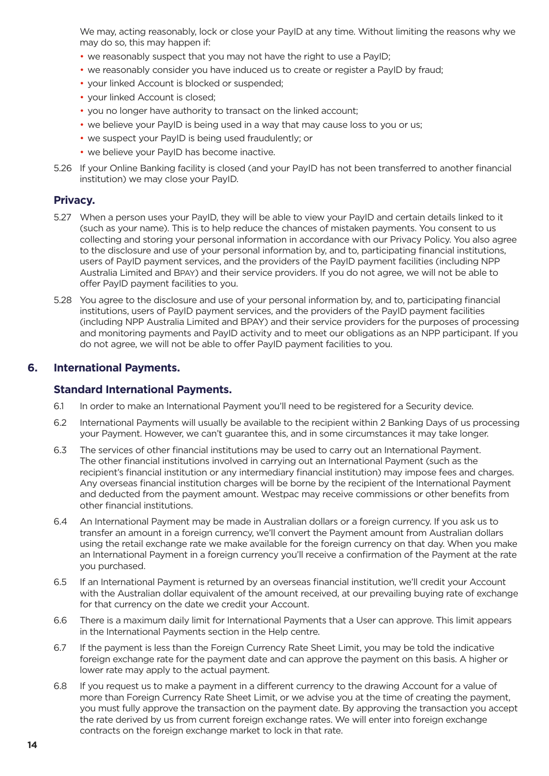<span id="page-13-0"></span> We may, acting reasonably, lock or close your PayID at any time. Without limiting the reasons why we may do so, this may happen if:

- we reasonably suspect that you may not have the right to use a PayID;
- we reasonably consider you have induced us to create or register a PayID by fraud;
- your linked Account is blocked or suspended;
- your linked Account is closed;
- you no longer have authority to transact on the linked account;
- we believe your PayID is being used in a way that may cause loss to you or us;
- we suspect your PayID is being used fraudulently; or
- we believe your PayID has become inactive.
- 5.26 If your Online Banking facility is closed (and your PayID has not been transferred to another financial institution) we may close your PayID.

### **Privacy.**

- 5.27 When a person uses your PayID, they will be able to view your PayID and certain details linked to it (such as your name). This is to help reduce the chances of mistaken payments. You consent to us collecting and storing your personal information in accordance with our Privacy Policy. You also agree to the disclosure and use of your personal information by, and to, participating financial institutions, users of PayID payment services, and the providers of the PayID payment facilities (including NPP Australia Limited and BPAY) and their service providers. If you do not agree, we will not be able to offer PayID payment facilities to you.
- 5.28 You agree to the disclosure and use of your personal information by, and to, participating financial institutions, users of PayID payment services, and the providers of the PayID payment facilities (including NPP Australia Limited and BPAY) and their service providers for the purposes of processing and monitoring payments and PayID activity and to meet our obligations as an NPP participant. If you do not agree, we will not be able to offer PayID payment facilities to you.

### **6. International Payments.**

### **Standard International Payments.**

- 6.1 In order to make an International Payment you'll need to be registered for a Security device.
- 6.2 International Payments will usually be available to the recipient within 2 Banking Days of us processing your Payment. However, we can't guarantee this, and in some circumstances it may take longer.
- 6.3 The services of other financial institutions may be used to carry out an International Payment. The other financial institutions involved in carrying out an International Payment (such as the recipient's financial institution or any intermediary financial institution) may impose fees and charges. Any overseas financial institution charges will be borne by the recipient of the International Payment and deducted from the payment amount. Westpac may receive commissions or other benefits from other financial institutions.
- 6.4 An International Payment may be made in Australian dollars or a foreign currency. If you ask us to transfer an amount in a foreign currency, we'll convert the Payment amount from Australian dollars using the retail exchange rate we make available for the foreign currency on that day. When you make an International Payment in a foreign currency you'll receive a confirmation of the Payment at the rate you purchased.
- 6.5 If an International Payment is returned by an overseas financial institution, we'll credit your Account with the Australian dollar equivalent of the amount received, at our prevailing buying rate of exchange for that currency on the date we credit your Account.
- 6.6 There is a maximum daily limit for International Payments that a User can approve. This limit appears in the International Payments section in the Help centre.
- 6.7 If the payment is less than the Foreign Currency Rate Sheet Limit, you may be told the indicative foreign exchange rate for the payment date and can approve the payment on this basis. A higher or lower rate may apply to the actual payment.
- 6.8 If you request us to make a payment in a different currency to the drawing Account for a value of more than Foreign Currency Rate Sheet Limit, or we advise you at the time of creating the payment, you must fully approve the transaction on the payment date. By approving the transaction you accept the rate derived by us from current foreign exchange rates. We will enter into foreign exchange contracts on the foreign exchange market to lock in that rate.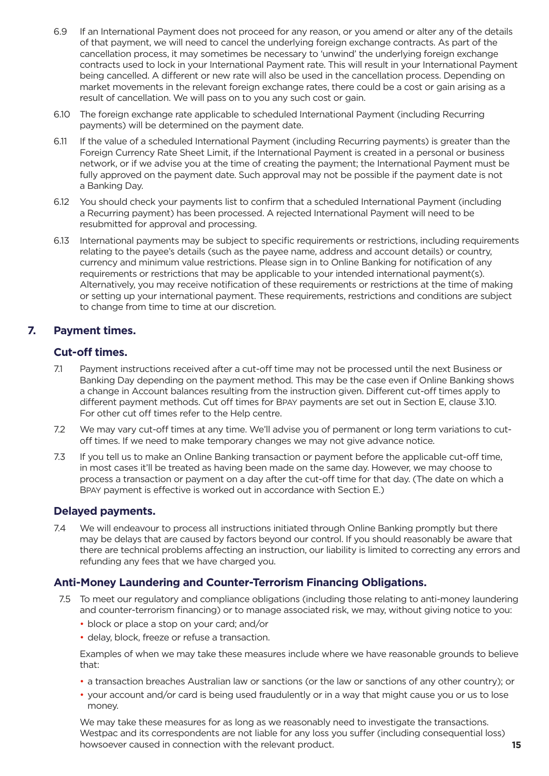- <span id="page-14-0"></span>6.9 If an International Payment does not proceed for any reason, or you amend or alter any of the details of that payment, we will need to cancel the underlying foreign exchange contracts. As part of the cancellation process, it may sometimes be necessary to 'unwind' the underlying foreign exchange contracts used to lock in your International Payment rate. This will result in your International Payment being cancelled. A different or new rate will also be used in the cancellation process. Depending on market movements in the relevant foreign exchange rates, there could be a cost or gain arising as a result of cancellation. We will pass on to you any such cost or gain.
- 6.10 The foreign exchange rate applicable to scheduled International Payment (including Recurring payments) will be determined on the payment date.
- 6.11 If the value of a scheduled International Payment (including Recurring payments) is greater than the Foreign Currency Rate Sheet Limit, if the International Payment is created in a personal or business network, or if we advise you at the time of creating the payment; the International Payment must be fully approved on the payment date. Such approval may not be possible if the payment date is not a Banking Day.
- 6.12 You should check your payments list to confirm that a scheduled International Payment (including a Recurring payment) has been processed. A rejected International Payment will need to be resubmitted for approval and processing.
- 6.13 International payments may be subject to specific requirements or restrictions, including requirements relating to the payee's details (such as the payee name, address and account details) or country, currency and minimum value restrictions. Please sign in to Online Banking for notification of any requirements or restrictions that may be applicable to your intended international payment(s). Alternatively, you may receive notification of these requirements or restrictions at the time of making or setting up your international payment. These requirements, restrictions and conditions are subject to change from time to time at our discretion.

### **7. Payment times.**

### **Cut-off times.**

- 7.1 Payment instructions received after a cut-off time may not be processed until the next Business or Banking Day depending on the payment method. This may be the case even if Online Banking shows a change in Account balances resulting from the instruction given. Different cut-off times apply to different payment methods. Cut off times for BPAY payments are set out in Section E, clause 3.10. For other cut off times refer to the Help centre.
- 7.2 We may vary cut-off times at any time. We'll advise you of permanent or long term variations to cutoff times. If we need to make temporary changes we may not give advance notice.
- 7.3 If you tell us to make an Online Banking transaction or payment before the applicable cut-off time, in most cases it'll be treated as having been made on the same day. However, we may choose to process a transaction or payment on a day after the cut-off time for that day. (The date on which a BPAY payment is effective is worked out in accordance with Section E.)

### **Delayed payments.**

7.4 We will endeavour to process all instructions initiated through Online Banking promptly but there may be delays that are caused by factors beyond our control. If you should reasonably be aware that there are technical problems affecting an instruction, our liability is limited to correcting any errors and refunding any fees that we have charged you.

### **Anti-Money Laundering and Counter-Terrorism Financing Obligations.**

- 7.5 To meet our regulatory and compliance obligations (including those relating to anti-money laundering and counter-terrorism financing) or to manage associated risk, we may, without giving notice to you:
	- block or place a stop on your card; and/or
	- delay, block, freeze or refuse a transaction.

 Examples of when we may take these measures include where we have reasonable grounds to believe that:

- a transaction breaches Australian law or sanctions (or the law or sanctions of any other country); or
- your account and/or card is being used fraudulently or in a way that might cause you or us to lose money.

 We may take these measures for as long as we reasonably need to investigate the transactions. Westpac and its correspondents are not liable for any loss you suffer (including consequential loss) howsoever caused in connection with the relevant product.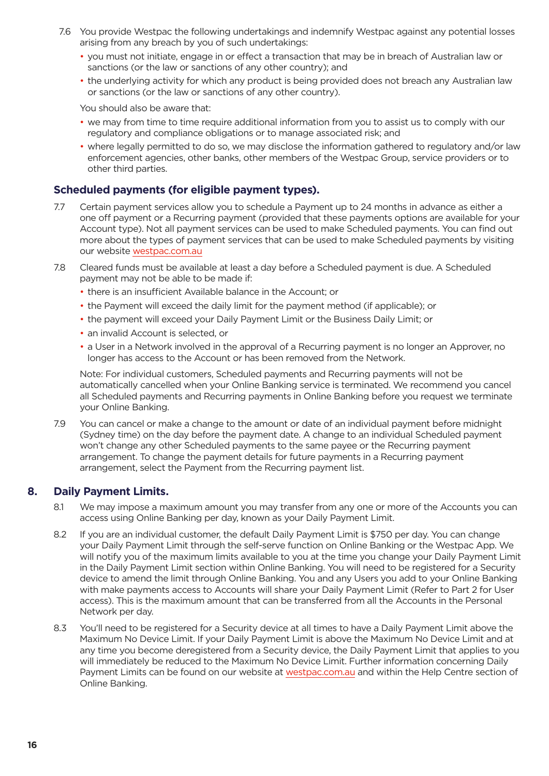- <span id="page-15-0"></span>7.6 You provide Westpac the following undertakings and indemnify Westpac against any potential losses arising from any breach by you of such undertakings:
	- you must not initiate, engage in or effect a transaction that may be in breach of Australian law or sanctions (or the law or sanctions of any other country); and
	- the underlying activity for which any product is being provided does not breach any Australian law or sanctions (or the law or sanctions of any other country).

You should also be aware that:

- we may from time to time require additional information from you to assist us to comply with our regulatory and compliance obligations or to manage associated risk; and
- where legally permitted to do so, we may disclose the information gathered to regulatory and/or law enforcement agencies, other banks, other members of the Westpac Group, service providers or to other third parties.

### **Scheduled payments (for eligible payment types).**

- 7.7 Certain payment services allow you to schedule a Payment up to 24 months in advance as either a one off payment or a Recurring payment (provided that these payments options are available for your Account type). Not all payment services can be used to make Scheduled payments. You can find out more about the types of payment services that can be used to make Scheduled payments by visiting our website [westpac.com.au](https://www.westpac.com.au/)
- 7.8 Cleared funds must be available at least a day before a Scheduled payment is due. A Scheduled payment may not be able to be made if:
	- there is an insufficient Available balance in the Account; or
	- the Payment will exceed the daily limit for the payment method (if applicable); or
	- the payment will exceed your Daily Payment Limit or the Business Daily Limit; or
	- an invalid Account is selected, or
	- a User in a Network involved in the approval of a Recurring payment is no longer an Approver, no longer has access to the Account or has been removed from the Network.

 Note: For individual customers, Scheduled payments and Recurring payments will not be automatically cancelled when your Online Banking service is terminated. We recommend you cancel all Scheduled payments and Recurring payments in Online Banking before you request we terminate your Online Banking.

7.9 You can cancel or make a change to the amount or date of an individual payment before midnight (Sydney time) on the day before the payment date. A change to an individual Scheduled payment won't change any other Scheduled payments to the same payee or the Recurring payment arrangement. To change the payment details for future payments in a Recurring payment arrangement, select the Payment from the Recurring payment list.

### **8. Daily Payment Limits.**

- 8.1 We may impose a maximum amount you may transfer from any one or more of the Accounts you can access using Online Banking per day, known as your Daily Payment Limit.
- 8.2 If you are an individual customer, the default Daily Payment Limit is \$750 per day. You can change your Daily Payment Limit through the self-serve function on Online Banking or the Westpac App. We will notify you of the maximum limits available to you at the time you change your Daily Payment Limit in the Daily Payment Limit section within Online Banking. You will need to be registered for a Security device to amend the limit through Online Banking. You and any Users you add to your Online Banking with make payments access to Accounts will share your Daily Payment Limit (Refer to Part 2 for User access). This is the maximum amount that can be transferred from all the Accounts in the Personal Network per day.
- 8.3 You'll need to be registered for a Security device at all times to have a Daily Payment Limit above the Maximum No Device Limit. If your Daily Payment Limit is above the Maximum No Device Limit and at any time you become deregistered from a Security device, the Daily Payment Limit that applies to you will immediately be reduced to the Maximum No Device Limit. Further information concerning Daily Payment Limits can be found on our website at westpac.com.au and within the Help Centre section of Online Banking.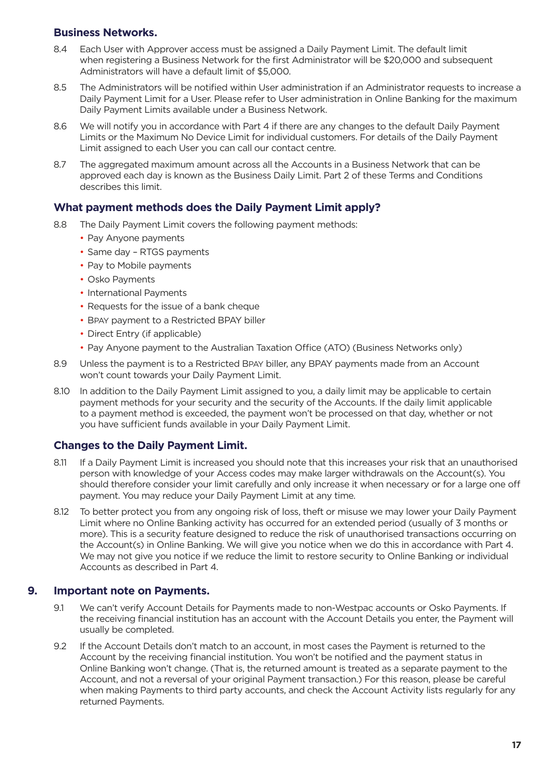### <span id="page-16-0"></span>**Business Networks.**

- 8.4 Each User with Approver access must be assigned a Daily Payment Limit. The default limit when registering a Business Network for the first Administrator will be \$20,000 and subsequent Administrators will have a default limit of \$5,000.
- 8.5 The Administrators will be notified within User administration if an Administrator requests to increase a Daily Payment Limit for a User. Please refer to User administration in Online Banking for the maximum Daily Payment Limits available under a Business Network.
- 8.6 We will notify you in accordance with Part 4 if there are any changes to the default Daily Payment Limits or the Maximum No Device Limit for individual customers. For details of the Daily Payment Limit assigned to each User you can call our contact centre.
- 8.7 The aggregated maximum amount across all the Accounts in a Business Network that can be approved each day is known as the Business Daily Limit. Part 2 of these Terms and Conditions describes this limit.

### **What payment methods does the Daily Payment Limit apply?**

- 8.8 The Daily Payment Limit covers the following payment methods:
	- Pay Anyone payments
	- Same day RTGS payments
	- Pay to Mobile payments
	- Osko Payments
	- International Payments
	- Requests for the issue of a bank cheque
	- BPAY payment to a Restricted BPAY biller
	- Direct Entry (if applicable)
	- Pay Anyone payment to the Australian Taxation Office (ATO) (Business Networks only)
- 8.9 Unless the payment is to a Restricted BPAY biller, any BPAY payments made from an Account won't count towards your Daily Payment Limit.
- 8.10 In addition to the Daily Payment Limit assigned to you, a daily limit may be applicable to certain payment methods for your security and the security of the Accounts. If the daily limit applicable to a payment method is exceeded, the payment won't be processed on that day, whether or not you have sufficient funds available in your Daily Payment Limit.

### **Changes to the Daily Payment Limit.**

- 8.11 If a Daily Payment Limit is increased you should note that this increases your risk that an unauthorised person with knowledge of your Access codes may make larger withdrawals on the Account(s). You should therefore consider your limit carefully and only increase it when necessary or for a large one off payment. You may reduce your Daily Payment Limit at any time.
- 8.12 To better protect you from any ongoing risk of loss, theft or misuse we may lower your Daily Payment Limit where no Online Banking activity has occurred for an extended period (usually of 3 months or more). This is a security feature designed to reduce the risk of unauthorised transactions occurring on the Account(s) in Online Banking. We will give you notice when we do this in accordance with Part 4. We may not give you notice if we reduce the limit to restore security to Online Banking or individual Accounts as described in Part 4.

### **9. Important note on Payments.**

- 9.1 We can't verify Account Details for Payments made to non-Westpac accounts or Osko Payments. If the receiving financial institution has an account with the Account Details you enter, the Payment will usually be completed.
- 9.2 If the Account Details don't match to an account, in most cases the Payment is returned to the Account by the receiving financial institution. You won't be notified and the payment status in Online Banking won't change. (That is, the returned amount is treated as a separate payment to the Account, and not a reversal of your original Payment transaction.) For this reason, please be careful when making Payments to third party accounts, and check the Account Activity lists regularly for any returned Payments.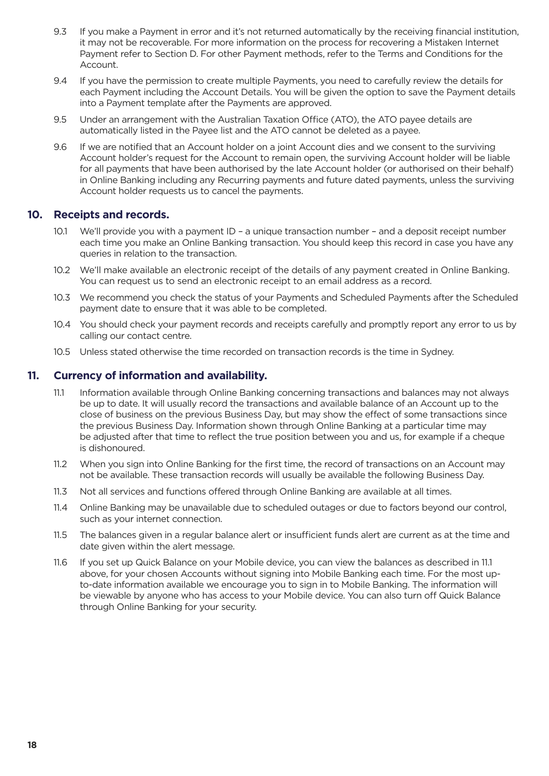- <span id="page-17-0"></span>9.3 If you make a Payment in error and it's not returned automatically by the receiving financial institution, it may not be recoverable. For more information on the process for recovering a Mistaken Internet Payment refer to Section D. For other Payment methods, refer to the Terms and Conditions for the Account.
- 9.4 If you have the permission to create multiple Payments, you need to carefully review the details for each Payment including the Account Details. You will be given the option to save the Payment details into a Payment template after the Payments are approved.
- 9.5 Under an arrangement with the Australian Taxation Office (ATO), the ATO payee details are automatically listed in the Payee list and the ATO cannot be deleted as a payee.
- 9.6 If we are notified that an Account holder on a joint Account dies and we consent to the surviving Account holder's request for the Account to remain open, the surviving Account holder will be liable for all payments that have been authorised by the late Account holder (or authorised on their behalf) in Online Banking including any Recurring payments and future dated payments, unless the surviving Account holder requests us to cancel the payments.

### **10. Receipts and records.**

- 10.1 We'll provide you with a payment ID a unique transaction number and a deposit receipt number each time you make an Online Banking transaction. You should keep this record in case you have any queries in relation to the transaction.
- 10.2 We'll make available an electronic receipt of the details of any payment created in Online Banking. You can request us to send an electronic receipt to an email address as a record.
- 10.3 We recommend you check the status of your Payments and Scheduled Payments after the Scheduled payment date to ensure that it was able to be completed.
- 10.4 You should check your payment records and receipts carefully and promptly report any error to us by calling our contact centre.
- 10.5 Unless stated otherwise the time recorded on transaction records is the time in Sydney.

### **11. Currency of information and availability.**

- 11.1 Information available through Online Banking concerning transactions and balances may not always be up to date. It will usually record the transactions and available balance of an Account up to the close of business on the previous Business Day, but may show the effect of some transactions since the previous Business Day. Information shown through Online Banking at a particular time may be adjusted after that time to reflect the true position between you and us, for example if a cheque is dishonoured.
- 11.2 When you sign into Online Banking for the first time, the record of transactions on an Account may not be available. These transaction records will usually be available the following Business Day.
- 11.3 Not all services and functions offered through Online Banking are available at all times.
- 11.4 Online Banking may be unavailable due to scheduled outages or due to factors beyond our control, such as your internet connection.
- 11.5 The balances given in a regular balance alert or insufficient funds alert are current as at the time and date given within the alert message.
- 11.6 If you set up Quick Balance on your Mobile device, you can view the balances as described in 11.1 above, for your chosen Accounts without signing into Mobile Banking each time. For the most upto-date information available we encourage you to sign in to Mobile Banking. The information will be viewable by anyone who has access to your Mobile device. You can also turn off Quick Balance through Online Banking for your security.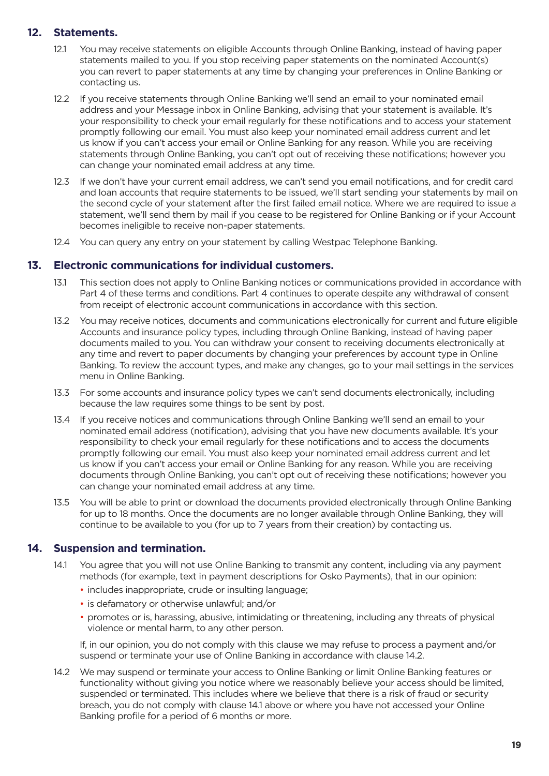### <span id="page-18-0"></span>**12. Statements.**

- 12.1 You may receive statements on eligible Accounts through Online Banking, instead of having paper statements mailed to you. If you stop receiving paper statements on the nominated Account(s) you can revert to paper statements at any time by changing your preferences in Online Banking or contacting us.
- 12.2 If you receive statements through Online Banking we'll send an email to your nominated email address and your Message inbox in Online Banking, advising that your statement is available. It's your responsibility to check your email regularly for these notifications and to access your statement promptly following our email. You must also keep your nominated email address current and let us know if you can't access your email or Online Banking for any reason. While you are receiving statements through Online Banking, you can't opt out of receiving these notifications; however you can change your nominated email address at any time.
- 12.3 If we don't have your current email address, we can't send you email notifications, and for credit card and loan accounts that require statements to be issued, we'll start sending your statements by mail on the second cycle of your statement after the first failed email notice. Where we are required to issue a statement, we'll send them by mail if you cease to be registered for Online Banking or if your Account becomes ineligible to receive non-paper statements.
- 12.4 You can query any entry on your statement by calling Westpac Telephone Banking.

### **13. Electronic communications for individual customers.**

- 13.1 This section does not apply to Online Banking notices or communications provided in accordance with Part 4 of these terms and conditions. Part 4 continues to operate despite any withdrawal of consent from receipt of electronic account communications in accordance with this section.
- 13.2 You may receive notices, documents and communications electronically for current and future eligible Accounts and insurance policy types, including through Online Banking, instead of having paper documents mailed to you. You can withdraw your consent to receiving documents electronically at any time and revert to paper documents by changing your preferences by account type in Online Banking. To review the account types, and make any changes, go to your mail settings in the services menu in Online Banking.
- 13.3 For some accounts and insurance policy types we can't send documents electronically, including because the law requires some things to be sent by post.
- 13.4 If you receive notices and communications through Online Banking we'll send an email to your nominated email address (notification), advising that you have new documents available. It's your responsibility to check your email regularly for these notifications and to access the documents promptly following our email. You must also keep your nominated email address current and let us know if you can't access your email or Online Banking for any reason. While you are receiving documents through Online Banking, you can't opt out of receiving these notifications; however you can change your nominated email address at any time.
- 13.5 You will be able to print or download the documents provided electronically through Online Banking for up to 18 months. Once the documents are no longer available through Online Banking, they will continue to be available to you (for up to 7 years from their creation) by contacting us.

### **14. Suspension and termination.**

- 14.1 You agree that you will not use Online Banking to transmit any content, including via any payment methods (for example, text in payment descriptions for Osko Payments), that in our opinion:
	- includes inappropriate, crude or insulting language;
	- is defamatory or otherwise unlawful; and/or
	- promotes or is, harassing, abusive, intimidating or threatening, including any threats of physical violence or mental harm, to any other person.

If, in our opinion, you do not comply with this clause we may refuse to process a payment and/or suspend or terminate your use of Online Banking in accordance with clause 14.2.

14.2 We may suspend or terminate your access to Online Banking or limit Online Banking features or functionality without giving you notice where we reasonably believe your access should be limited, suspended or terminated. This includes where we believe that there is a risk of fraud or security breach, you do not comply with clause 14.1 above or where you have not accessed your Online Banking profile for a period of 6 months or more.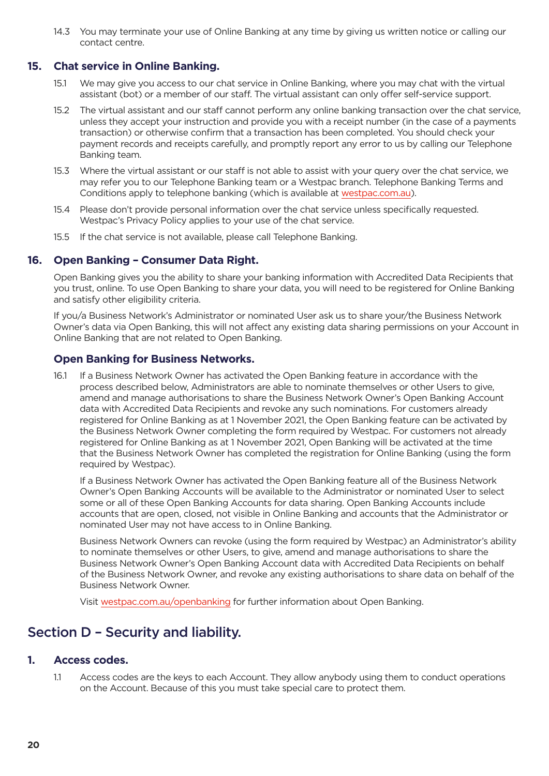<span id="page-19-0"></span>14.3 You may terminate your use of Online Banking at any time by giving us written notice or calling our contact centre.

### **15. Chat service in Online Banking.**

- 15.1 We may give you access to our chat service in Online Banking, where you may chat with the virtual assistant (bot) or a member of our staff. The virtual assistant can only offer self-service support.
- 15.2 The virtual assistant and our staff cannot perform any online banking transaction over the chat service, unless they accept your instruction and provide you with a receipt number (in the case of a payments transaction) or otherwise confirm that a transaction has been completed. You should check your payment records and receipts carefully, and promptly report any error to us by calling our Telephone Banking team.
- 15.3 Where the virtual assistant or our staff is not able to assist with your query over the chat service, we may refer you to our Telephone Banking team or a Westpac branch. Telephone Banking Terms and Conditions apply to telephone banking (which is available at [westpac.com.au\)](https://www.westpac.com.au/).
- 15.4 Please don't provide personal information over the chat service unless specifically requested. Westpac's Privacy Policy applies to your use of the chat service.
- 15.5 If the chat service is not available, please call Telephone Banking.

### **16. Open Banking – Consumer Data Right.**

Open Banking gives you the ability to share your banking information with Accredited Data Recipients that you trust, online. To use Open Banking to share your data, you will need to be registered for Online Banking and satisfy other eligibility criteria.

If you/a Business Network's Administrator or nominated User ask us to share your/the Business Network Owner's data via Open Banking, this will not affect any existing data sharing permissions on your Account in Online Banking that are not related to Open Banking.

### **Open Banking for Business Networks.**

16.1 If a Business Network Owner has activated the Open Banking feature in accordance with the process described below, Administrators are able to nominate themselves or other Users to give, amend and manage authorisations to share the Business Network Owner's Open Banking Account data with Accredited Data Recipients and revoke any such nominations. For customers already registered for Online Banking as at 1 November 2021, the Open Banking feature can be activated by the Business Network Owner completing the form required by Westpac. For customers not already registered for Online Banking as at 1 November 2021, Open Banking will be activated at the time that the Business Network Owner has completed the registration for Online Banking (using the form required by Westpac).

If a Business Network Owner has activated the Open Banking feature all of the Business Network Owner's Open Banking Accounts will be available to the Administrator or nominated User to select some or all of these Open Banking Accounts for data sharing. Open Banking Accounts include accounts that are open, closed, not visible in Online Banking and accounts that the Administrator or nominated User may not have access to in Online Banking.

Business Network Owners can revoke (using the form required by Westpac) an Administrator's ability to nominate themselves or other Users, to give, amend and manage authorisations to share the Business Network Owner's Open Banking Account data with Accredited Data Recipients on behalf of the Business Network Owner, and revoke any existing authorisations to share data on behalf of the Business Network Owner.

Visit [westpac.com.au/openbanking](http://westpac.com.au/openbanking) for further information about Open Banking.

### Section D – Security and liability.

### **1. Access codes.**

1.1 Access codes are the keys to each Account. They allow anybody using them to conduct operations on the Account. Because of this you must take special care to protect them.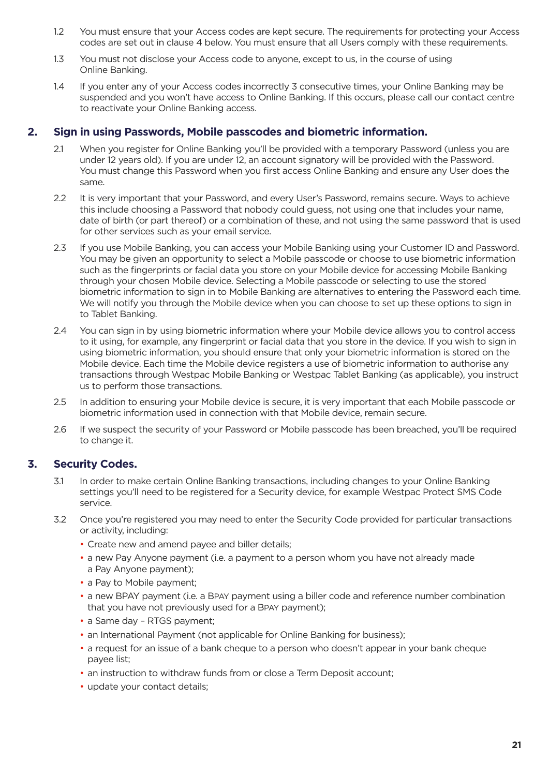- <span id="page-20-0"></span>1.2 You must ensure that your Access codes are kept secure. The requirements for protecting your Access codes are set out in clause 4 below. You must ensure that all Users comply with these requirements.
- 1.3 You must not disclose your Access code to anyone, except to us, in the course of using Online Banking.
- 1.4 If you enter any of your Access codes incorrectly 3 consecutive times, your Online Banking may be suspended and you won't have access to Online Banking. If this occurs, please call our contact centre to reactivate your Online Banking access.

### **2. Sign in using Passwords, Mobile passcodes and biometric information.**

- 2.1 When you register for Online Banking you'll be provided with a temporary Password (unless you are under 12 years old). If you are under 12, an account signatory will be provided with the Password. You must change this Password when you first access Online Banking and ensure any User does the same.
- 2.2 It is very important that your Password, and every User's Password, remains secure. Ways to achieve this include choosing a Password that nobody could guess, not using one that includes your name, date of birth (or part thereof) or a combination of these, and not using the same password that is used for other services such as your email service.
- 2.3 If you use Mobile Banking, you can access your Mobile Banking using your Customer ID and Password. You may be given an opportunity to select a Mobile passcode or choose to use biometric information such as the fingerprints or facial data you store on your Mobile device for accessing Mobile Banking through your chosen Mobile device. Selecting a Mobile passcode or selecting to use the stored biometric information to sign in to Mobile Banking are alternatives to entering the Password each time. We will notify you through the Mobile device when you can choose to set up these options to sign in to Tablet Banking.
- 2.4 You can sign in by using biometric information where your Mobile device allows you to control access to it using, for example, any fingerprint or facial data that you store in the device. If you wish to sign in using biometric information, you should ensure that only your biometric information is stored on the Mobile device. Each time the Mobile device registers a use of biometric information to authorise any transactions through Westpac Mobile Banking or Westpac Tablet Banking (as applicable), you instruct us to perform those transactions.
- 2.5 In addition to ensuring your Mobile device is secure, it is very important that each Mobile passcode or biometric information used in connection with that Mobile device, remain secure.
- 2.6 If we suspect the security of your Password or Mobile passcode has been breached, you'll be required to change it.

### **3. Security Codes.**

- 3.1 In order to make certain Online Banking transactions, including changes to your Online Banking settings you'll need to be registered for a Security device, for example Westpac Protect SMS Code service.
- 3.2 Once you're registered you may need to enter the Security Code provided for particular transactions or activity, including:
	- Create new and amend payee and biller details;
	- a new Pay Anyone payment (i.e. a payment to a person whom you have not already made a Pay Anyone payment);
	- a Pay to Mobile payment;
	- a new BPAY payment (i.e. a BPAY payment using a biller code and reference number combination that you have not previously used for a BPAY payment);
	- a Same day RTGS payment:
	- an International Payment (not applicable for Online Banking for business);
	- a request for an issue of a bank cheque to a person who doesn't appear in your bank cheque payee list;
	- an instruction to withdraw funds from or close a Term Deposit account;
	- update your contact details;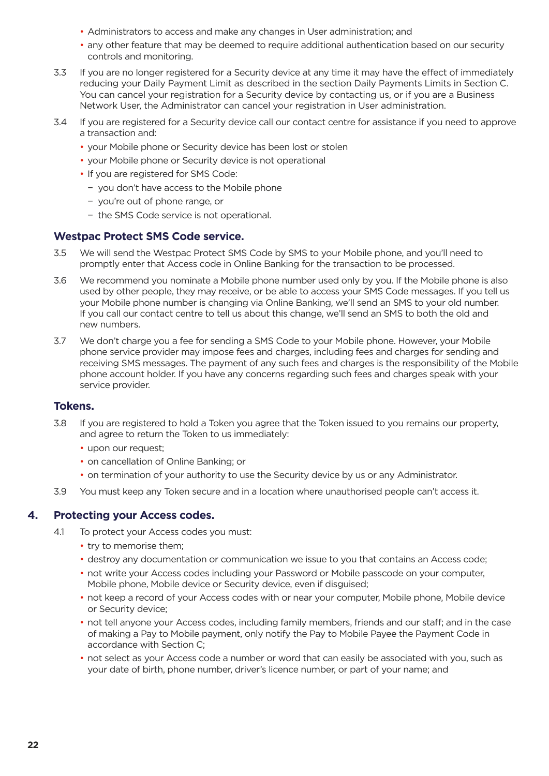- <span id="page-21-0"></span>• Administrators to access and make any changes in User administration; and
- any other feature that may be deemed to require additional authentication based on our security controls and monitoring.
- 3.3 If you are no longer registered for a Security device at any time it may have the effect of immediately reducing your Daily Payment Limit as described in the section Daily Payments Limits in Section C. You can cancel your registration for a Security device by contacting us, or if you are a Business Network User, the Administrator can cancel your registration in User administration.
- 3.4 If you are registered for a Security device call our contact centre for assistance if you need to approve a transaction and:
	- your Mobile phone or Security device has been lost or stolen
	- your Mobile phone or Security device is not operational
	- If you are registered for SMS Code:
		- − you don't have access to the Mobile phone
		- − you're out of phone range, or
		- − the SMS Code service is not operational.

### **Westpac Protect SMS Code service.**

- 3.5 We will send the Westpac Protect SMS Code by SMS to your Mobile phone, and you'll need to promptly enter that Access code in Online Banking for the transaction to be processed.
- 3.6 We recommend you nominate a Mobile phone number used only by you. If the Mobile phone is also used by other people, they may receive, or be able to access your SMS Code messages. If you tell us your Mobile phone number is changing via Online Banking, we'll send an SMS to your old number. If you call our contact centre to tell us about this change, we'll send an SMS to both the old and new numbers.
- 3.7 We don't charge you a fee for sending a SMS Code to your Mobile phone. However, your Mobile phone service provider may impose fees and charges, including fees and charges for sending and receiving SMS messages. The payment of any such fees and charges is the responsibility of the Mobile phone account holder. If you have any concerns regarding such fees and charges speak with your service provider.

### **Tokens.**

- 3.8 If you are registered to hold a Token you agree that the Token issued to you remains our property, and agree to return the Token to us immediately:
	- upon our request;
	- on cancellation of Online Banking; or
	- on termination of your authority to use the Security device by us or any Administrator.
- 3.9 You must keep any Token secure and in a location where unauthorised people can't access it.

### **4. Protecting your Access codes.**

- 4.1 To protect your Access codes you must:
	- try to memorise them;
	- destroy any documentation or communication we issue to you that contains an Access code;
	- not write your Access codes including your Password or Mobile passcode on your computer, Mobile phone, Mobile device or Security device, even if disguised;
	- not keep a record of your Access codes with or near your computer, Mobile phone, Mobile device or Security device;
	- not tell anyone your Access codes, including family members, friends and our staff; and in the case of making a Pay to Mobile payment, only notify the Pay to Mobile Payee the Payment Code in accordance with Section C;
	- not select as your Access code a number or word that can easily be associated with you, such as your date of birth, phone number, driver's licence number, or part of your name; and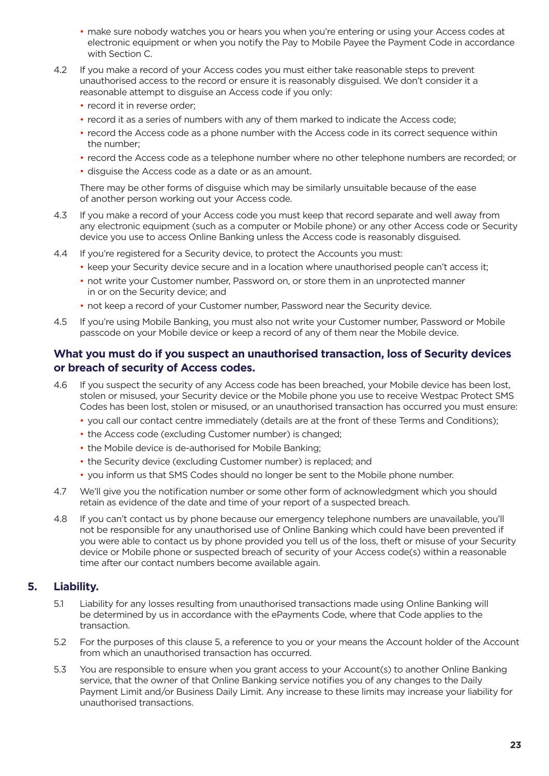- <span id="page-22-0"></span>• make sure nobody watches you or hears you when you're entering or using your Access codes at electronic equipment or when you notify the Pay to Mobile Payee the Payment Code in accordance with Section C.
- 4.2 If you make a record of your Access codes you must either take reasonable steps to prevent unauthorised access to the record or ensure it is reasonably disguised. We don't consider it a reasonable attempt to disguise an Access code if you only:
	- record it in reverse order;
	- record it as a series of numbers with any of them marked to indicate the Access code;
	- record the Access code as a phone number with the Access code in its correct sequence within the number;
	- record the Access code as a telephone number where no other telephone numbers are recorded; or
	- disguise the Access code as a date or as an amount.

 There may be other forms of disguise which may be similarly unsuitable because of the ease of another person working out your Access code.

- 4.3 If you make a record of your Access code you must keep that record separate and well away from any electronic equipment (such as a computer or Mobile phone) or any other Access code or Security device you use to access Online Banking unless the Access code is reasonably disguised.
- 4.4 If you're registered for a Security device, to protect the Accounts you must:
	- keep your Security device secure and in a location where unauthorised people can't access it;
	- not write your Customer number, Password on, or store them in an unprotected manner in or on the Security device; and
	- not keep a record of your Customer number, Password near the Security device.
- 4.5 If you're using Mobile Banking, you must also not write your Customer number, Password or Mobile passcode on your Mobile device or keep a record of any of them near the Mobile device.

### **What you must do if you suspect an unauthorised transaction, loss of Security devices or breach of security of Access codes.**

- 4.6 If you suspect the security of any Access code has been breached, your Mobile device has been lost, stolen or misused, your Security device or the Mobile phone you use to receive Westpac Protect SMS Codes has been lost, stolen or misused, or an unauthorised transaction has occurred you must ensure:
	- you call our contact centre immediately (details are at the front of these Terms and Conditions);
	- the Access code (excluding Customer number) is changed;
	- the Mobile device is de-authorised for Mobile Banking;
	- the Security device (excluding Customer number) is replaced; and
	- you inform us that SMS Codes should no longer be sent to the Mobile phone number.
- 4.7 We'll give you the notification number or some other form of acknowledgment which you should retain as evidence of the date and time of your report of a suspected breach.
- 4.8 If you can't contact us by phone because our emergency telephone numbers are unavailable, you'll not be responsible for any unauthorised use of Online Banking which could have been prevented if you were able to contact us by phone provided you tell us of the loss, theft or misuse of your Security device or Mobile phone or suspected breach of security of your Access code(s) within a reasonable time after our contact numbers become available again.

### **5. Liability.**

- 5.1 Liability for any losses resulting from unauthorised transactions made using Online Banking will be determined by us in accordance with the ePayments Code, where that Code applies to the transaction.
- 5.2 For the purposes of this clause 5, a reference to you or your means the Account holder of the Account from which an unauthorised transaction has occurred.
- 5.3 You are responsible to ensure when you grant access to your Account(s) to another Online Banking service, that the owner of that Online Banking service notifies you of any changes to the Daily Payment Limit and/or Business Daily Limit. Any increase to these limits may increase your liability for unauthorised transactions.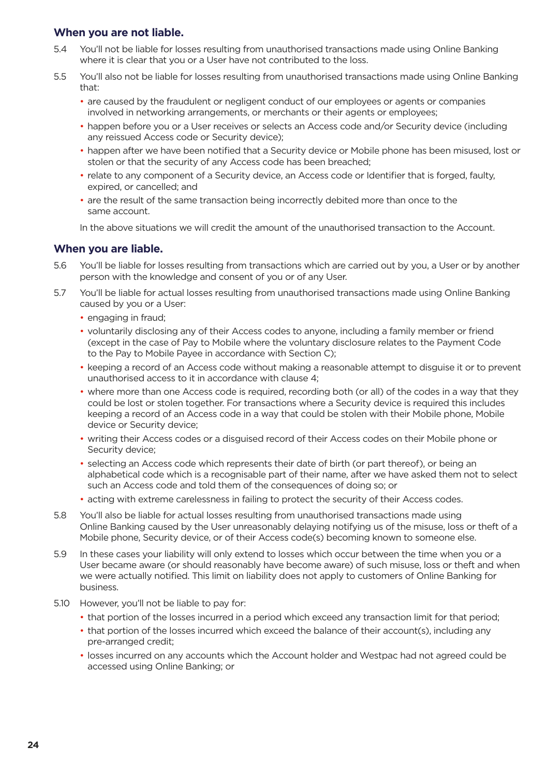### **When you are not liable.**

- 5.4 You'll not be liable for losses resulting from unauthorised transactions made using Online Banking where it is clear that you or a User have not contributed to the loss.
- 5.5 You'll also not be liable for losses resulting from unauthorised transactions made using Online Banking that:
	- are caused by the fraudulent or negligent conduct of our employees or agents or companies involved in networking arrangements, or merchants or their agents or employees;
	- happen before you or a User receives or selects an Access code and/or Security device (including any reissued Access code or Security device);
	- happen after we have been notified that a Security device or Mobile phone has been misused, lost or stolen or that the security of any Access code has been breached;
	- relate to any component of a Security device, an Access code or Identifier that is forged, faulty, expired, or cancelled; and
	- are the result of the same transaction being incorrectly debited more than once to the same account.

In the above situations we will credit the amount of the unauthorised transaction to the Account.

### **When you are liable.**

- 5.6 You'll be liable for losses resulting from transactions which are carried out by you, a User or by another person with the knowledge and consent of you or of any User.
- 5.7 You'll be liable for actual losses resulting from unauthorised transactions made using Online Banking caused by you or a User:
	- engaging in fraud;
	- voluntarily disclosing any of their Access codes to anyone, including a family member or friend (except in the case of Pay to Mobile where the voluntary disclosure relates to the Payment Code to the Pay to Mobile Payee in accordance with Section C);
	- keeping a record of an Access code without making a reasonable attempt to disguise it or to prevent unauthorised access to it in accordance with clause 4;
	- where more than one Access code is required, recording both (or all) of the codes in a way that they could be lost or stolen together. For transactions where a Security device is required this includes keeping a record of an Access code in a way that could be stolen with their Mobile phone, Mobile device or Security device;
	- writing their Access codes or a disguised record of their Access codes on their Mobile phone or Security device;
	- selecting an Access code which represents their date of birth (or part thereof), or being an alphabetical code which is a recognisable part of their name, after we have asked them not to select such an Access code and told them of the consequences of doing so; or
	- acting with extreme carelessness in failing to protect the security of their Access codes.
- 5.8 You'll also be liable for actual losses resulting from unauthorised transactions made using Online Banking caused by the User unreasonably delaying notifying us of the misuse, loss or theft of a Mobile phone, Security device, or of their Access code(s) becoming known to someone else.
- 5.9 In these cases your liability will only extend to losses which occur between the time when you or a User became aware (or should reasonably have become aware) of such misuse, loss or theft and when we were actually notified. This limit on liability does not apply to customers of Online Banking for business.
- 5.10 However, you'll not be liable to pay for:
	- that portion of the losses incurred in a period which exceed any transaction limit for that period;
	- that portion of the losses incurred which exceed the balance of their account(s), including any pre-arranged credit;
	- losses incurred on any accounts which the Account holder and Westpac had not agreed could be accessed using Online Banking; or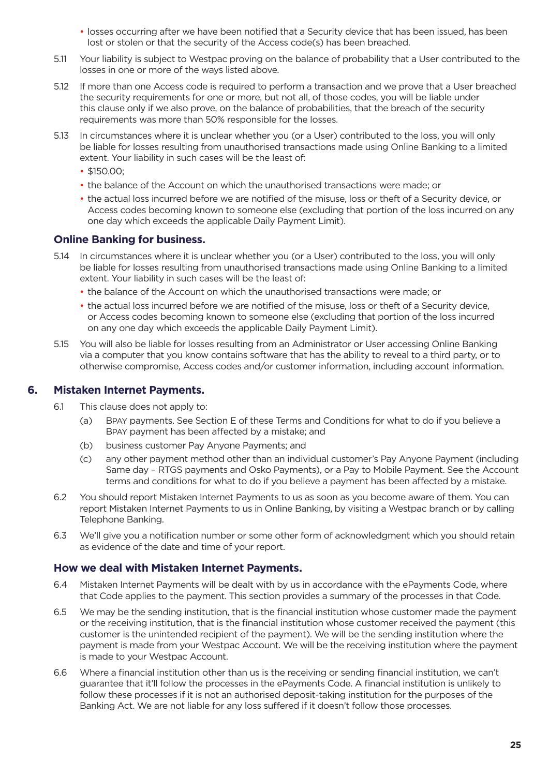- losses occurring after we have been notified that a Security device that has been issued, has been lost or stolen or that the security of the Access code(s) has been breached.
- <span id="page-24-0"></span>5.11 Your liability is subject to Westpac proving on the balance of probability that a User contributed to the losses in one or more of the ways listed above.
- 5.12 If more than one Access code is required to perform a transaction and we prove that a User breached the security requirements for one or more, but not all, of those codes, you will be liable under this clause only if we also prove, on the balance of probabilities, that the breach of the security requirements was more than 50% responsible for the losses.
- 5.13 In circumstances where it is unclear whether you (or a User) contributed to the loss, you will only be liable for losses resulting from unauthorised transactions made using Online Banking to a limited extent. Your liability in such cases will be the least of:
	- \$150.00:
	- the balance of the Account on which the unauthorised transactions were made; or
	- the actual loss incurred before we are notified of the misuse, loss or theft of a Security device, or Access codes becoming known to someone else (excluding that portion of the loss incurred on any one day which exceeds the applicable Daily Payment Limit).

### **Online Banking for business.**

- 5.14 In circumstances where it is unclear whether you (or a User) contributed to the loss, you will only be liable for losses resulting from unauthorised transactions made using Online Banking to a limited extent. Your liability in such cases will be the least of:
	- the balance of the Account on which the unauthorised transactions were made; or
	- the actual loss incurred before we are notified of the misuse, loss or theft of a Security device, or Access codes becoming known to someone else (excluding that portion of the loss incurred on any one day which exceeds the applicable Daily Payment Limit).
- 5.15 You will also be liable for losses resulting from an Administrator or User accessing Online Banking via a computer that you know contains software that has the ability to reveal to a third party, or to otherwise compromise, Access codes and/or customer information, including account information.

### **6. Mistaken Internet Payments.**

- 6.1 This clause does not apply to:
	- (a) BPAY payments. See Section E of these Terms and Conditions for what to do if you believe a BPAY payment has been affected by a mistake; and
	- (b) business customer Pay Anyone Payments; and
	- (c) any other payment method other than an individual customer's Pay Anyone Payment (including Same day – RTGS payments and Osko Payments), or a Pay to Mobile Payment. See the Account terms and conditions for what to do if you believe a payment has been affected by a mistake.
- 6.2 You should report Mistaken Internet Payments to us as soon as you become aware of them. You can report Mistaken Internet Payments to us in Online Banking, by visiting a Westpac branch or by calling Telephone Banking.
- 6.3 We'll give you a notification number or some other form of acknowledgment which you should retain as evidence of the date and time of your report.

### **How we deal with Mistaken Internet Payments.**

- 6.4 Mistaken Internet Payments will be dealt with by us in accordance with the ePayments Code, where that Code applies to the payment. This section provides a summary of the processes in that Code.
- 6.5 We may be the sending institution, that is the financial institution whose customer made the payment or the receiving institution, that is the financial institution whose customer received the payment (this customer is the unintended recipient of the payment). We will be the sending institution where the payment is made from your Westpac Account. We will be the receiving institution where the payment is made to your Westpac Account.
- 6.6 Where a financial institution other than us is the receiving or sending financial institution, we can't guarantee that it'll follow the processes in the ePayments Code. A financial institution is unlikely to follow these processes if it is not an authorised deposit-taking institution for the purposes of the Banking Act. We are not liable for any loss suffered if it doesn't follow those processes.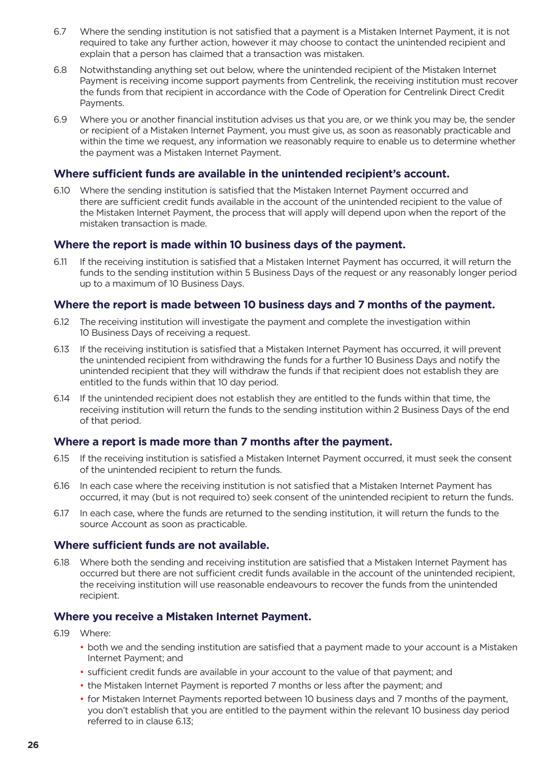- 6.7 Where the sending institution is not satisfied that a payment is a Mistaken Internet Payment, it is not required to take any further action, however it may choose to contact the unintended recipient and explain that a person has claimed that a transaction was mistaken.
- 6.8 Notwithstanding anything set out below, where the unintended recipient of the Mistaken Internet Payment is receiving income support payments from Centrelink, the receiving institution must recover the funds from that recipient in accordance with the Code of Operation for Centrelink Direct Credit Payments.
- 6.9 Where you or another financial institution advises us that you are, or we think you may be, the sender or recipient of a Mistaken Internet Payment, you must give us, as soon as reasonably practicable and within the time we request, any information we reasonably require to enable us to determine whether the payment was a Mistaken Internet Payment.

### **Where sufficient funds are available in the unintended recipient's account.**

6.10 Where the sending institution is satisfied that the Mistaken Internet Payment occurred and there are sufficient credit funds available in the account of the unintended recipient to the value of the Mistaken Internet Payment, the process that will apply will depend upon when the report of the mistaken transaction is made.

### **Where the report is made within 10 business days of the payment.**

6.11 If the receiving institution is satisfied that a Mistaken Internet Payment has occurred, it will return the funds to the sending institution within 5 Business Days of the request or any reasonably longer period up to a maximum of 10 Business Days.

### **Where the report is made between 10 business days and 7 months of the payment.**

- 6.12 The receiving institution will investigate the payment and complete the investigation within 10 Business Days of receiving a request.
- 6.13 If the receiving institution is satisfied that a Mistaken Internet Payment has occurred, it will prevent the unintended recipient from withdrawing the funds for a further 10 Business Days and notify the unintended recipient that they will withdraw the funds if that recipient does not establish they are entitled to the funds within that 10 day period.
- 6.14 If the unintended recipient does not establish they are entitled to the funds within that time, the receiving institution will return the funds to the sending institution within 2 Business Days of the end of that period.

### **Where a report is made more than 7 months after the payment.**

- 6.15 If the receiving institution is satisfied a Mistaken Internet Payment occurred, it must seek the consent of the unintended recipient to return the funds.
- 6.16 In each case where the receiving institution is not satisfied that a Mistaken Internet Payment has occurred, it may (but is not required to) seek consent of the unintended recipient to return the funds.
- 6.17 In each case, where the funds are returned to the sending institution, it will return the funds to the source Account as soon as practicable.

### **Where sufficient funds are not available.**

6.18 Where both the sending and receiving institution are satisfied that a Mistaken Internet Payment has occurred but there are not sufficient credit funds available in the account of the unintended recipient, the receiving institution will use reasonable endeavours to recover the funds from the unintended recipient.

### **Where you receive a Mistaken Internet Payment.**

6.19 Where:

- both we and the sending institution are satisfied that a payment made to your account is a Mistaken Internet Payment; and
- sufficient credit funds are available in your account to the value of that payment; and
- the Mistaken Internet Payment is reported 7 months or less after the payment; and
- for Mistaken Internet Payments reported between 10 business days and 7 months of the payment, you don't establish that you are entitled to the payment within the relevant 10 business day period referred to in clause 6.13;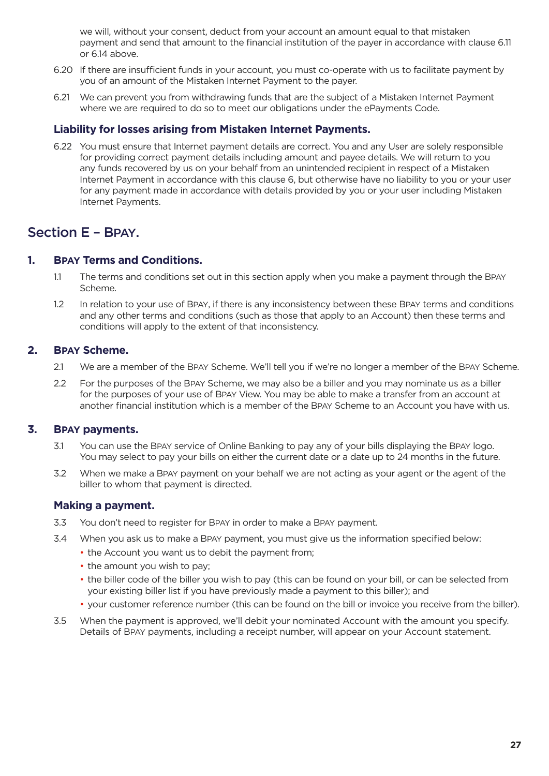<span id="page-26-0"></span> we will, without your consent, deduct from your account an amount equal to that mistaken payment and send that amount to the financial institution of the payer in accordance with clause 6.11 or 6.14 above.

- 6.20 If there are insufficient funds in your account, you must co-operate with us to facilitate payment by you of an amount of the Mistaken Internet Payment to the payer.
- 6.21 We can prevent you from withdrawing funds that are the subject of a Mistaken Internet Payment where we are required to do so to meet our obligations under the ePayments Code.

### **Liability for losses arising from Mistaken Internet Payments.**

6.22 You must ensure that Internet payment details are correct. You and any User are solely responsible for providing correct payment details including amount and payee details. We will return to you any funds recovered by us on your behalf from an unintended recipient in respect of a Mistaken Internet Payment in accordance with this clause 6, but otherwise have no liability to you or your user for any payment made in accordance with details provided by you or your user including Mistaken Internet Payments.

### Section E – BPAY.

### **1. BPAY Terms and Conditions.**

- 1.1 The terms and conditions set out in this section apply when you make a payment through the BPAY Scheme.
- 1.2 In relation to your use of BPAY, if there is any inconsistency between these BPAY terms and conditions and any other terms and conditions (such as those that apply to an Account) then these terms and conditions will apply to the extent of that inconsistency.

### **2. BPAY Scheme.**

- 2.1 We are a member of the BPAY Scheme. We'll tell you if we're no longer a member of the BPAY Scheme.
- 2.2 For the purposes of the BPAY Scheme, we may also be a biller and you may nominate us as a biller for the purposes of your use of BPAY View. You may be able to make a transfer from an account at another financial institution which is a member of the BPAY Scheme to an Account you have with us.

### **3. BPAY payments.**

- 3.1 You can use the BPAY service of Online Banking to pay any of your bills displaying the BPAY logo. You may select to pay your bills on either the current date or a date up to 24 months in the future.
- 3.2 When we make a BPAY payment on your behalf we are not acting as your agent or the agent of the biller to whom that payment is directed.

### **Making a payment.**

- 3.3 You don't need to register for BPAY in order to make a BPAY payment.
- 3.4 When you ask us to make a BPAY payment, you must give us the information specified below:
	- the Account you want us to debit the payment from;
	- the amount you wish to pay;
	- the biller code of the biller you wish to pay (this can be found on your bill, or can be selected from your existing biller list if you have previously made a payment to this biller); and
	- your customer reference number (this can be found on the bill or invoice you receive from the biller).
- 3.5 When the payment is approved, we'll debit your nominated Account with the amount you specify. Details of BPAY payments, including a receipt number, will appear on your Account statement.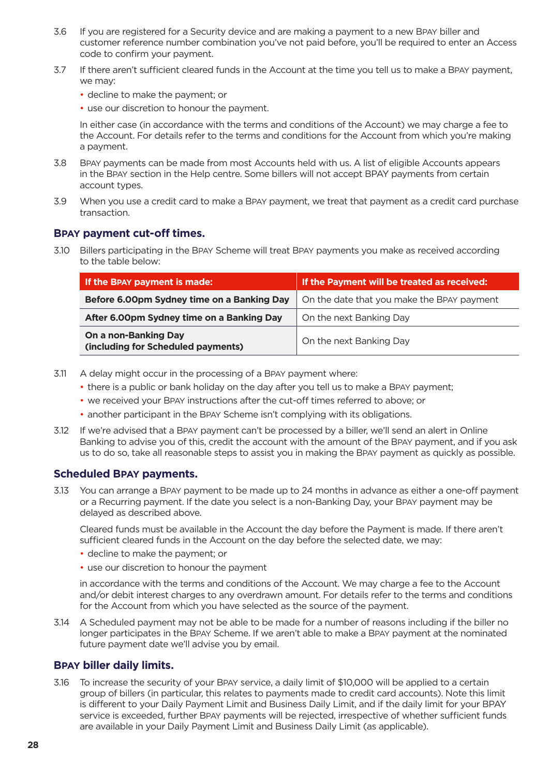- 3.6 If you are registered for a Security device and are making a payment to a new BPAY biller and customer reference number combination you've not paid before, you'll be required to enter an Access code to confirm your payment.
- 3.7 If there aren't sufficient cleared funds in the Account at the time you tell us to make a BPAY payment, we may:
	- decline to make the payment; or
	- use our discretion to honour the payment.

 In either case (in accordance with the terms and conditions of the Account) we may charge a fee to the Account. For details refer to the terms and conditions for the Account from which you're making a payment.

- 3.8 BPAY payments can be made from most Accounts held with us. A list of eligible Accounts appears in the BPAY section in the Help centre. Some billers will not accept BPAY payments from certain account types.
- 3.9 When you use a credit card to make a BPAY payment, we treat that payment as a credit card purchase transaction.

### **BPAY payment cut-off times.**

3.10 Billers participating in the BPAY Scheme will treat BPAY payments you make as received according to the table below:

| If the BPAY payment is made:                               | If the Payment will be treated as received: |  |
|------------------------------------------------------------|---------------------------------------------|--|
| Before 6.00pm Sydney time on a Banking Day                 | On the date that you make the BPAY payment  |  |
| After 6.00pm Sydney time on a Banking Day                  | On the next Banking Day                     |  |
| On a non-Banking Day<br>(including for Scheduled payments) | On the next Banking Day                     |  |

- 3.11 A delay might occur in the processing of a BPAY payment where:
	- there is a public or bank holiday on the day after you tell us to make a BPAY payment;
	- we received your BPAY instructions after the cut-off times referred to above; or
	- another participant in the BPAY Scheme isn't complying with its obligations.
- 3.12 If we're advised that a BPAY payment can't be processed by a biller, we'll send an alert in Online Banking to advise you of this, credit the account with the amount of the BPAY payment, and if you ask us to do so, take all reasonable steps to assist you in making the BPAY payment as quickly as possible.

### **Scheduled BPAY payments.**

3.13 You can arrange a BPAY payment to be made up to 24 months in advance as either a one-off payment or a Recurring payment. If the date you select is a non-Banking Day, your BPAY payment may be delayed as described above.

 Cleared funds must be available in the Account the day before the Payment is made. If there aren't sufficient cleared funds in the Account on the day before the selected date, we may:

- decline to make the payment; or
- use our discretion to honour the payment

 in accordance with the terms and conditions of the Account. We may charge a fee to the Account and/or debit interest charges to any overdrawn amount. For details refer to the terms and conditions for the Account from which you have selected as the source of the payment.

3.14 A Scheduled payment may not be able to be made for a number of reasons including if the biller no longer participates in the BPAY Scheme. If we aren't able to make a BPAY payment at the nominated future payment date we'll advise you by email.

### **BPAY biller daily limits.**

3.16 To increase the security of your BPAY service, a daily limit of \$10,000 will be applied to a certain group of billers (in particular, this relates to payments made to credit card accounts). Note this limit is different to your Daily Payment Limit and Business Daily Limit, and if the daily limit for your BPAY service is exceeded, further BPAY payments will be rejected, irrespective of whether sufficient funds are available in your Daily Payment Limit and Business Daily Limit (as applicable).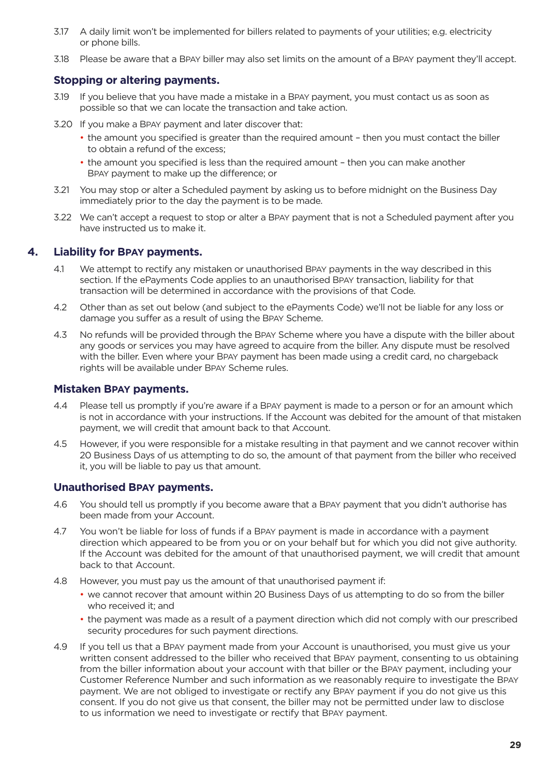- <span id="page-28-0"></span>3.17 A daily limit won't be implemented for billers related to payments of your utilities; e.g. electricity or phone bills.
- 3.18 Please be aware that a BPAY biller may also set limits on the amount of a BPAY payment they'll accept.

### **Stopping or altering payments.**

- 3.19 If you believe that you have made a mistake in a BPAY payment, you must contact us as soon as possible so that we can locate the transaction and take action.
- 3.20 If you make a BPAY payment and later discover that:
	- the amount you specified is greater than the required amount then you must contact the biller to obtain a refund of the excess;
	- the amount you specified is less than the required amount then you can make another BPAY payment to make up the difference; or
- 3.21 You may stop or alter a Scheduled payment by asking us to before midnight on the Business Day immediately prior to the day the payment is to be made.
- 3.22 We can't accept a request to stop or alter a BPAY payment that is not a Scheduled payment after you have instructed us to make it.

### **4. Liability for BPAY payments.**

- 4.1 We attempt to rectify any mistaken or unauthorised BPAY payments in the way described in this section. If the ePayments Code applies to an unauthorised BPAY transaction, liability for that transaction will be determined in accordance with the provisions of that Code.
- 4.2 Other than as set out below (and subject to the ePayments Code) we'll not be liable for any loss or damage you suffer as a result of using the BPAY Scheme.
- 4.3 No refunds will be provided through the BPAY Scheme where you have a dispute with the biller about any goods or services you may have agreed to acquire from the biller. Any dispute must be resolved with the biller. Even where your BPAY payment has been made using a credit card, no chargeback rights will be available under BPAY Scheme rules.

### **Mistaken BPAY payments.**

- 4.4 Please tell us promptly if you're aware if a BPAY payment is made to a person or for an amount which is not in accordance with your instructions. If the Account was debited for the amount of that mistaken payment, we will credit that amount back to that Account.
- 4.5 However, if you were responsible for a mistake resulting in that payment and we cannot recover within 20 Business Days of us attempting to do so, the amount of that payment from the biller who received it, you will be liable to pay us that amount.

### **Unauthorised BPAY payments.**

- 4.6 You should tell us promptly if you become aware that a BPAY payment that you didn't authorise has been made from your Account.
- 4.7 You won't be liable for loss of funds if a BPAY payment is made in accordance with a payment direction which appeared to be from you or on your behalf but for which you did not give authority. If the Account was debited for the amount of that unauthorised payment, we will credit that amount back to that Account.
- 4.8 However, you must pay us the amount of that unauthorised payment if:
	- we cannot recover that amount within 20 Business Days of us attempting to do so from the biller who received it; and
	- the payment was made as a result of a payment direction which did not comply with our prescribed security procedures for such payment directions.
- 4.9 If you tell us that a BPAY payment made from your Account is unauthorised, you must give us your written consent addressed to the biller who received that BPAY payment, consenting to us obtaining from the biller information about your account with that biller or the BPAY payment, including your Customer Reference Number and such information as we reasonably require to investigate the BPAY payment. We are not obliged to investigate or rectify any BPAY payment if you do not give us this consent. If you do not give us that consent, the biller may not be permitted under law to disclose to us information we need to investigate or rectify that BPAY payment.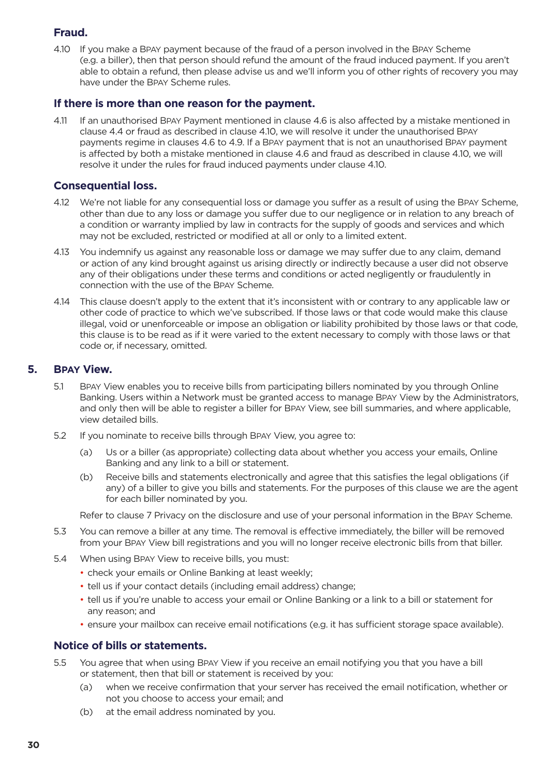### <span id="page-29-0"></span>**Fraud.**

4.10 If you make a BPAY payment because of the fraud of a person involved in the BPAY Scheme (e.g. a biller), then that person should refund the amount of the fraud induced payment. If you aren't able to obtain a refund, then please advise us and we'll inform you of other rights of recovery you may have under the BPAY Scheme rules.

### **If there is more than one reason for the payment.**

4.11 If an unauthorised BPAY Payment mentioned in clause 4.6 is also affected by a mistake mentioned in clause 4.4 or fraud as described in clause 4.10, we will resolve it under the unauthorised BPAY payments regime in clauses 4.6 to 4.9. If a BPAY payment that is not an unauthorised BPAY payment is affected by both a mistake mentioned in clause 4.6 and fraud as described in clause 4.10, we will resolve it under the rules for fraud induced payments under clause 4.10.

### **Consequential loss.**

- 4.12 We're not liable for any consequential loss or damage you suffer as a result of using the BPAY Scheme, other than due to any loss or damage you suffer due to our negligence or in relation to any breach of a condition or warranty implied by law in contracts for the supply of goods and services and which may not be excluded, restricted or modified at all or only to a limited extent.
- 4.13 You indemnify us against any reasonable loss or damage we may suffer due to any claim, demand or action of any kind brought against us arising directly or indirectly because a user did not observe any of their obligations under these terms and conditions or acted negligently or fraudulently in connection with the use of the BPAY Scheme.
- 4.14 This clause doesn't apply to the extent that it's inconsistent with or contrary to any applicable law or other code of practice to which we've subscribed. If those laws or that code would make this clause illegal, void or unenforceable or impose an obligation or liability prohibited by those laws or that code, this clause is to be read as if it were varied to the extent necessary to comply with those laws or that code or, if necessary, omitted.

### **5. BPAY View.**

- 5.1 BPAY View enables you to receive bills from participating billers nominated by you through Online Banking. Users within a Network must be granted access to manage BPAY View by the Administrators, and only then will be able to register a biller for BPAY View, see bill summaries, and where applicable, view detailed bills.
- 5.2 If you nominate to receive bills through BPAY View, you agree to:
	- (a) Us or a biller (as appropriate) collecting data about whether you access your emails, Online Banking and any link to a bill or statement.
	- (b) Receive bills and statements electronically and agree that this satisfies the legal obligations (if any) of a biller to give you bills and statements. For the purposes of this clause we are the agent for each biller nominated by you.

Refer to clause 7 Privacy on the disclosure and use of your personal information in the BPAY Scheme.

- 5.3 You can remove a biller at any time. The removal is effective immediately, the biller will be removed from your BPAY View bill registrations and you will no longer receive electronic bills from that biller.
- 5.4 When using BPAY View to receive bills, you must:
	- check your emails or Online Banking at least weekly;
	- tell us if your contact details (including email address) change;
	- tell us if you're unable to access your email or Online Banking or a link to a bill or statement for any reason; and
	- ensure your mailbox can receive email notifications (e.g. it has sufficient storage space available).

### **Notice of bills or statements.**

- 5.5 You agree that when using BPAY View if you receive an email notifying you that you have a bill or statement, then that bill or statement is received by you:
	- (a) when we receive confirmation that your server has received the email notification, whether or not you choose to access your email; and
	- (b) at the email address nominated by you.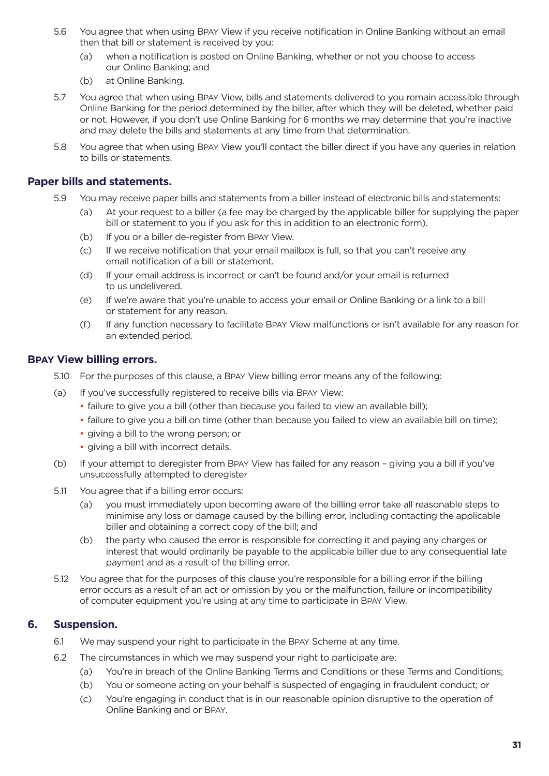- <span id="page-30-0"></span>5.6 You agree that when using BPAY View if you receive notification in Online Banking without an email then that bill or statement is received by you:
	- (a) when a notification is posted on Online Banking, whether or not you choose to access our Online Banking; and
	- (b) at Online Banking.
- 5.7 You agree that when using BPAY View, bills and statements delivered to you remain accessible through Online Banking for the period determined by the biller, after which they will be deleted, whether paid or not. However, if you don't use Online Banking for 6 months we may determine that you're inactive and may delete the bills and statements at any time from that determination.
- 5.8 You agree that when using BPAY View you'll contact the biller direct if you have any queries in relation to bills or statements.

### **Paper bills and statements.**

- 5.9 You may receive paper bills and statements from a biller instead of electronic bills and statements:
	- (a) At your request to a biller (a fee may be charged by the applicable biller for supplying the paper bill or statement to you if you ask for this in addition to an electronic form).
	- (b) If you or a biller de-register from BPAY View.
	- (c) If we receive notification that your email mailbox is full, so that you can't receive any email notification of a bill or statement.
	- (d) If your email address is incorrect or can't be found and/or your email is returned to us undelivered.
	- (e) If we're aware that you're unable to access your email or Online Banking or a link to a bill or statement for any reason.
	- (f) If any function necessary to facilitate BPAY View malfunctions or isn't available for any reason for an extended period.

### **BPAY View billing errors.**

- 5.10 For the purposes of this clause, a BPAY View billing error means any of the following:
- (a) If you've successfully registered to receive bills via BPAY View:
	- failure to give you a bill (other than because you failed to view an available bill);
	- failure to give you a bill on time (other than because you failed to view an available bill on time);
	- giving a bill to the wrong person; or
	- giving a bill with incorrect details.
- (b) If your attempt to deregister from BPAY View has failed for any reason giving you a bill if you've unsuccessfully attempted to deregister
- 5.11 You agree that if a billing error occurs:
	- (a) you must immediately upon becoming aware of the billing error take all reasonable steps to minimise any loss or damage caused by the billing error, including contacting the applicable biller and obtaining a correct copy of the bill; and
	- (b) the party who caused the error is responsible for correcting it and paying any charges or interest that would ordinarily be payable to the applicable biller due to any consequential late payment and as a result of the billing error.
- 5.12 You agree that for the purposes of this clause you're responsible for a billing error if the billing error occurs as a result of an act or omission by you or the malfunction, failure or incompatibility of computer equipment you're using at any time to participate in BPAY View.

### **6. Suspension.**

- 6.1 We may suspend your right to participate in the BPAY Scheme at any time.
- 6.2 The circumstances in which we may suspend your right to participate are:
	- (a) You're in breach of the Online Banking Terms and Conditions or these Terms and Conditions;
	- (b) You or someone acting on your behalf is suspected of engaging in fraudulent conduct; or
	- (c) You're engaging in conduct that is in our reasonable opinion disruptive to the operation of Online Banking and or BPAY.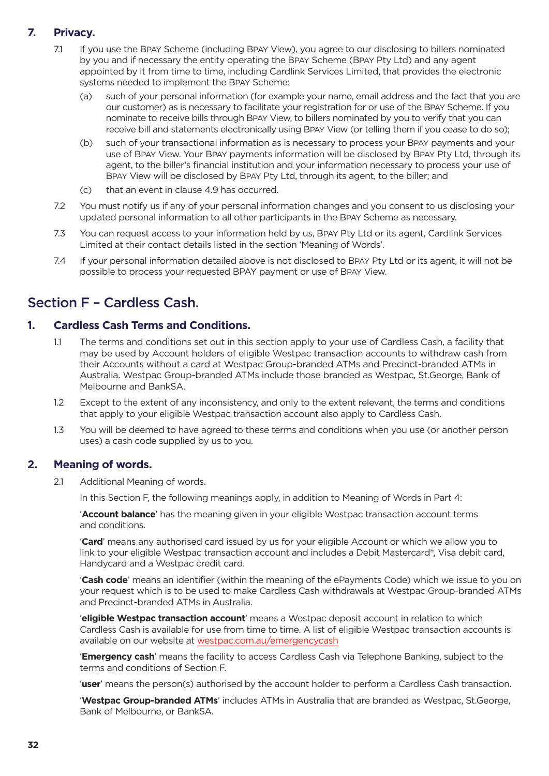### <span id="page-31-0"></span>**7. Privacy.**

- 7.1 If you use the BPAY Scheme (including BPAY View), you agree to our disclosing to billers nominated by you and if necessary the entity operating the BPAY Scheme (BPAY Pty Ltd) and any agent appointed by it from time to time, including Cardlink Services Limited, that provides the electronic systems needed to implement the BPAY Scheme:
	- (a) such of your personal information (for example your name, email address and the fact that you are our customer) as is necessary to facilitate your registration for or use of the BPAY Scheme. If you nominate to receive bills through BPAY View, to billers nominated by you to verify that you can receive bill and statements electronically using BPAY View (or telling them if you cease to do so);
	- (b) such of your transactional information as is necessary to process your BPAY payments and your use of BPAY View. Your BPAY payments information will be disclosed by BPAY Pty Ltd, through its agent, to the biller's financial institution and your information necessary to process your use of BPAY View will be disclosed by BPAY Pty Ltd, through its agent, to the biller; and
	- (c) that an event in clause 4.9 has occurred.
- 7.2 You must notify us if any of your personal information changes and you consent to us disclosing your updated personal information to all other participants in the BPAY Scheme as necessary.
- 7.3 You can request access to your information held by us, BPAY Pty Ltd or its agent, Cardlink Services Limited at their contact details listed in the section 'Meaning of Words'.
- 7.4 If your personal information detailed above is not disclosed to BPAY Pty Ltd or its agent, it will not be possible to process your requested BPAY payment or use of BPAY View.

### Section F – Cardless Cash.

### **1. Cardless Cash Terms and Conditions.**

- 1.1 The terms and conditions set out in this section apply to your use of Cardless Cash, a facility that may be used by Account holders of eligible Westpac transaction accounts to withdraw cash from their Accounts without a card at Westpac Group-branded ATMs and Precinct-branded ATMs in Australia. Westpac Group-branded ATMs include those branded as Westpac, St.George, Bank of Melbourne and BankSA.
- 1.2 Except to the extent of any inconsistency, and only to the extent relevant, the terms and conditions that apply to your eligible Westpac transaction account also apply to Cardless Cash.
- 1.3 You will be deemed to have agreed to these terms and conditions when you use (or another person uses) a cash code supplied by us to you.

### **2. Meaning of words.**

2.1 Additional Meaning of words.

In this Section F, the following meanings apply, in addition to Meaning of Words in Part 4:

 '**Account balance**' has the meaning given in your eligible Westpac transaction account terms and conditions.

 '**Card**' means any authorised card issued by us for your eligible Account or which we allow you to link to your eligible Westpac transaction account and includes a Debit Mastercard®, Visa debit card, Handycard and a Westpac credit card.

 '**Cash code**' means an identifier (within the meaning of the ePayments Code) which we issue to you on your request which is to be used to make Cardless Cash withdrawals at Westpac Group-branded ATMs and Precinct-branded ATMs in Australia.

 '**eligible Westpac transaction account**' means a Westpac deposit account in relation to which Cardless Cash is available for use from time to time. A list of eligible Westpac transaction accounts is available on our website at [westpac.com.au/emergencycash](https://www.westpac.com.au/personal-banking/online-banking/making-the-most/cardless-cash/?wbc-vnty=www.westpac.com.au/emergencycash)

 '**Emergency cash**' means the facility to access Cardless Cash via Telephone Banking, subject to the terms and conditions of Section F.

'**user**' means the person(s) authorised by the account holder to perform a Cardless Cash transaction.

 '**Westpac Group-branded ATMs**' includes ATMs in Australia that are branded as Westpac, St.George, Bank of Melbourne, or BankSA.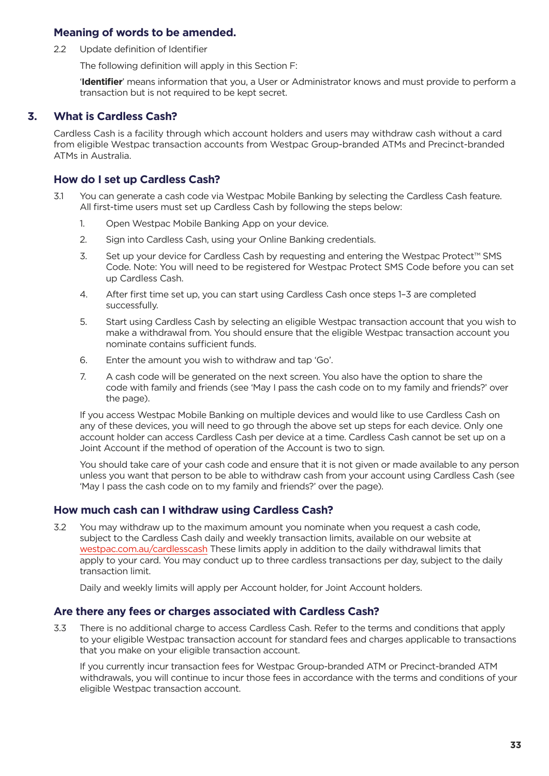### <span id="page-32-0"></span>**Meaning of words to be amended.**

2.2 Update definition of Identifier

The following definition will apply in this Section F:

 '**Identifier**' means information that you, a User or Administrator knows and must provide to perform a transaction but is not required to be kept secret.

### **3. What is Cardless Cash?**

Cardless Cash is a facility through which account holders and users may withdraw cash without a card from eligible Westpac transaction accounts from Westpac Group-branded ATMs and Precinct-branded ATMs in Australia.

### **How do I set up Cardless Cash?**

- 3.1 You can generate a cash code via Westpac Mobile Banking by selecting the Cardless Cash feature. All first-time users must set up Cardless Cash by following the steps below:
	- 1. Open Westpac Mobile Banking App on your device.
	- 2. Sign into Cardless Cash, using your Online Banking credentials.
	- 3. Set up your device for Cardless Cash by requesting and entering the Westpac Protect™ SMS Code. Note: You will need to be registered for Westpac Protect SMS Code before you can set up Cardless Cash.
	- 4. After first time set up, you can start using Cardless Cash once steps 1–3 are completed successfully.
	- 5. Start using Cardless Cash by selecting an eligible Westpac transaction account that you wish to make a withdrawal from. You should ensure that the eligible Westpac transaction account you nominate contains sufficient funds.
	- 6. Enter the amount you wish to withdraw and tap 'Go'.
	- 7. A cash code will be generated on the next screen. You also have the option to share the code with family and friends (see 'May I pass the cash code on to my family and friends?' over the page).

 If you access Westpac Mobile Banking on multiple devices and would like to use Cardless Cash on any of these devices, you will need to go through the above set up steps for each device. Only one account holder can access Cardless Cash per device at a time. Cardless Cash cannot be set up on a Joint Account if the method of operation of the Account is two to sign.

 You should take care of your cash code and ensure that it is not given or made available to any person unless you want that person to be able to withdraw cash from your account using Cardless Cash (see 'May I pass the cash code on to my family and friends?' over the page).

### **How much cash can I withdraw using Cardless Cash?**

3.2 You may withdraw up to the maximum amount you nominate when you request a cash code, subject to the Cardless Cash daily and weekly transaction limits, available on our website at [westpac.com.au/cardlesscash](https://www.westpac.com.au/personal-banking/online-banking/making-the-most/cardless-cash/) These limits apply in addition to the daily withdrawal limits that apply to your card. You may conduct up to three cardless transactions per day, subject to the daily transaction limit.

Daily and weekly limits will apply per Account holder, for Joint Account holders.

### **Are there any fees or charges associated with Cardless Cash?**

3.3 There is no additional charge to access Cardless Cash. Refer to the terms and conditions that apply to your eligible Westpac transaction account for standard fees and charges applicable to transactions that you make on your eligible transaction account.

 If you currently incur transaction fees for Westpac Group-branded ATM or Precinct-branded ATM withdrawals, you will continue to incur those fees in accordance with the terms and conditions of your eligible Westpac transaction account.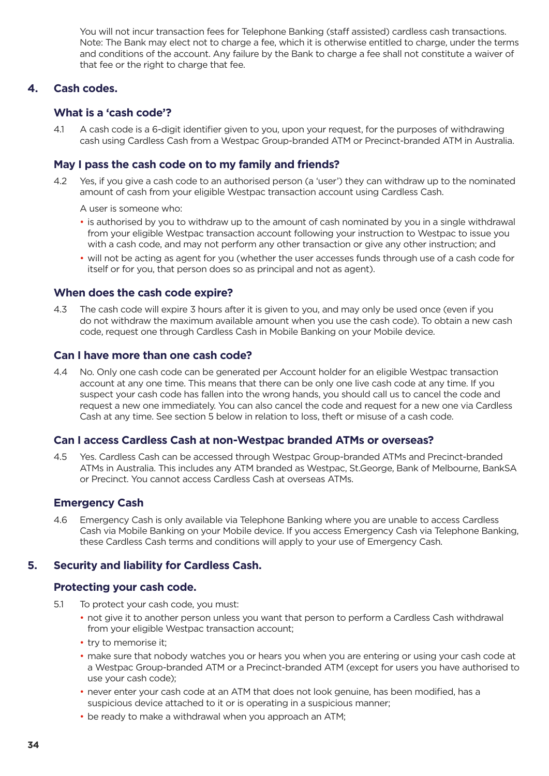<span id="page-33-0"></span> You will not incur transaction fees for Telephone Banking (staff assisted) cardless cash transactions. Note: The Bank may elect not to charge a fee, which it is otherwise entitled to charge, under the terms and conditions of the account. Any failure by the Bank to charge a fee shall not constitute a waiver of that fee or the right to charge that fee.

### **4. Cash codes.**

### **What is a 'cash code'?**

4.1 A cash code is a 6-digit identifier given to you, upon your request, for the purposes of withdrawing cash using Cardless Cash from a Westpac Group-branded ATM or Precinct-branded ATM in Australia.

### **May I pass the cash code on to my family and friends?**

- 4.2 Yes, if you give a cash code to an authorised person (a 'user') they can withdraw up to the nominated amount of cash from your eligible Westpac transaction account using Cardless Cash.
	- A user is someone who:
	- is authorised by you to withdraw up to the amount of cash nominated by you in a single withdrawal from your eligible Westpac transaction account following your instruction to Westpac to issue you with a cash code, and may not perform any other transaction or give any other instruction; and
	- will not be acting as agent for you (whether the user accesses funds through use of a cash code for itself or for you, that person does so as principal and not as agent).

### **When does the cash code expire?**

4.3 The cash code will expire 3 hours after it is given to you, and may only be used once (even if you do not withdraw the maximum available amount when you use the cash code). To obtain a new cash code, request one through Cardless Cash in Mobile Banking on your Mobile device.

### **Can I have more than one cash code?**

4.4 No. Only one cash code can be generated per Account holder for an eligible Westpac transaction account at any one time. This means that there can be only one live cash code at any time. If you suspect your cash code has fallen into the wrong hands, you should call us to cancel the code and request a new one immediately. You can also cancel the code and request for a new one via Cardless Cash at any time. See section 5 below in relation to loss, theft or misuse of a cash code.

### **Can I access Cardless Cash at non-Westpac branded ATMs or overseas?**

4.5 Yes. Cardless Cash can be accessed through Westpac Group-branded ATMs and Precinct-branded ATMs in Australia. This includes any ATM branded as Westpac, St.George, Bank of Melbourne, BankSA or Precinct. You cannot access Cardless Cash at overseas ATMs.

### **Emergency Cash**

4.6 Emergency Cash is only available via Telephone Banking where you are unable to access Cardless Cash via Mobile Banking on your Mobile device. If you access Emergency Cash via Telephone Banking, these Cardless Cash terms and conditions will apply to your use of Emergency Cash.

### **5. Security and liability for Cardless Cash.**

### **Protecting your cash code.**

- 5.1 To protect your cash code, you must:
	- not give it to another person unless you want that person to perform a Cardless Cash withdrawal from your eligible Westpac transaction account;
	- try to memorise it;
	- make sure that nobody watches you or hears you when you are entering or using your cash code at a Westpac Group-branded ATM or a Precinct-branded ATM (except for users you have authorised to use your cash code);
	- never enter your cash code at an ATM that does not look genuine, has been modified, has a suspicious device attached to it or is operating in a suspicious manner;
	- be ready to make a withdrawal when you approach an ATM;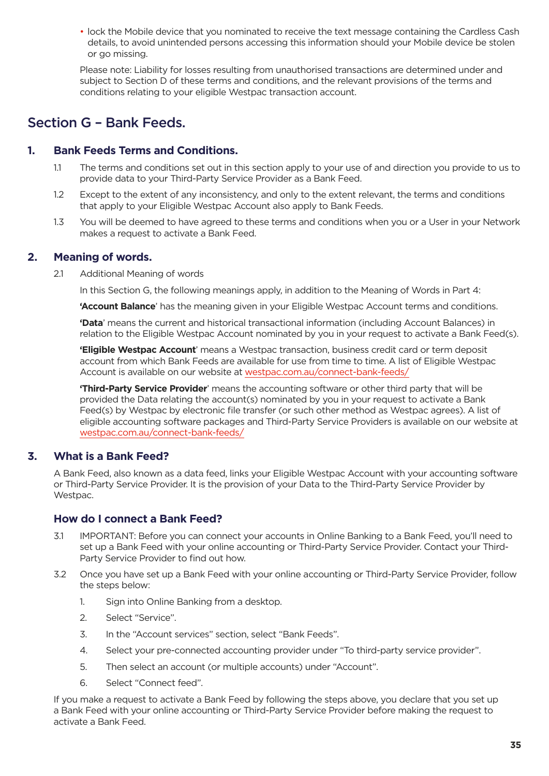<span id="page-34-0"></span>• lock the Mobile device that you nominated to receive the text message containing the Cardless Cash details, to avoid unintended persons accessing this information should your Mobile device be stolen or go missing.

Please note: Liability for losses resulting from unauthorised transactions are determined under and subject to Section D of these terms and conditions, and the relevant provisions of the terms and conditions relating to your eligible Westpac transaction account.

### Section G – Bank Feeds.

### **1. Bank Feeds Terms and Conditions.**

- 1.1 The terms and conditions set out in this section apply to your use of and direction you provide to us to provide data to your Third-Party Service Provider as a Bank Feed.
- 1.2 Except to the extent of any inconsistency, and only to the extent relevant, the terms and conditions that apply to your Eligible Westpac Account also apply to Bank Feeds.
- 1.3 You will be deemed to have agreed to these terms and conditions when you or a User in your Network makes a request to activate a Bank Feed.

### **2. Meaning of words.**

2.1 Additional Meaning of words

In this Section G, the following meanings apply, in addition to the Meaning of Words in Part 4:

**'Account Balance**' has the meaning given in your Eligible Westpac Account terms and conditions.

**'Data**' means the current and historical transactional information (including Account Balances) in relation to the Eligible Westpac Account nominated by you in your request to activate a Bank Feed(s).

**'Eligible Westpac Account**' means a Westpac transaction, business credit card or term deposit account from which Bank Feeds are available for use from time to time. A list of Eligible Westpac Account is available on our website at westpac.com.au/connect-bank-feeds/

**'Third-Party Service Provider**' means the accounting software or other third party that will be provided the Data relating the account(s) nominated by you in your request to activate a Bank Feed(s) by Westpac by electronic file transfer (or such other method as Westpac agrees). A list of eligible accounting software packages and Third-Party Service Providers is available on our website at westpac.com.au/connect-bank-feeds/

### **3. What is a Bank Feed?**

A Bank Feed, also known as a data feed, links your Eligible Westpac Account with your accounting software or Third-Party Service Provider. It is the provision of your Data to the Third-Party Service Provider by Westpac.

### **How do I connect a Bank Feed?**

- 3.1 IMPORTANT: Before you can connect your accounts in Online Banking to a Bank Feed, you'll need to set up a Bank Feed with your online accounting or Third-Party Service Provider. Contact your Third-Party Service Provider to find out how.
- 3.2 Once you have set up a Bank Feed with your online accounting or Third-Party Service Provider, follow the steps below:
	- 1. Sign into Online Banking from a desktop.
	- 2. Select "Service".
	- 3. In the "Account services" section, select "Bank Feeds".
	- 4. Select your pre-connected accounting provider under "To third-party service provider".
	- 5. Then select an account (or multiple accounts) under "Account".
	- 6. Select "Connect feed".

If you make a request to activate a Bank Feed by following the steps above, you declare that you set up a Bank Feed with your online accounting or Third-Party Service Provider before making the request to activate a Bank Feed.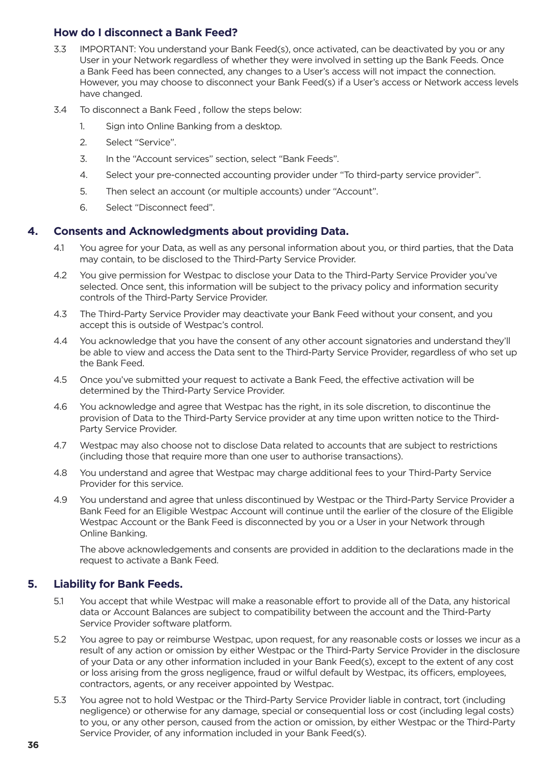### <span id="page-35-0"></span>**How do I disconnect a Bank Feed?**

- 3.3 IMPORTANT: You understand your Bank Feed(s), once activated, can be deactivated by you or any User in your Network regardless of whether they were involved in setting up the Bank Feeds. Once a Bank Feed has been connected, any changes to a User's access will not impact the connection. However, you may choose to disconnect your Bank Feed(s) if a User's access or Network access levels have changed.
- 3.4 To disconnect a Bank Feed , follow the steps below:
	- 1. Sign into Online Banking from a desktop.
	- 2. Select "Service".
	- 3. In the "Account services" section, select "Bank Feeds".
	- 4. Select your pre-connected accounting provider under "To third-party service provider".
	- 5. Then select an account (or multiple accounts) under "Account".
	- 6. Select "Disconnect feed".

### **4. Consents and Acknowledgments about providing Data.**

- 4.1 You agree for your Data, as well as any personal information about you, or third parties, that the Data may contain, to be disclosed to the Third-Party Service Provider.
- 4.2 You give permission for Westpac to disclose your Data to the Third-Party Service Provider you've selected. Once sent, this information will be subject to the privacy policy and information security controls of the Third-Party Service Provider.
- 4.3 The Third-Party Service Provider may deactivate your Bank Feed without your consent, and you accept this is outside of Westpac's control.
- 4.4 You acknowledge that you have the consent of any other account signatories and understand they'll be able to view and access the Data sent to the Third-Party Service Provider, regardless of who set up the Bank Feed.
- 4.5 Once you've submitted your request to activate a Bank Feed, the effective activation will be determined by the Third-Party Service Provider.
- 4.6 You acknowledge and agree that Westpac has the right, in its sole discretion, to discontinue the provision of Data to the Third-Party Service provider at any time upon written notice to the Third-Party Service Provider.
- 4.7 Westpac may also choose not to disclose Data related to accounts that are subject to restrictions (including those that require more than one user to authorise transactions).
- 4.8 You understand and agree that Westpac may charge additional fees to your Third-Party Service Provider for this service.
- 4.9 You understand and agree that unless discontinued by Westpac or the Third-Party Service Provider a Bank Feed for an Eligible Westpac Account will continue until the earlier of the closure of the Eligible Westpac Account or the Bank Feed is disconnected by you or a User in your Network through Online Banking.

The above acknowledgements and consents are provided in addition to the declarations made in the request to activate a Bank Feed.

### **5. Liability for Bank Feeds.**

- 5.1 You accept that while Westpac will make a reasonable effort to provide all of the Data, any historical data or Account Balances are subject to compatibility between the account and the Third-Party Service Provider software platform.
- 5.2 You agree to pay or reimburse Westpac, upon request, for any reasonable costs or losses we incur as a result of any action or omission by either Westpac or the Third-Party Service Provider in the disclosure of your Data or any other information included in your Bank Feed(s), except to the extent of any cost or loss arising from the gross negligence, fraud or wilful default by Westpac, its officers, employees, contractors, agents, or any receiver appointed by Westpac.
- 5.3 You agree not to hold Westpac or the Third-Party Service Provider liable in contract, tort (including negligence) or otherwise for any damage, special or consequential loss or cost (including legal costs) to you, or any other person, caused from the action or omission, by either Westpac or the Third-Party Service Provider, of any information included in your Bank Feed(s).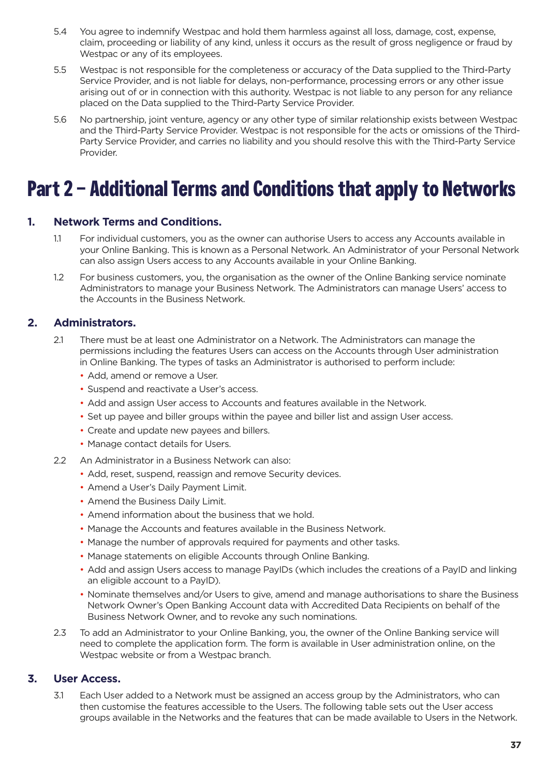- <span id="page-36-0"></span>5.4 You agree to indemnify Westpac and hold them harmless against all loss, damage, cost, expense, claim, proceeding or liability of any kind, unless it occurs as the result of gross negligence or fraud by Westpac or any of its employees.
- 5.5 Westpac is not responsible for the completeness or accuracy of the Data supplied to the Third-Party Service Provider, and is not liable for delays, non-performance, processing errors or any other issue arising out of or in connection with this authority. Westpac is not liable to any person for any reliance placed on the Data supplied to the Third-Party Service Provider.
- 5.6 No partnership, joint venture, agency or any other type of similar relationship exists between Westpac and the Third-Party Service Provider. Westpac is not responsible for the acts or omissions of the Third-Party Service Provider, and carries no liability and you should resolve this with the Third-Party Service Provider.

# **Part 2 – Additional Terms and Conditions that apply to Networks**

### **1. Network Terms and Conditions.**

- 1.1 For individual customers, you as the owner can authorise Users to access any Accounts available in your Online Banking. This is known as a Personal Network. An Administrator of your Personal Network can also assign Users access to any Accounts available in your Online Banking.
- 1.2 For business customers, you, the organisation as the owner of the Online Banking service nominate Administrators to manage your Business Network. The Administrators can manage Users' access to the Accounts in the Business Network.

### **2. Administrators.**

- 2.1 There must be at least one Administrator on a Network. The Administrators can manage the permissions including the features Users can access on the Accounts through User administration in Online Banking. The types of tasks an Administrator is authorised to perform include:
	- Add, amend or remove a User.
	- Suspend and reactivate a User's access.
	- Add and assign User access to Accounts and features available in the Network.
	- Set up payee and biller groups within the payee and biller list and assign User access.
	- Create and update new payees and billers.
	- Manage contact details for Users.
- 2.2 An Administrator in a Business Network can also:
	- Add, reset, suspend, reassign and remove Security devices.
	- Amend a User's Daily Payment Limit.
	- Amend the Business Daily Limit.
	- Amend information about the business that we hold.
	- Manage the Accounts and features available in the Business Network.
	- Manage the number of approvals required for payments and other tasks.
	- Manage statements on eligible Accounts through Online Banking.
	- Add and assign Users access to manage PayIDs (which includes the creations of a PayID and linking an eligible account to a PayID).
	- Nominate themselves and/or Users to give, amend and manage authorisations to share the Business Network Owner's Open Banking Account data with Accredited Data Recipients on behalf of the Business Network Owner, and to revoke any such nominations.
- 2.3 To add an Administrator to your Online Banking, you, the owner of the Online Banking service will need to complete the application form. The form is available in User administration online, on the Westpac website or from a Westpac branch.

### **3. User Access.**

3.1 Each User added to a Network must be assigned an access group by the Administrators, who can then customise the features accessible to the Users. The following table sets out the User access groups available in the Networks and the features that can be made available to Users in the Network.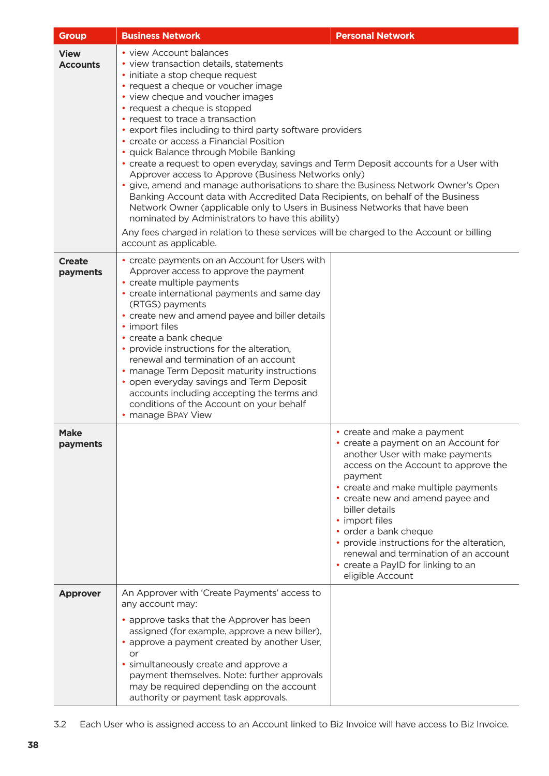| <b>Group</b>                   | <b>Business Network</b>                                                                                                                                                                                                                                                                                                                                                                                                                                                                                                                                                                    | <b>Personal Network</b>                                                                                                                                                                                                                                                                                                                                                                                                                            |  |
|--------------------------------|--------------------------------------------------------------------------------------------------------------------------------------------------------------------------------------------------------------------------------------------------------------------------------------------------------------------------------------------------------------------------------------------------------------------------------------------------------------------------------------------------------------------------------------------------------------------------------------------|----------------------------------------------------------------------------------------------------------------------------------------------------------------------------------------------------------------------------------------------------------------------------------------------------------------------------------------------------------------------------------------------------------------------------------------------------|--|
| <b>View</b><br><b>Accounts</b> | • view Account balances<br>• view transaction details, statements<br>· initiate a stop cheque request<br>• request a cheque or voucher image<br>• view cheque and voucher images<br>• request a cheque is stopped<br>• request to trace a transaction<br>• export files including to third party software providers<br>• create or access a Financial Position<br>· quick Balance through Mobile Banking<br>Approver access to Approve (Business Networks only)<br>nominated by Administrators to have this ability)<br>account as applicable.                                             | • create a request to open everyday, savings and Term Deposit accounts for a User with<br>· give, amend and manage authorisations to share the Business Network Owner's Open<br>Banking Account data with Accredited Data Recipients, on behalf of the Business<br>Network Owner (applicable only to Users in Business Networks that have been<br>Any fees charged in relation to these services will be charged to the Account or billing         |  |
| <b>Create</b><br>payments      | • create payments on an Account for Users with<br>Approver access to approve the payment<br>• create multiple payments<br>• create international payments and same day<br>(RTGS) payments<br>• create new and amend payee and biller details<br>• import files<br>• create a bank cheque<br>• provide instructions for the alteration,<br>renewal and termination of an account<br>• manage Term Deposit maturity instructions<br>• open everyday savings and Term Deposit<br>accounts including accepting the terms and<br>conditions of the Account on your behalf<br>• manage BPAY View |                                                                                                                                                                                                                                                                                                                                                                                                                                                    |  |
| <b>Make</b><br>payments        |                                                                                                                                                                                                                                                                                                                                                                                                                                                                                                                                                                                            | • create and make a payment<br>• create a payment on an Account for<br>another User with make payments<br>access on the Account to approve the<br>payment<br>• create and make multiple payments<br>• create new and amend payee and<br>biller details<br>• import files<br>• order a bank cheque<br>• provide instructions for the alteration,<br>renewal and termination of an account<br>• create a PayID for linking to an<br>eligible Account |  |
| <b>Approver</b>                | An Approver with 'Create Payments' access to<br>any account may:<br>• approve tasks that the Approver has been<br>assigned (for example, approve a new biller),<br>• approve a payment created by another User,<br>or<br>• simultaneously create and approve a<br>payment themselves. Note: further approvals<br>may be required depending on the account<br>authority or payment task approvals.                                                                                                                                                                                          |                                                                                                                                                                                                                                                                                                                                                                                                                                                    |  |

3.2 Each User who is assigned access to an Account linked to Biz Invoice will have access to Biz Invoice.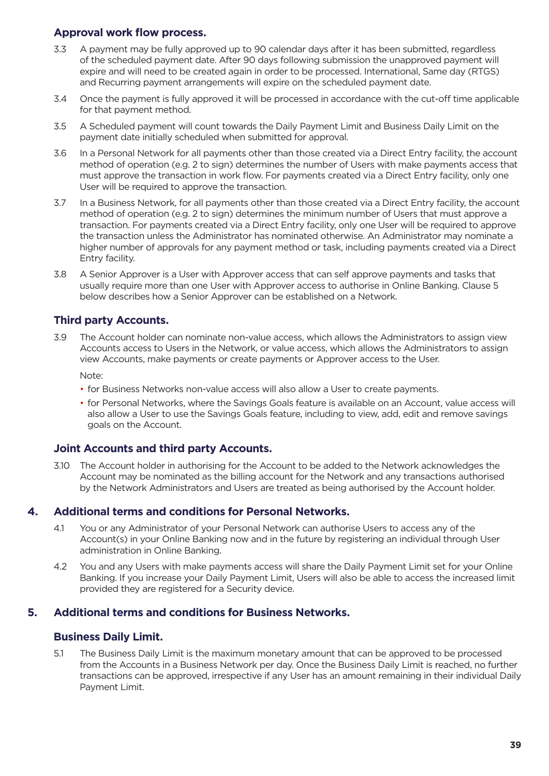### <span id="page-38-0"></span>**Approval work flow process.**

- 3.3 A payment may be fully approved up to 90 calendar days after it has been submitted, regardless of the scheduled payment date. After 90 days following submission the unapproved payment will expire and will need to be created again in order to be processed. International, Same day (RTGS) and Recurring payment arrangements will expire on the scheduled payment date.
- 3.4 Once the payment is fully approved it will be processed in accordance with the cut-off time applicable for that payment method.
- 3.5 A Scheduled payment will count towards the Daily Payment Limit and Business Daily Limit on the payment date initially scheduled when submitted for approval.
- 3.6 In a Personal Network for all payments other than those created via a Direct Entry facility, the account method of operation (e.g. 2 to sign) determines the number of Users with make payments access that must approve the transaction in work flow. For payments created via a Direct Entry facility, only one User will be required to approve the transaction.
- 3.7 In a Business Network, for all payments other than those created via a Direct Entry facility, the account method of operation (e.g. 2 to sign) determines the minimum number of Users that must approve a transaction. For payments created via a Direct Entry facility, only one User will be required to approve the transaction unless the Administrator has nominated otherwise. An Administrator may nominate a higher number of approvals for any payment method or task, including payments created via a Direct Entry facility.
- 3.8 A Senior Approver is a User with Approver access that can self approve payments and tasks that usually require more than one User with Approver access to authorise in Online Banking. Clause 5 below describes how a Senior Approver can be established on a Network.

### **Third party Accounts.**

3.9 The Account holder can nominate non-value access, which allows the Administrators to assign view Accounts access to Users in the Network, or value access, which allows the Administrators to assign view Accounts, make payments or create payments or Approver access to the User.

Note:

- for Business Networks non-value access will also allow a User to create payments.
- for Personal Networks, where the Savings Goals feature is available on an Account, value access will also allow a User to use the Savings Goals feature, including to view, add, edit and remove savings goals on the Account.

### **Joint Accounts and third party Accounts.**

3.10 The Account holder in authorising for the Account to be added to the Network acknowledges the Account may be nominated as the billing account for the Network and any transactions authorised by the Network Administrators and Users are treated as being authorised by the Account holder.

### **4. Additional terms and conditions for Personal Networks.**

- 4.1 You or any Administrator of your Personal Network can authorise Users to access any of the Account(s) in your Online Banking now and in the future by registering an individual through User administration in Online Banking.
- 4.2 You and any Users with make payments access will share the Daily Payment Limit set for your Online Banking. If you increase your Daily Payment Limit, Users will also be able to access the increased limit provided they are registered for a Security device.

### **5. Additional terms and conditions for Business Networks.**

### **Business Daily Limit.**

5.1 The Business Daily Limit is the maximum monetary amount that can be approved to be processed from the Accounts in a Business Network per day. Once the Business Daily Limit is reached, no further transactions can be approved, irrespective if any User has an amount remaining in their individual Daily Payment Limit.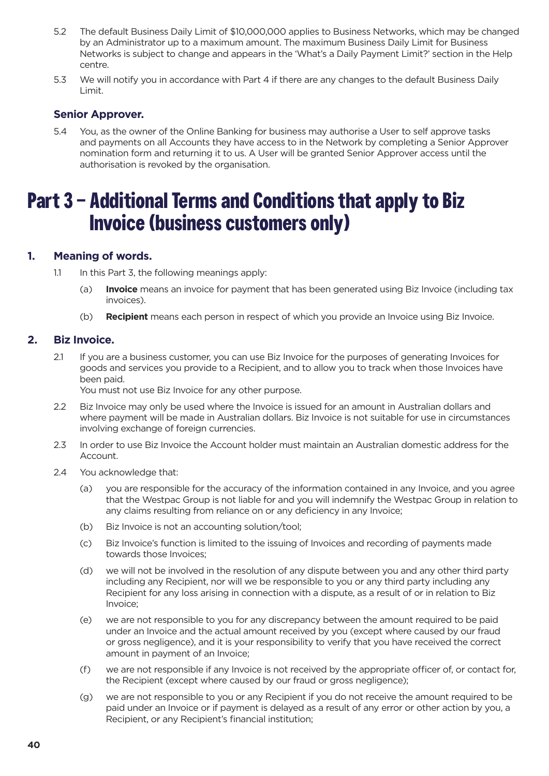- <span id="page-39-0"></span>5.2 The default Business Daily Limit of \$10,000,000 applies to Business Networks, which may be changed by an Administrator up to a maximum amount. The maximum Business Daily Limit for Business Networks is subject to change and appears in the 'What's a Daily Payment Limit?' section in the Help centre.
- 5.3 We will notify you in accordance with Part 4 if there are any changes to the default Business Daily Limit.

### **Senior Approver.**

5.4 You, as the owner of the Online Banking for business may authorise a User to self approve tasks and payments on all Accounts they have access to in the Network by completing a Senior Approver nomination form and returning it to us. A User will be granted Senior Approver access until the authorisation is revoked by the organisation.

# **Part 3 – Additional Terms and Conditions that apply to Biz Invoice (business customers only)**

### **1. Meaning of words.**

- 1.1 In this Part 3, the following meanings apply:
	- (a) **Invoice** means an invoice for payment that has been generated using Biz Invoice (including tax invoices).
	- (b) **Recipient** means each person in respect of which you provide an Invoice using Biz Invoice.

### **2. Biz Invoice.**

2.1 If you are a business customer, you can use Biz Invoice for the purposes of generating Invoices for goods and services you provide to a Recipient, and to allow you to track when those Invoices have been paid.

You must not use Biz Invoice for any other purpose.

- 2.2 Biz Invoice may only be used where the Invoice is issued for an amount in Australian dollars and where payment will be made in Australian dollars. Biz Invoice is not suitable for use in circumstances involving exchange of foreign currencies.
- 2.3 In order to use Biz Invoice the Account holder must maintain an Australian domestic address for the Account.
- 2.4 You acknowledge that:
	- (a) you are responsible for the accuracy of the information contained in any Invoice, and you agree that the Westpac Group is not liable for and you will indemnify the Westpac Group in relation to any claims resulting from reliance on or any deficiency in any Invoice;
	- (b) Biz Invoice is not an accounting solution/tool;
	- (c) Biz Invoice's function is limited to the issuing of Invoices and recording of payments made towards those Invoices;
	- (d) we will not be involved in the resolution of any dispute between you and any other third party including any Recipient, nor will we be responsible to you or any third party including any Recipient for any loss arising in connection with a dispute, as a result of or in relation to Biz Invoice;
	- (e) we are not responsible to you for any discrepancy between the amount required to be paid under an Invoice and the actual amount received by you (except where caused by our fraud or gross negligence), and it is your responsibility to verify that you have received the correct amount in payment of an Invoice;
	- (f) we are not responsible if any Invoice is not received by the appropriate officer of, or contact for, the Recipient (except where caused by our fraud or gross negligence);
	- (g) we are not responsible to you or any Recipient if you do not receive the amount required to be paid under an Invoice or if payment is delayed as a result of any error or other action by you, a Recipient, or any Recipient's financial institution;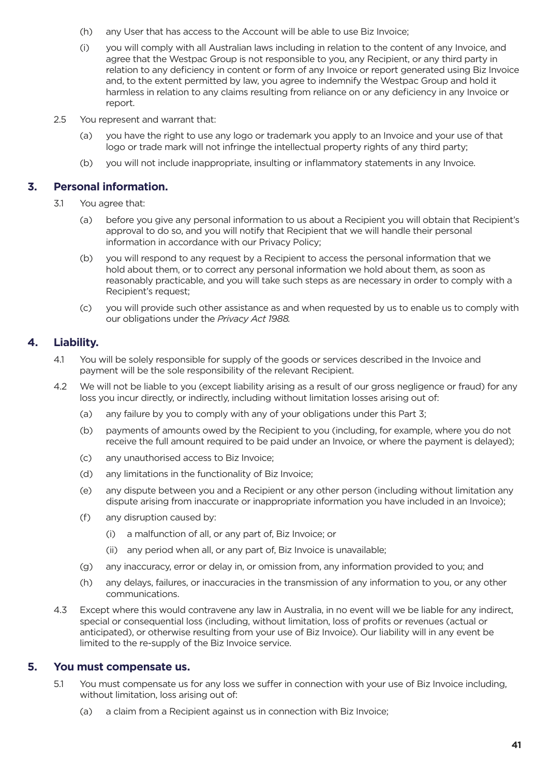- <span id="page-40-0"></span>(h) any User that has access to the Account will be able to use Biz Invoice;
- (i) you will comply with all Australian laws including in relation to the content of any Invoice, and agree that the Westpac Group is not responsible to you, any Recipient, or any third party in relation to any deficiency in content or form of any Invoice or report generated using Biz Invoice and, to the extent permitted by law, you agree to indemnify the Westpac Group and hold it harmless in relation to any claims resulting from reliance on or any deficiency in any Invoice or report.
- 2.5 You represent and warrant that:
	- (a) you have the right to use any logo or trademark you apply to an Invoice and your use of that logo or trade mark will not infringe the intellectual property rights of any third party;
	- (b) you will not include inappropriate, insulting or inflammatory statements in any Invoice.

### **3. Personal information.**

- 3.1 You agree that:
	- (a) before you give any personal information to us about a Recipient you will obtain that Recipient's approval to do so, and you will notify that Recipient that we will handle their personal information in accordance with our Privacy Policy;
	- (b) you will respond to any request by a Recipient to access the personal information that we hold about them, or to correct any personal information we hold about them, as soon as reasonably practicable, and you will take such steps as are necessary in order to comply with a Recipient's request;
	- (c) you will provide such other assistance as and when requested by us to enable us to comply with our obligations under the *Privacy Act 1988.*

### **4. Liability.**

- 4.1 You will be solely responsible for supply of the goods or services described in the Invoice and payment will be the sole responsibility of the relevant Recipient.
- 4.2 We will not be liable to you (except liability arising as a result of our gross negligence or fraud) for any loss you incur directly, or indirectly, including without limitation losses arising out of:
	- (a) any failure by you to comply with any of your obligations under this Part 3;
	- (b) payments of amounts owed by the Recipient to you (including, for example, where you do not receive the full amount required to be paid under an Invoice, or where the payment is delayed);
	- (c) any unauthorised access to Biz Invoice;
	- (d) any limitations in the functionality of Biz Invoice;
	- (e) any dispute between you and a Recipient or any other person (including without limitation any dispute arising from inaccurate or inappropriate information you have included in an Invoice);
	- (f) any disruption caused by:
		- (i) a malfunction of all, or any part of, Biz Invoice; or
		- (ii) any period when all, or any part of, Biz Invoice is unavailable;
	- (g) any inaccuracy, error or delay in, or omission from, any information provided to you; and
	- (h) any delays, failures, or inaccuracies in the transmission of any information to you, or any other communications.
- 4.3 Except where this would contravene any law in Australia, in no event will we be liable for any indirect, special or consequential loss (including, without limitation, loss of profits or revenues (actual or anticipated), or otherwise resulting from your use of Biz Invoice). Our liability will in any event be limited to the re-supply of the Biz Invoice service.

### **5. You must compensate us.**

- 5.1 You must compensate us for any loss we suffer in connection with your use of Biz Invoice including, without limitation, loss arising out of:
	- (a) a claim from a Recipient against us in connection with Biz Invoice;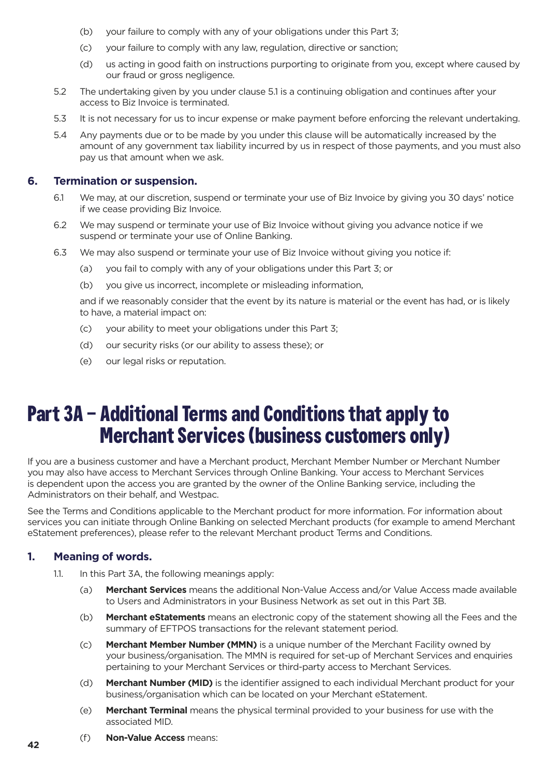- <span id="page-41-0"></span>(b) your failure to comply with any of your obligations under this Part 3;
- (c) your failure to comply with any law, regulation, directive or sanction;
- (d) us acting in good faith on instructions purporting to originate from you, except where caused by our fraud or gross negligence.
- 5.2 The undertaking given by you under clause 5.1 is a continuing obligation and continues after your access to Biz Invoice is terminated.
- 5.3 It is not necessary for us to incur expense or make payment before enforcing the relevant undertaking.
- 5.4 Any payments due or to be made by you under this clause will be automatically increased by the amount of any government tax liability incurred by us in respect of those payments, and you must also pay us that amount when we ask.

### **6. Termination or suspension.**

- 6.1 We may, at our discretion, suspend or terminate your use of Biz Invoice by giving you 30 days' notice if we cease providing Biz Invoice.
- 6.2 We may suspend or terminate your use of Biz Invoice without giving you advance notice if we suspend or terminate your use of Online Banking.
- 6.3 We may also suspend or terminate your use of Biz Invoice without giving you notice if:
	- (a) you fail to comply with any of your obligations under this Part 3; or
	- (b) you give us incorrect, incomplete or misleading information,

and if we reasonably consider that the event by its nature is material or the event has had, or is likely to have, a material impact on:

- (c) your ability to meet your obligations under this Part 3;
- (d) our security risks (or our ability to assess these); or
- (e) our legal risks or reputation.

# **Part 3A – Additional Terms and Conditions that apply to Merchant Services (business customers only)**

If you are a business customer and have a Merchant product, Merchant Member Number or Merchant Number you may also have access to Merchant Services through Online Banking. Your access to Merchant Services is dependent upon the access you are granted by the owner of the Online Banking service, including the Administrators on their behalf, and Westpac.

See the Terms and Conditions applicable to the Merchant product for more information. For information about services you can initiate through Online Banking on selected Merchant products (for example to amend Merchant eStatement preferences), please refer to the relevant Merchant product Terms and Conditions.

### **1. Meaning of words.**

- 1.1. In this Part 3A, the following meanings apply:
	- (a) **Merchant Services** means the additional Non-Value Access and/or Value Access made available to Users and Administrators in your Business Network as set out in this Part 3B.
	- (b) **Merchant eStatements** means an electronic copy of the statement showing all the Fees and the summary of EFTPOS transactions for the relevant statement period.
	- (c) **Merchant Member Number (MMN)** is a unique number of the Merchant Facility owned by your business/organisation. The MMN is required for set-up of Merchant Services and enquiries pertaining to your Merchant Services or third-party access to Merchant Services.
	- (d) **Merchant Number (MID)** is the identifier assigned to each individual Merchant product for your business/organisation which can be located on your Merchant eStatement.
	- (e) **Merchant Terminal** means the physical terminal provided to your business for use with the associated MID.
	- (f) **Non-Value Access** means: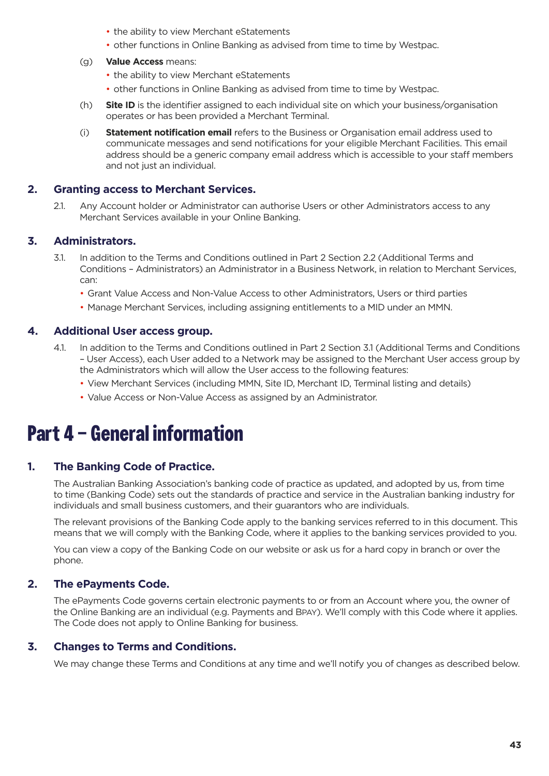- the ability to view Merchant eStatements
- other functions in Online Banking as advised from time to time by Westpac.
- <span id="page-42-0"></span>(g) **Value Access** means:
	- the ability to view Merchant eStatements
	- other functions in Online Banking as advised from time to time by Westpac.
- (h) **Site ID** is the identifier assigned to each individual site on which your business/organisation operates or has been provided a Merchant Terminal.
- (i) **Statement notification email** refers to the Business or Organisation email address used to communicate messages and send notifications for your eligible Merchant Facilities. This email address should be a generic company email address which is accessible to your staff members and not just an individual.

### **2. Granting access to Merchant Services.**

2.1. Any Account holder or Administrator can authorise Users or other Administrators access to any Merchant Services available in your Online Banking.

### **3. Administrators.**

- 3.1. In addition to the Terms and Conditions outlined in Part 2 Section 2.2 (Additional Terms and Conditions – Administrators) an Administrator in a Business Network, in relation to Merchant Services, can:
	- Grant Value Access and Non-Value Access to other Administrators, Users or third parties
	- Manage Merchant Services, including assigning entitlements to a MID under an MMN.

### **4. Additional User access group.**

- 4.1. In addition to the Terms and Conditions outlined in Part 2 Section 3.1 (Additional Terms and Conditions – User Access), each User added to a Network may be assigned to the Merchant User access group by the Administrators which will allow the User access to the following features:
	- View Merchant Services (including MMN, Site ID, Merchant ID, Terminal listing and details)
	- Value Access or Non-Value Access as assigned by an Administrator.

# **Part 4 – General information**

### **1. The Banking Code of Practice.**

The Australian Banking Association's banking code of practice as updated, and adopted by us, from time to time (Banking Code) sets out the standards of practice and service in the Australian banking industry for individuals and small business customers, and their guarantors who are individuals.

The relevant provisions of the Banking Code apply to the banking services referred to in this document. This means that we will comply with the Banking Code, where it applies to the banking services provided to you.

You can view a copy of the Banking Code on our website or ask us for a hard copy in branch or over the phone.

### **2. The ePayments Code.**

The ePayments Code governs certain electronic payments to or from an Account where you, the owner of the Online Banking are an individual (e.g. Payments and BPAY). We'll comply with this Code where it applies. The Code does not apply to Online Banking for business.

### **3. Changes to Terms and Conditions.**

We may change these Terms and Conditions at any time and we'll notify you of changes as described below.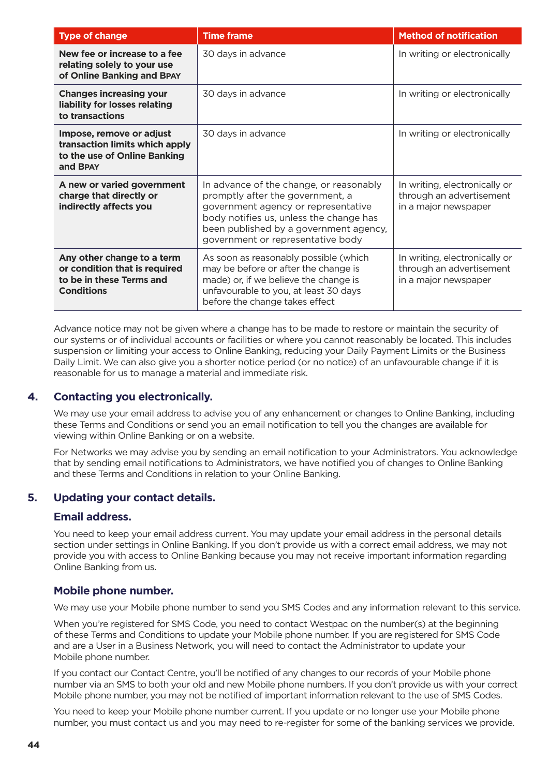<span id="page-43-0"></span>

| <b>Type of change</b>                                                                                        | <b>Time frame</b>                                                                                                                                                                                                                            | <b>Method of notification</b>                                                     |
|--------------------------------------------------------------------------------------------------------------|----------------------------------------------------------------------------------------------------------------------------------------------------------------------------------------------------------------------------------------------|-----------------------------------------------------------------------------------|
| New fee or increase to a fee<br>relating solely to your use<br>of Online Banking and BPAY                    | 30 days in advance                                                                                                                                                                                                                           | In writing or electronically                                                      |
| <b>Changes increasing your</b><br>liability for losses relating<br>to transactions                           | 30 days in advance                                                                                                                                                                                                                           | In writing or electronically                                                      |
| Impose, remove or adjust<br>transaction limits which apply<br>to the use of Online Banking<br>and BPAY       | 30 days in advance                                                                                                                                                                                                                           | In writing or electronically                                                      |
| A new or varied government<br>charge that directly or<br>indirectly affects you                              | In advance of the change, or reasonably<br>promptly after the government, a<br>government agency or representative<br>body notifies us, unless the change has<br>been published by a government agency,<br>government or representative body | In writing, electronically or<br>through an advertisement<br>in a major newspaper |
| Any other change to a term<br>or condition that is required<br>to be in these Terms and<br><b>Conditions</b> | As soon as reasonably possible (which<br>may be before or after the change is<br>made) or, if we believe the change is<br>unfavourable to you, at least 30 days<br>before the change takes effect                                            | In writing, electronically or<br>through an advertisement<br>in a major newspaper |

Advance notice may not be given where a change has to be made to restore or maintain the security of our systems or of individual accounts or facilities or where you cannot reasonably be located. This includes suspension or limiting your access to Online Banking, reducing your Daily Payment Limits or the Business Daily Limit. We can also give you a shorter notice period (or no notice) of an unfavourable change if it is reasonable for us to manage a material and immediate risk.

### **4. Contacting you electronically.**

We may use your email address to advise you of any enhancement or changes to Online Banking, including these Terms and Conditions or send you an email notification to tell you the changes are available for viewing within Online Banking or on a website.

For Networks we may advise you by sending an email notification to your Administrators. You acknowledge that by sending email notifications to Administrators, we have notified you of changes to Online Banking and these Terms and Conditions in relation to your Online Banking.

### **5. Updating your contact details.**

### **Email address.**

You need to keep your email address current. You may update your email address in the personal details section under settings in Online Banking. If you don't provide us with a correct email address, we may not provide you with access to Online Banking because you may not receive important information regarding Online Banking from us.

### **Mobile phone number.**

We may use your Mobile phone number to send you SMS Codes and any information relevant to this service.

When you're registered for SMS Code, you need to contact Westpac on the number(s) at the beginning of these Terms and Conditions to update your Mobile phone number. If you are registered for SMS Code and are a User in a Business Network, you will need to contact the Administrator to update your Mobile phone number.

If you contact our Contact Centre, you'll be notified of any changes to our records of your Mobile phone number via an SMS to both your old and new Mobile phone numbers. If you don't provide us with your correct Mobile phone number, you may not be notified of important information relevant to the use of SMS Codes.

You need to keep your Mobile phone number current. If you update or no longer use your Mobile phone number, you must contact us and you may need to re-register for some of the banking services we provide.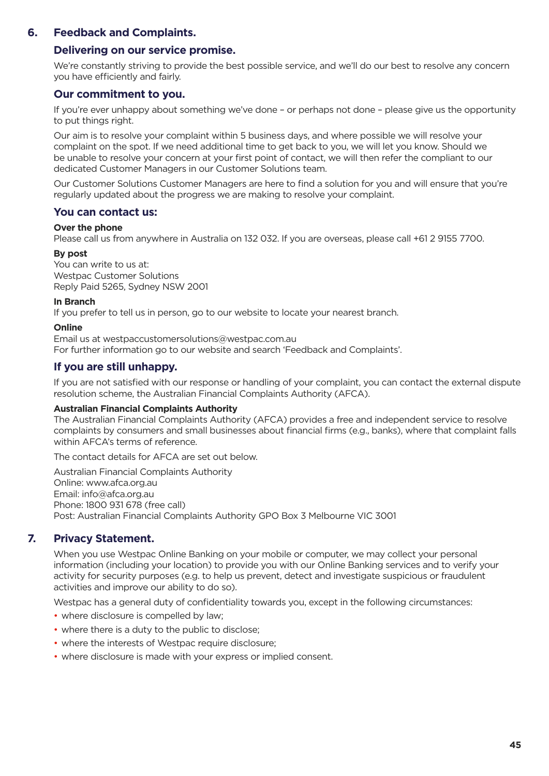### <span id="page-44-0"></span>**6. Feedback and Complaints.**

### **Delivering on our service promise.**

We're constantly striving to provide the best possible service, and we'll do our best to resolve any concern you have efficiently and fairly.

### **Our commitment to you.**

If you're ever unhappy about something we've done – or perhaps not done – please give us the opportunity to put things right.

Our aim is to resolve your complaint within 5 business days, and where possible we will resolve your complaint on the spot. If we need additional time to get back to you, we will let you know. Should we be unable to resolve your concern at your first point of contact, we will then refer the compliant to our dedicated Customer Managers in our Customer Solutions team.

Our Customer Solutions Customer Managers are here to find a solution for you and will ensure that you're regularly updated about the progress we are making to resolve your complaint.

### **You can contact us:**

### **Over the phone**

Please call us from anywhere in Australia on 132 032. If you are overseas, please call +61 2 9155 7700.

### **By post**

You can write to us at: Westpac Customer Solutions Reply Paid 5265, Sydney NSW 2001

### **In Branch**

If you prefer to tell us in person, go to our website to locate your nearest branch.

### **Online**

Email us at westpaccustomersolutions@westpac.com.au For further information go to our website and search 'Feedback and Complaints'.

### **If you are still unhappy.**

If you are not satisfied with our response or handling of your complaint, you can contact the external dispute resolution scheme, the Australian Financial Complaints Authority (AFCA).

### **Australian Financial Complaints Authority**

The Australian Financial Complaints Authority (AFCA) provides a free and independent service to resolve complaints by consumers and small businesses about financial firms (e.g., banks), where that complaint falls within AFCA's terms of reference.

The contact details for AFCA are set out below.

Australian Financial Complaints Authority Online: www.afca.org.au Email: info@afca.org.au Phone: 1800 931 678 (free call) Post: Australian Financial Complaints Authority GPO Box 3 Melbourne VIC 3001

### **7. Privacy Statement.**

When you use Westpac Online Banking on your mobile or computer, we may collect your personal information (including your location) to provide you with our Online Banking services and to verify your activity for security purposes (e.g. to help us prevent, detect and investigate suspicious or fraudulent activities and improve our ability to do so).

Westpac has a general duty of confidentiality towards you, except in the following circumstances:

- where disclosure is compelled by law;
- where there is a duty to the public to disclose;
- where the interests of Westpac require disclosure;
- where disclosure is made with your express or implied consent.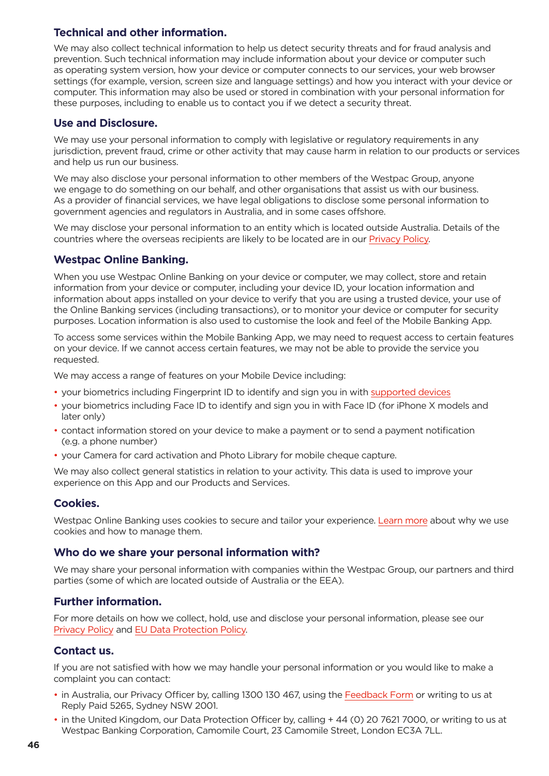### **Technical and other information.**

We may also collect technical information to help us detect security threats and for fraud analysis and prevention. Such technical information may include information about your device or computer such as operating system version, how your device or computer connects to our services, your web browser settings (for example, version, screen size and language settings) and how you interact with your device or computer. This information may also be used or stored in combination with your personal information for these purposes, including to enable us to contact you if we detect a security threat.

### **Use and Disclosure.**

We may use your personal information to comply with legislative or regulatory requirements in any jurisdiction, prevent fraud, crime or other activity that may cause harm in relation to our products or services and help us run our business.

We may also disclose your personal information to other members of the Westpac Group, anyone we engage to do something on our behalf, and other organisations that assist us with our business. As a provider of financial services, we have legal obligations to disclose some personal information to government agencies and regulators in Australia, and in some cases offshore.

We may disclose your personal information to an entity which is located outside Australia. Details of the countries where the overseas recipients are likely to be located are in our [Privacy Policy](https://www.westpac.com.au/privacy/privacy-policy/).

### **Westpac Online Banking.**

When you use Westpac Online Banking on your device or computer, we may collect, store and retain information from your device or computer, including your device ID, your location information and information about apps installed on your device to verify that you are using a trusted device, your use of the Online Banking services (including transactions), or to monitor your device or computer for security purposes. Location information is also used to customise the look and feel of the Mobile Banking App.

To access some services within the Mobile Banking App, we may need to request access to certain features on your device. If we cannot access certain features, we may not be able to provide the service you requested.

We may access a range of features on your Mobile Device including:

- your biometrics including Fingerprint ID to identify and sign you in with [supported devices](https://www.westpac.com.au/personal-banking/online-banking/support-faqs/supported-devices/)
- your biometrics including Face ID to identify and sign you in with Face ID (for iPhone X models and later only)
- contact information stored on your device to make a payment or to send a payment notification (e.g. a phone number)
- your Camera for card activation and Photo Library for mobile cheque capture.

We may also collect general statistics in relation to your activity. This data is used to improve your experience on this App and our Products and Services.

### **Cookies.**

Westpac Online Banking uses cookies to secure and tailor your experience. [Learn more](https://www.westpac.com.au/privacy/cookies/?fid=wbcbanking:alert:updated-cookies-policy) about why we use cookies and how to manage them.

### **Who do we share your personal information with?**

We may share your personal information with companies within the Westpac Group, our partners and third parties (some of which are located outside of Australia or the EEA).

### **Further information.**

For more details on how we collect, hold, use and disclose your personal information, please see our [Privacy Policy](https://www.westpac.com.au/privacy/privacy-policy/) and [EU Data Protection Policy](https://www.westpac.com.au/privacy/eu-data-protection-policy/).

### **Contact us.**

If you are not satisfied with how we may handle your personal information or you would like to make a complaint you can contact:

- in Australia, our Privacy Officer by, calling 1300 130 467, using the [Feedback Form](https://www.westpac.com.au/contact-us/feedback-complaints/) or writing to us at Reply Paid 5265, Sydney NSW 2001.
- in the United Kingdom, our Data Protection Officer by, calling + 44 (0) 20 7621 7000, or writing to us at Westpac Banking Corporation, Camomile Court, 23 Camomile Street, London EC3A 7LL.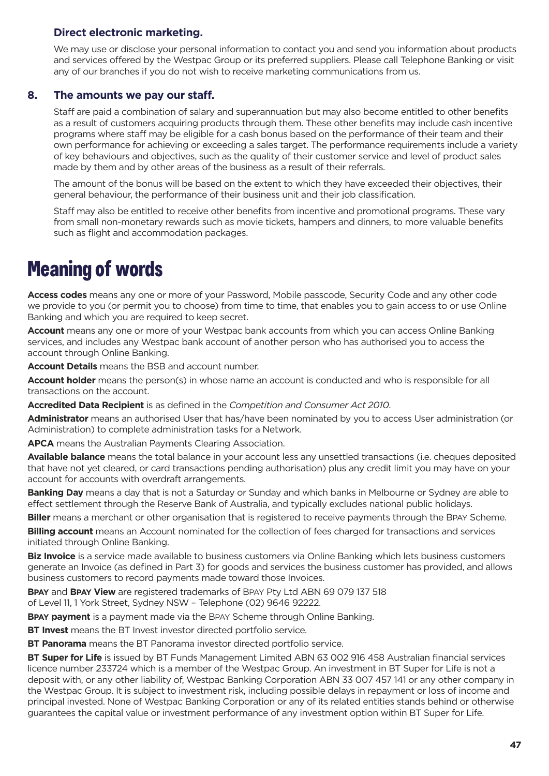### <span id="page-46-0"></span>**Direct electronic marketing.**

We may use or disclose your personal information to contact you and send you information about products and services offered by the Westpac Group or its preferred suppliers. Please call Telephone Banking or visit any of our branches if you do not wish to receive marketing communications from us.

### **8. The amounts we pay our staff.**

Staff are paid a combination of salary and superannuation but may also become entitled to other benefits as a result of customers acquiring products through them. These other benefits may include cash incentive programs where staff may be eligible for a cash bonus based on the performance of their team and their own performance for achieving or exceeding a sales target. The performance requirements include a variety of key behaviours and objectives, such as the quality of their customer service and level of product sales made by them and by other areas of the business as a result of their referrals.

The amount of the bonus will be based on the extent to which they have exceeded their objectives, their general behaviour, the performance of their business unit and their job classification.

Staff may also be entitled to receive other benefits from incentive and promotional programs. These vary from small non-monetary rewards such as movie tickets, hampers and dinners, to more valuable benefits such as flight and accommodation packages.

# **Meaning of words**

**Access codes** means any one or more of your Password, Mobile passcode, Security Code and any other code we provide to you (or permit you to choose) from time to time, that enables you to gain access to or use Online Banking and which you are required to keep secret.

**Account** means any one or more of your Westpac bank accounts from which you can access Online Banking services, and includes any Westpac bank account of another person who has authorised you to access the account through Online Banking.

**Account Details** means the BSB and account number.

**Account holder** means the person(s) in whose name an account is conducted and who is responsible for all transactions on the account.

**Accredited Data Recipient** is as defined in the *Competition and Consumer Act 2010*.

**Administrator** means an authorised User that has/have been nominated by you to access User administration (or Administration) to complete administration tasks for a Network.

**APCA** means the Australian Payments Clearing Association.

**Available balance** means the total balance in your account less any unsettled transactions (i.e. cheques deposited that have not yet cleared, or card transactions pending authorisation) plus any credit limit you may have on your account for accounts with overdraft arrangements.

**Banking Day** means a day that is not a Saturday or Sunday and which banks in Melbourne or Sydney are able to effect settlement through the Reserve Bank of Australia, and typically excludes national public holidays.

**Biller** means a merchant or other organisation that is registered to receive payments through the BPAY Scheme.

**Billing account** means an Account nominated for the collection of fees charged for transactions and services initiated through Online Banking.

**Biz Invoice** is a service made available to business customers via Online Banking which lets business customers generate an Invoice (as defined in Part 3) for goods and services the business customer has provided, and allows business customers to record payments made toward those Invoices.

**BPAY** and **BPAY View** are registered trademarks of BPAY Pty Ltd ABN 69 079 137 518 of Level 11, 1 York Street, Sydney NSW – Telephone (02) 9646 92222.

**BPAY payment** is a payment made via the BPAY Scheme through Online Banking.

**BT Invest** means the BT Invest investor directed portfolio service.

**BT Panorama** means the BT Panorama investor directed portfolio service.

**BT Super for Life** is issued by BT Funds Management Limited ABN 63 002 916 458 Australian financial services licence number 233724 which is a member of the Westpac Group. An investment in BT Super for Life is not a deposit with, or any other liability of, Westpac Banking Corporation ABN 33 007 457 141 or any other company in the Westpac Group. It is subject to investment risk, including possible delays in repayment or loss of income and principal invested. None of Westpac Banking Corporation or any of its related entities stands behind or otherwise guarantees the capital value or investment performance of any investment option within BT Super for Life.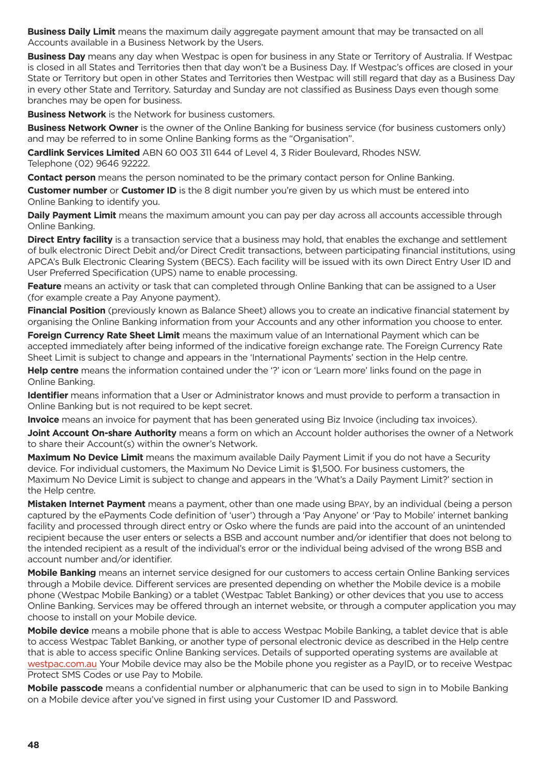**Business Daily Limit** means the maximum daily aggregate payment amount that may be transacted on all Accounts available in a Business Network by the Users.

**Business Day** means any day when Westpac is open for business in any State or Territory of Australia. If Westpac is closed in all States and Territories then that day won't be a Business Day. If Westpac's offices are closed in your State or Territory but open in other States and Territories then Westpac will still regard that day as a Business Day in every other State and Territory. Saturday and Sunday are not classified as Business Days even though some branches may be open for business.

**Business Network** is the Network for business customers.

**Business Network Owner** is the owner of the Online Banking for business service (for business customers only) and may be referred to in some Online Banking forms as the "Organisation".

**Cardlink Services Limited** ABN 60 003 311 644 of Level 4, 3 Rider Boulevard, Rhodes NSW. Telephone (02) 9646 92222.

**Contact person** means the person nominated to be the primary contact person for Online Banking.

**Customer number** or **Customer ID** is the 8 digit number you're given by us which must be entered into Online Banking to identify you.

**Daily Payment Limit** means the maximum amount you can pay per day across all accounts accessible through Online Banking.

**Direct Entry facility** is a transaction service that a business may hold, that enables the exchange and settlement of bulk electronic Direct Debit and/or Direct Credit transactions, between participating financial institutions, using APCA's Bulk Electronic Clearing System (BECS). Each facility will be issued with its own Direct Entry User ID and User Preferred Specification (UPS) name to enable processing.

**Feature** means an activity or task that can completed through Online Banking that can be assigned to a User (for example create a Pay Anyone payment).

**Financial Position** (previously known as Balance Sheet) allows you to create an indicative financial statement by organising the Online Banking information from your Accounts and any other information you choose to enter.

**Foreign Currency Rate Sheet Limit** means the maximum value of an International Payment which can be accepted immediately after being informed of the indicative foreign exchange rate. The Foreign Currency Rate Sheet Limit is subject to change and appears in the 'International Payments' section in the Help centre.

**Help centre** means the information contained under the '?' icon or 'Learn more' links found on the page in Online Banking.

**Identifier** means information that a User or Administrator knows and must provide to perform a transaction in Online Banking but is not required to be kept secret.

**Invoice** means an invoice for payment that has been generated using Biz Invoice (including tax invoices).

**Joint Account On-share Authority** means a form on which an Account holder authorises the owner of a Network to share their Account(s) within the owner's Network.

**Maximum No Device Limit** means the maximum available Daily Payment Limit if you do not have a Security device. For individual customers, the Maximum No Device Limit is \$1,500. For business customers, the Maximum No Device Limit is subject to change and appears in the 'What's a Daily Payment Limit?' section in the Help centre.

**Mistaken Internet Payment** means a payment, other than one made using BPAY, by an individual (being a person captured by the ePayments Code definition of 'user') through a 'Pay Anyone' or 'Pay to Mobile' internet banking facility and processed through direct entry or Osko where the funds are paid into the account of an unintended recipient because the user enters or selects a BSB and account number and/or identifier that does not belong to the intended recipient as a result of the individual's error or the individual being advised of the wrong BSB and account number and/or identifier.

**Mobile Banking** means an internet service designed for our customers to access certain Online Banking services through a Mobile device. Different services are presented depending on whether the Mobile device is a mobile phone (Westpac Mobile Banking) or a tablet (Westpac Tablet Banking) or other devices that you use to access Online Banking. Services may be offered through an internet website, or through a computer application you may choose to install on your Mobile device.

**Mobile device** means a mobile phone that is able to access Westpac Mobile Banking, a tablet device that is able to access Westpac Tablet Banking, or another type of personal electronic device as described in the Help centre that is able to access specific Online Banking services. Details of supported operating systems are available at [westpac.com.au Y](https://www.westpac.com.au/)our Mobile device may also be the Mobile phone you register as a PayID, or to receive Westpac Protect SMS Codes or use Pay to Mobile.

**Mobile passcode** means a confidential number or alphanumeric that can be used to sign in to Mobile Banking on a Mobile device after you've signed in first using your Customer ID and Password.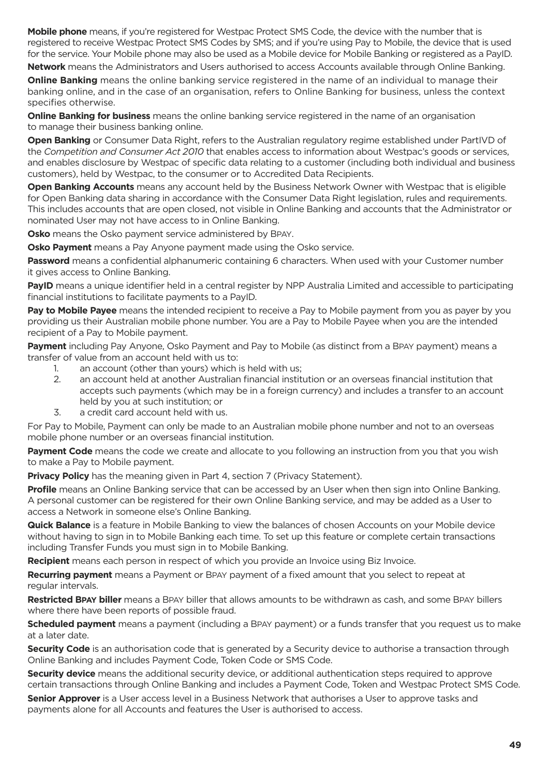**Mobile phone** means, if you're registered for Westpac Protect SMS Code, the device with the number that is registered to receive Westpac Protect SMS Codes by SMS; and if you're using Pay to Mobile, the device that is used for the service. Your Mobile phone may also be used as a Mobile device for Mobile Banking or registered as a PayID.

**Network** means the Administrators and Users authorised to access Accounts available through Online Banking.

**Online Banking** means the online banking service registered in the name of an individual to manage their banking online, and in the case of an organisation, refers to Online Banking for business, unless the context specifies otherwise.

**Online Banking for business** means the online banking service registered in the name of an organisation to manage their business banking online.

**Open Banking** or Consumer Data Right, refers to the Australian regulatory regime established under PartIVD of the *Competition and Consumer Act 2010* that enables access to information about Westpac's goods or services, and enables disclosure by Westpac of specific data relating to a customer (including both individual and business customers), held by Westpac, to the consumer or to Accredited Data Recipients.

**Open Banking Accounts** means any account held by the Business Network Owner with Westpac that is eligible for Open Banking data sharing in accordance with the Consumer Data Right legislation, rules and requirements. This includes accounts that are open closed, not visible in Online Banking and accounts that the Administrator or nominated User may not have access to in Online Banking.

**Osko** means the Osko payment service administered by BPAY.

**Osko Payment** means a Pay Anyone payment made using the Osko service.

**Password** means a confidential alphanumeric containing 6 characters. When used with your Customer number it gives access to Online Banking.

**PayID** means a unique identifier held in a central register by NPP Australia Limited and accessible to participating financial institutions to facilitate payments to a PayID.

**Pay to Mobile Payee** means the intended recipient to receive a Pay to Mobile payment from you as payer by you providing us their Australian mobile phone number. You are a Pay to Mobile Payee when you are the intended recipient of a Pay to Mobile payment.

**Payment** including Pay Anyone, Osko Payment and Pay to Mobile (as distinct from a BPAY payment) means a transfer of value from an account held with us to:

- 1. an account (other than yours) which is held with us;
- 2. an account held at another Australian financial institution or an overseas financial institution that accepts such payments (which may be in a foreign currency) and includes a transfer to an account held by you at such institution; or
- 3. a credit card account held with us.

For Pay to Mobile, Payment can only be made to an Australian mobile phone number and not to an overseas mobile phone number or an overseas financial institution.

**Payment Code** means the code we create and allocate to you following an instruction from you that you wish to make a Pay to Mobile payment.

**Privacy Policy** has the meaning given in Part 4, section 7 (Privacy Statement).

**Profile** means an Online Banking service that can be accessed by an User when then sign into Online Banking. A personal customer can be registered for their own Online Banking service, and may be added as a User to access a Network in someone else's Online Banking.

**Quick Balance** is a feature in Mobile Banking to view the balances of chosen Accounts on your Mobile device without having to sign in to Mobile Banking each time. To set up this feature or complete certain transactions including Transfer Funds you must sign in to Mobile Banking.

**Recipient** means each person in respect of which you provide an Invoice using Biz Invoice.

**Recurring payment** means a Payment or BPAY payment of a fixed amount that you select to repeat at regular intervals.

**Restricted BPAY biller** means a BPAY biller that allows amounts to be withdrawn as cash, and some BPAY billers where there have been reports of possible fraud.

**Scheduled payment** means a payment (including a BPAY payment) or a funds transfer that you request us to make at a later date.

**Security Code** is an authorisation code that is generated by a Security device to authorise a transaction through Online Banking and includes Payment Code, Token Code or SMS Code.

**Security device** means the additional security device, or additional authentication steps required to approve certain transactions through Online Banking and includes a Payment Code, Token and Westpac Protect SMS Code.

**Senior Approver** is a User access level in a Business Network that authorises a User to approve tasks and payments alone for all Accounts and features the User is authorised to access.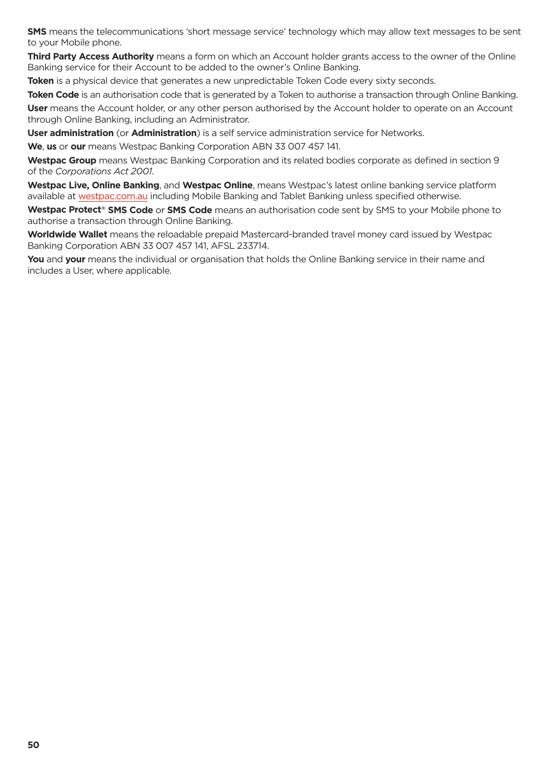**SMS** means the telecommunications 'short message service' technology which may allow text messages to be sent to your Mobile phone.

**Third Party Access Authority** means a form on which an Account holder grants access to the owner of the Online Banking service for their Account to be added to the owner's Online Banking.

**Token** is a physical device that generates a new unpredictable Token Code every sixty seconds.

**Token Code** is an authorisation code that is generated by a Token to authorise a transaction through Online Banking.

**User** means the Account holder, or any other person authorised by the Account holder to operate on an Account through Online Banking, including an Administrator.

**User administration** (or **Administration**) is a self service administration service for Networks.

**We**, **us** or **our** means Westpac Banking Corporation ABN 33 007 457 141.

**Westpac Group** means Westpac Banking Corporation and its related bodies corporate as defined in section 9 of the *Corporations Act 2001*.

**Westpac Live, Online Banking**, and **Westpac Online**, means Westpac's latest online banking service platform available at [westpac.com.au](https://www.westpac.com.au/) including Mobile Banking and Tablet Banking unless specified otherwise.

**Westpac Protect® SMS Code** or **SMS Code** means an authorisation code sent by SMS to your Mobile phone to authorise a transaction through Online Banking.

**Worldwide Wallet** means the reloadable prepaid Mastercard-branded travel money card issued by Westpac Banking Corporation ABN 33 007 457 141, AFSL 233714.

**You** and **your** means the individual or organisation that holds the Online Banking service in their name and includes a User, where applicable.